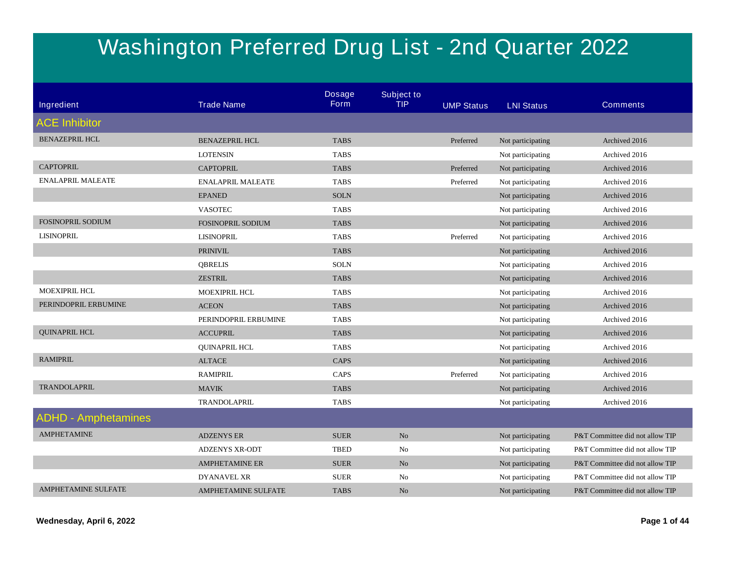## **Washington Preferred Drug List - 2nd Quarter 2022**

|                            |                            | <b>Dosage</b><br>Form | <b>Subject to</b> |                   |                   |                                 |
|----------------------------|----------------------------|-----------------------|-------------------|-------------------|-------------------|---------------------------------|
| Ingredient                 | <b>Trade Name</b>          |                       | <b>TIP</b>        | <b>UMP Status</b> | <b>LNI Status</b> | <b>Comments</b>                 |
| <b>ACE Inhibitor</b>       |                            |                       |                   |                   |                   |                                 |
| <b>BENAZEPRIL HCL</b>      | <b>BENAZEPRIL HCL</b>      | <b>TABS</b>           |                   | Preferred         | Not participating | Archived 2016                   |
|                            | <b>LOTENSIN</b>            | <b>TABS</b>           |                   |                   | Not participating | Archived 2016                   |
| <b>CAPTOPRIL</b>           | <b>CAPTOPRIL</b>           | <b>TABS</b>           |                   | Preferred         | Not participating | Archived 2016                   |
| <b>ENALAPRIL MALEATE</b>   | <b>ENALAPRIL MALEATE</b>   | <b>TABS</b>           |                   | Preferred         | Not participating | Archived 2016                   |
|                            | <b>EPANED</b>              | <b>SOLN</b>           |                   |                   | Not participating | Archived 2016                   |
|                            | <b>VASOTEC</b>             | <b>TABS</b>           |                   |                   | Not participating | Archived 2016                   |
| <b>FOSINOPRIL SODIUM</b>   | <b>FOSINOPRIL SODIUM</b>   | <b>TABS</b>           |                   |                   | Not participating | Archived 2016                   |
| <b>LISINOPRIL</b>          | <b>LISINOPRIL</b>          | <b>TABS</b>           |                   | Preferred         | Not participating | Archived 2016                   |
|                            | <b>PRINIVIL</b>            | <b>TABS</b>           |                   |                   | Not participating | Archived 2016                   |
|                            | <b>QBRELIS</b>             | <b>SOLN</b>           |                   |                   | Not participating | Archived 2016                   |
|                            | <b>ZESTRIL</b>             | <b>TABS</b>           |                   |                   | Not participating | Archived 2016                   |
| <b>MOEXIPRIL HCL</b>       | <b>MOEXIPRIL HCL</b>       | <b>TABS</b>           |                   |                   | Not participating | Archived 2016                   |
| PERINDOPRIL ERBUMINE       | <b>ACEON</b>               | <b>TABS</b>           |                   |                   | Not participating | Archived 2016                   |
|                            | PERINDOPRIL ERBUMINE       | <b>TABS</b>           |                   |                   | Not participating | Archived 2016                   |
| <b>QUINAPRIL HCL</b>       | <b>ACCUPRIL</b>            | <b>TABS</b>           |                   |                   | Not participating | Archived 2016                   |
|                            | <b>QUINAPRIL HCL</b>       | <b>TABS</b>           |                   |                   | Not participating | Archived 2016                   |
| <b>RAMIPRIL</b>            | <b>ALTACE</b>              | <b>CAPS</b>           |                   |                   | Not participating | Archived 2016                   |
|                            | <b>RAMIPRIL</b>            | CAPS                  |                   | Preferred         | Not participating | Archived 2016                   |
| <b>TRANDOLAPRIL</b>        | <b>MAVIK</b>               | <b>TABS</b>           |                   |                   | Not participating | Archived 2016                   |
|                            | TRANDOLAPRIL               | <b>TABS</b>           |                   |                   | Not participating | Archived 2016                   |
| <b>ADHD - Amphetamines</b> |                            |                       |                   |                   |                   |                                 |
| <b>AMPHETAMINE</b>         | <b>ADZENYS ER</b>          | <b>SUER</b>           | N <sub>o</sub>    |                   | Not participating | P&T Committee did not allow TIP |
|                            | <b>ADZENYS XR-ODT</b>      | <b>TBED</b>           | No                |                   | Not participating | P&T Committee did not allow TIP |
|                            | <b>AMPHETAMINE ER</b>      | <b>SUER</b>           | No                |                   | Not participating | P&T Committee did not allow TIP |
|                            | <b>DYANAVEL XR</b>         | <b>SUER</b>           | No                |                   | Not participating | P&T Committee did not allow TIP |
| <b>AMPHETAMINE SULFATE</b> | <b>AMPHETAMINE SULFATE</b> | <b>TABS</b>           | N <sub>o</sub>    |                   | Not participating | P&T Committee did not allow TIP |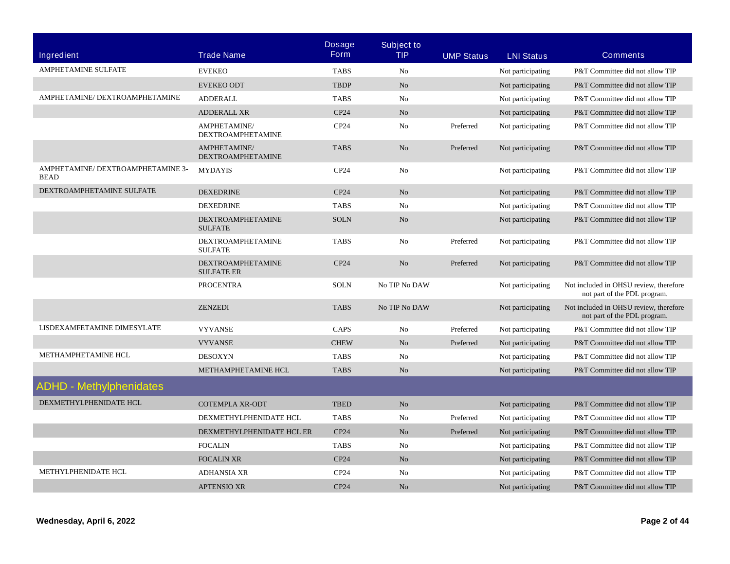|                                                  |                                               | <b>Dosage</b>    | <b>Subject to</b> |                   |                   |                                                                        |
|--------------------------------------------------|-----------------------------------------------|------------------|-------------------|-------------------|-------------------|------------------------------------------------------------------------|
| <b>Ingredient</b>                                | <b>Trade Name</b>                             | <b>Form</b>      | <b>TIP</b>        | <b>UMP Status</b> | <b>LNI Status</b> | <b>Comments</b>                                                        |
| <b>AMPHETAMINE SULFATE</b>                       | <b>EVEKEO</b>                                 | <b>TABS</b>      | No                |                   | Not participating | P&T Committee did not allow TIP                                        |
|                                                  | <b>EVEKEO ODT</b>                             | <b>TBDP</b>      | N <sub>o</sub>    |                   | Not participating | P&T Committee did not allow TIP                                        |
| AMPHETAMINE/ DEXTROAMPHETAMINE                   | <b>ADDERALL</b>                               | <b>TABS</b>      | No                |                   | Not participating | P&T Committee did not allow TIP                                        |
|                                                  | <b>ADDERALL XR</b>                            | CP24             | N <sub>o</sub>    |                   | Not participating | P&T Committee did not allow TIP                                        |
|                                                  | AMPHETAMINE/<br><b>DEXTROAMPHETAMINE</b>      | CP <sub>24</sub> | No                | Preferred         | Not participating | P&T Committee did not allow TIP                                        |
|                                                  | AMPHETAMINE/<br><b>DEXTROAMPHETAMINE</b>      | <b>TABS</b>      | N <sub>o</sub>    | Preferred         | Not participating | P&T Committee did not allow TIP                                        |
| AMPHETAMINE/ DEXTROAMPHETAMINE 3-<br><b>BEAD</b> | <b>MYDAYIS</b>                                | CP <sub>24</sub> | No                |                   | Not participating | P&T Committee did not allow TIP                                        |
| DEXTROAMPHETAMINE SULFATE                        | <b>DEXEDRINE</b>                              | CP24             | N <sub>o</sub>    |                   | Not participating | P&T Committee did not allow TIP                                        |
|                                                  | <b>DEXEDRINE</b>                              | <b>TABS</b>      | No                |                   | Not participating | P&T Committee did not allow TIP                                        |
|                                                  | <b>DEXTROAMPHETAMINE</b><br><b>SULFATE</b>    | <b>SOLN</b>      | N <sub>o</sub>    |                   | Not participating | P&T Committee did not allow TIP                                        |
|                                                  | <b>DEXTROAMPHETAMINE</b><br><b>SULFATE</b>    | <b>TABS</b>      | N <sub>0</sub>    | Preferred         | Not participating | P&T Committee did not allow TIP                                        |
|                                                  | <b>DEXTROAMPHETAMINE</b><br><b>SULFATE ER</b> | CP24             | N <sub>o</sub>    | Preferred         | Not participating | P&T Committee did not allow TIP                                        |
|                                                  | <b>PROCENTRA</b>                              | <b>SOLN</b>      | No TIP No DAW     |                   | Not participating | Not included in OHSU review, therefore<br>not part of the PDL program. |
|                                                  | <b>ZENZEDI</b>                                | <b>TABS</b>      | No TIP No DAW     |                   | Not participating | Not included in OHSU review, therefore<br>not part of the PDL program. |
| LISDEXAMFETAMINE DIMESYLATE                      | <b>VYVANSE</b>                                | CAPS             | No                | Preferred         | Not participating | P&T Committee did not allow TIP                                        |
|                                                  | <b>VYVANSE</b>                                | <b>CHEW</b>      | N <sub>o</sub>    | Preferred         | Not participating | P&T Committee did not allow TIP                                        |
| METHAMPHETAMINE HCL                              | <b>DESOXYN</b>                                | <b>TABS</b>      | No                |                   | Not participating | P&T Committee did not allow TIP                                        |
|                                                  | METHAMPHETAMINE HCL                           | <b>TABS</b>      | N <sub>o</sub>    |                   | Not participating | P&T Committee did not allow TIP                                        |
| <b>ADHD - Methylphenidates</b>                   |                                               |                  |                   |                   |                   |                                                                        |
| DEXMETHYLPHENIDATE HCL                           | <b>COTEMPLA XR-ODT</b>                        | <b>TBED</b>      | N <sub>o</sub>    |                   | Not participating | P&T Committee did not allow TIP                                        |
|                                                  | DEXMETHYLPHENIDATE HCL                        | <b>TABS</b>      | No                | Preferred         | Not participating | P&T Committee did not allow TIP                                        |
|                                                  | DEXMETHYLPHENIDATE HCL ER                     | CP24             | N <sub>o</sub>    | Preferred         | Not participating | P&T Committee did not allow TIP                                        |
|                                                  | <b>FOCALIN</b>                                | <b>TABS</b>      | No                |                   | Not participating | P&T Committee did not allow TIP                                        |
|                                                  | <b>FOCALIN XR</b>                             | CP24             | N <sub>o</sub>    |                   | Not participating | P&T Committee did not allow TIP                                        |
| METHYLPHENIDATE HCL                              | <b>ADHANSIA XR</b>                            | CP24             | No                |                   | Not participating | P&T Committee did not allow TIP                                        |
|                                                  | <b>APTENSIO XR</b>                            | CP24             | N <sub>o</sub>    |                   | Not participating | P&T Committee did not allow TIP                                        |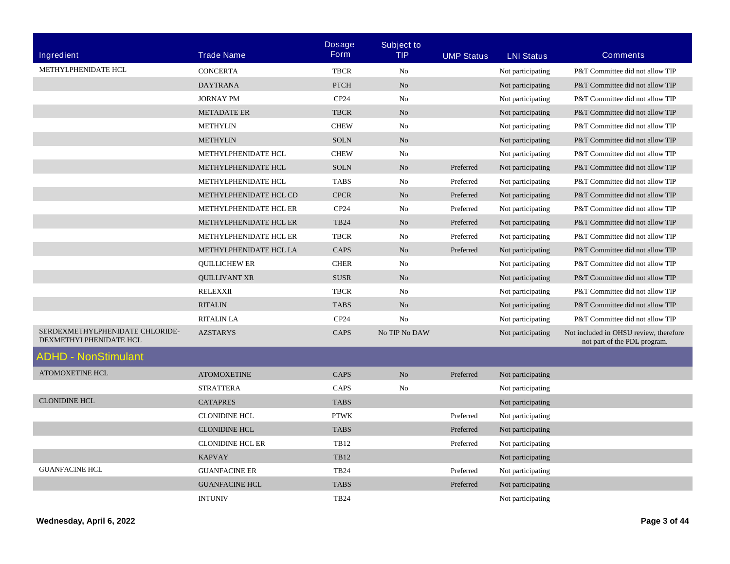| Ingredient                                                | <b>Trade Name</b>       | <b>Dosage</b><br><b>Form</b> | <b>Subject to</b><br><b>TIP</b> | <b>UMP Status</b> | <b>LNI Status</b> | <b>Comments</b>                                                        |
|-----------------------------------------------------------|-------------------------|------------------------------|---------------------------------|-------------------|-------------------|------------------------------------------------------------------------|
| METHYLPHENIDATE HCL                                       | <b>CONCERTA</b>         | <b>TBCR</b>                  | No                              |                   | Not participating | P&T Committee did not allow TIP                                        |
|                                                           | <b>DAYTRANA</b>         | <b>PTCH</b>                  | N <sub>o</sub>                  |                   | Not participating | P&T Committee did not allow TIP                                        |
|                                                           | <b>JORNAY PM</b>        | CP <sub>24</sub>             | No                              |                   | Not participating | P&T Committee did not allow TIP                                        |
|                                                           | <b>METADATE ER</b>      | <b>TBCR</b>                  | N <sub>o</sub>                  |                   | Not participating | P&T Committee did not allow TIP                                        |
|                                                           | <b>METHYLIN</b>         | <b>CHEW</b>                  | No                              |                   | Not participating | P&T Committee did not allow TIP                                        |
|                                                           | <b>METHYLIN</b>         | <b>SOLN</b>                  | N <sub>o</sub>                  |                   | Not participating | P&T Committee did not allow TIP                                        |
|                                                           | METHYLPHENIDATE HCL     | <b>CHEW</b>                  | N <sub>0</sub>                  |                   | Not participating | P&T Committee did not allow TIP                                        |
|                                                           | METHYLPHENIDATE HCL     | <b>SOLN</b>                  | No                              | Preferred         | Not participating | P&T Committee did not allow TIP                                        |
|                                                           | METHYLPHENIDATE HCL     | <b>TABS</b>                  | No                              | Preferred         | Not participating | P&T Committee did not allow TIP                                        |
|                                                           | METHYLPHENIDATE HCL CD  | <b>CPCR</b>                  | N <sub>o</sub>                  | Preferred         | Not participating | P&T Committee did not allow TIP                                        |
|                                                           | METHYLPHENIDATE HCL ER  | CP <sub>24</sub>             | No                              | Preferred         | Not participating | P&T Committee did not allow TIP                                        |
|                                                           | METHYLPHENIDATE HCL ER  | <b>TB24</b>                  | N <sub>o</sub>                  | Preferred         | Not participating | P&T Committee did not allow TIP                                        |
|                                                           | METHYLPHENIDATE HCL ER  | <b>TBCR</b>                  | No                              | Preferred         | Not participating | P&T Committee did not allow TIP                                        |
|                                                           | METHYLPHENIDATE HCL LA  | CAPS                         | $\rm No$                        | Preferred         | Not participating | P&T Committee did not allow TIP                                        |
|                                                           | <b>QUILLICHEW ER</b>    | <b>CHER</b>                  | N <sub>0</sub>                  |                   | Not participating | P&T Committee did not allow TIP                                        |
|                                                           | <b>OUILLIVANT XR</b>    | <b>SUSR</b>                  | N <sub>o</sub>                  |                   | Not participating | P&T Committee did not allow TIP                                        |
|                                                           | <b>RELEXXII</b>         | <b>TBCR</b>                  | No                              |                   | Not participating | P&T Committee did not allow TIP                                        |
|                                                           | <b>RITALIN</b>          | <b>TABS</b>                  | N <sub>o</sub>                  |                   | Not participating | P&T Committee did not allow TIP                                        |
|                                                           | <b>RITALIN LA</b>       | CP <sub>24</sub>             | N <sub>0</sub>                  |                   | Not participating | P&T Committee did not allow TIP                                        |
| SERDEXMETHYLPHENIDATE CHLORIDE-<br>DEXMETHYLPHENIDATE HCL | <b>AZSTARYS</b>         | CAPS                         | No TIP No DAW                   |                   | Not participating | Not included in OHSU review, therefore<br>not part of the PDL program. |
| <b>ADHD - NonStimulant</b>                                |                         |                              |                                 |                   |                   |                                                                        |
| <b>ATOMOXETINE HCL</b>                                    | <b>ATOMOXETINE</b>      | CAPS                         | N <sub>o</sub>                  | Preferred         | Not participating |                                                                        |
|                                                           | <b>STRATTERA</b>        | CAPS                         | N <sub>0</sub>                  |                   | Not participating |                                                                        |
| <b>CLONIDINE HCL</b>                                      | <b>CATAPRES</b>         | <b>TABS</b>                  |                                 |                   | Not participating |                                                                        |
|                                                           | <b>CLONIDINE HCL</b>    | <b>PTWK</b>                  |                                 | Preferred         | Not participating |                                                                        |
|                                                           | <b>CLONIDINE HCL</b>    | <b>TABS</b>                  |                                 | Preferred         | Not participating |                                                                        |
|                                                           | <b>CLONIDINE HCL ER</b> | TB12                         |                                 | Preferred         | Not participating |                                                                        |
|                                                           | <b>KAPVAY</b>           | <b>TB12</b>                  |                                 |                   | Not participating |                                                                        |
| <b>GUANFACINE HCL</b>                                     | <b>GUANFACINE ER</b>    | <b>TB24</b>                  |                                 | Preferred         | Not participating |                                                                        |
|                                                           | <b>GUANFACINE HCL</b>   | <b>TABS</b>                  |                                 | Preferred         | Not participating |                                                                        |
|                                                           | <b>INTUNIV</b>          | <b>TB24</b>                  |                                 |                   | Not participating |                                                                        |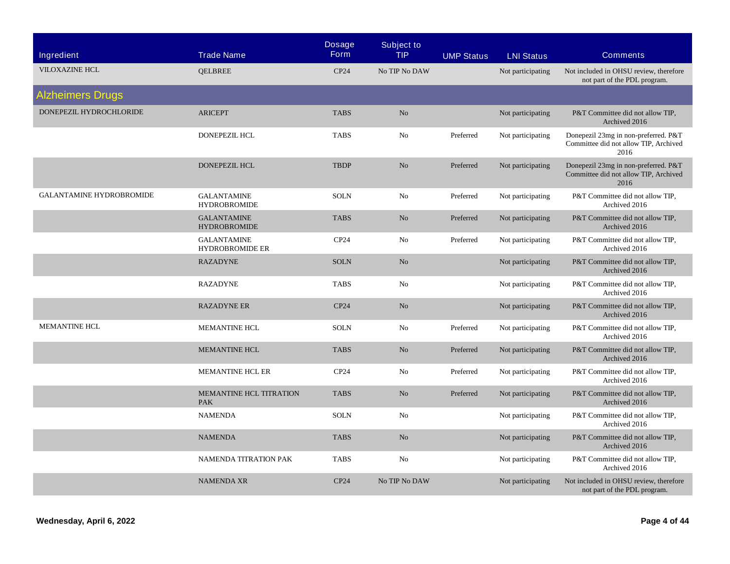| Ingredient                      | <b>Trade Name</b>                            | <b>Dosage</b><br><b>Form</b> | <b>Subject to</b><br><b>TIP</b> | <b>UMP Status</b> | <b>LNI Status</b> | <b>Comments</b>                                                                       |
|---------------------------------|----------------------------------------------|------------------------------|---------------------------------|-------------------|-------------------|---------------------------------------------------------------------------------------|
| <b>VILOXAZINE HCL</b>           | <b>QELBREE</b>                               | CP24                         | No TIP No DAW                   |                   | Not participating | Not included in OHSU review, therefore<br>not part of the PDL program.                |
| <b>Alzheimers Drugs</b>         |                                              |                              |                                 |                   |                   |                                                                                       |
| DONEPEZIL HYDROCHLORIDE         | <b>ARICEPT</b>                               | <b>TABS</b>                  | No                              |                   | Not participating | P&T Committee did not allow TIP,<br>Archived 2016                                     |
|                                 | <b>DONEPEZIL HCL</b>                         | <b>TABS</b>                  | No                              | Preferred         | Not participating | Donepezil 23mg in non-preferred. P&T<br>Committee did not allow TIP, Archived<br>2016 |
|                                 | <b>DONEPEZIL HCL</b>                         | <b>TBDP</b>                  | N <sub>o</sub>                  | Preferred         | Not participating | Donepezil 23mg in non-preferred. P&T<br>Committee did not allow TIP, Archived<br>2016 |
| <b>GALANTAMINE HYDROBROMIDE</b> | <b>GALANTAMINE</b><br><b>HYDROBROMIDE</b>    | <b>SOLN</b>                  | No                              | Preferred         | Not participating | P&T Committee did not allow TIP,<br>Archived 2016                                     |
|                                 | <b>GALANTAMINE</b><br><b>HYDROBROMIDE</b>    | <b>TABS</b>                  | N <sub>o</sub>                  | Preferred         | Not participating | P&T Committee did not allow TIP,<br>Archived 2016                                     |
|                                 | <b>GALANTAMINE</b><br><b>HYDROBROMIDE ER</b> | CP24                         | No                              | Preferred         | Not participating | P&T Committee did not allow TIP,<br>Archived 2016                                     |
|                                 | <b>RAZADYNE</b>                              | <b>SOLN</b>                  | No                              |                   | Not participating | P&T Committee did not allow TIP,<br>Archived 2016                                     |
|                                 | <b>RAZADYNE</b>                              | <b>TABS</b>                  | No                              |                   | Not participating | P&T Committee did not allow TIP,<br>Archived 2016                                     |
|                                 | <b>RAZADYNE ER</b>                           | CP24                         | N <sub>o</sub>                  |                   | Not participating | P&T Committee did not allow TIP,<br>Archived 2016                                     |
| <b>MEMANTINE HCL</b>            | MEMANTINE HCL                                | <b>SOLN</b>                  | No                              | Preferred         | Not participating | P&T Committee did not allow TIP,<br>Archived 2016                                     |
|                                 | <b>MEMANTINE HCL</b>                         | <b>TABS</b>                  | No                              | Preferred         | Not participating | P&T Committee did not allow TIP,<br>Archived 2016                                     |
|                                 | <b>MEMANTINE HCL ER</b>                      | CP24                         | No                              | Preferred         | Not participating | P&T Committee did not allow TIP,<br>Archived 2016                                     |
|                                 | MEMANTINE HCL TITRATION<br><b>PAK</b>        | <b>TABS</b>                  | No                              | Preferred         | Not participating | P&T Committee did not allow TIP,<br>Archived 2016                                     |
|                                 | <b>NAMENDA</b>                               | <b>SOLN</b>                  | No                              |                   | Not participating | P&T Committee did not allow TIP,<br>Archived 2016                                     |
|                                 | <b>NAMENDA</b>                               | <b>TABS</b>                  | No                              |                   | Not participating | P&T Committee did not allow TIP,<br>Archived 2016                                     |
|                                 | <b>NAMENDA TITRATION PAK</b>                 | <b>TABS</b>                  | N <sub>0</sub>                  |                   | Not participating | P&T Committee did not allow TIP,<br>Archived 2016                                     |
|                                 | <b>NAMENDA XR</b>                            | CP24                         | No TIP No DAW                   |                   | Not participating | Not included in OHSU review, therefore<br>not part of the PDL program.                |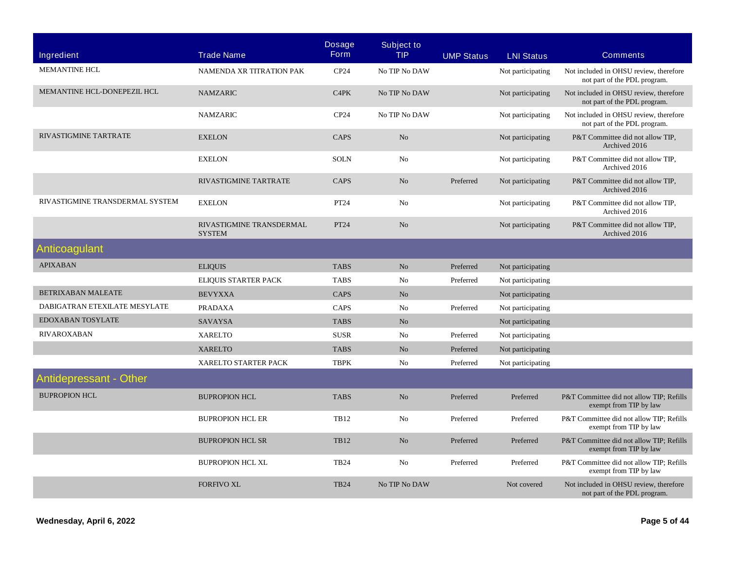| Ingredient                      | <b>Trade Name</b>                         | <b>Dosage</b><br><b>Form</b> | <b>Subject to</b><br><b>TIP</b> | <b>UMP Status</b> | <b>LNI Status</b> | <b>Comments</b>                                                        |
|---------------------------------|-------------------------------------------|------------------------------|---------------------------------|-------------------|-------------------|------------------------------------------------------------------------|
| <b>MEMANTINE HCL</b>            | NAMENDA XR TITRATION PAK                  | CP24                         | No TIP No DAW                   |                   | Not participating | Not included in OHSU review, therefore<br>not part of the PDL program. |
| MEMANTINE HCL-DONEPEZIL HCL     | <b>NAMZARIC</b>                           | C4PK                         | No TIP No DAW                   |                   | Not participating | Not included in OHSU review, therefore<br>not part of the PDL program. |
|                                 | <b>NAMZARIC</b>                           | CP24                         | No TIP No DAW                   |                   | Not participating | Not included in OHSU review, therefore<br>not part of the PDL program. |
| <b>RIVASTIGMINE TARTRATE</b>    | <b>EXELON</b>                             | <b>CAPS</b>                  | $\rm No$                        |                   | Not participating | P&T Committee did not allow TIP,<br>Archived 2016                      |
|                                 | <b>EXELON</b>                             | <b>SOLN</b>                  | No                              |                   | Not participating | P&T Committee did not allow TIP,<br>Archived 2016                      |
|                                 | RIVASTIGMINE TARTRATE                     | <b>CAPS</b>                  | N <sub>o</sub>                  | Preferred         | Not participating | P&T Committee did not allow TIP,<br>Archived 2016                      |
| RIVASTIGMINE TRANSDERMAL SYSTEM | <b>EXELON</b>                             | PT24                         | No                              |                   | Not participating | P&T Committee did not allow TIP,<br>Archived 2016                      |
|                                 | RIVASTIGMINE TRANSDERMAL<br><b>SYSTEM</b> | PT24                         | No                              |                   | Not participating | P&T Committee did not allow TIP,<br>Archived 2016                      |
| Anticoagulant                   |                                           |                              |                                 |                   |                   |                                                                        |
| <b>APIXABAN</b>                 | <b>ELIQUIS</b>                            | <b>TABS</b>                  | N <sub>o</sub>                  | Preferred         | Not participating |                                                                        |
|                                 | ELIQUIS STARTER PACK                      | <b>TABS</b>                  | No                              | Preferred         | Not participating |                                                                        |
| <b>BETRIXABAN MALEATE</b>       | <b>BEVYXXA</b>                            | <b>CAPS</b>                  | N <sub>o</sub>                  |                   | Not participating |                                                                        |
| DABIGATRAN ETEXILATE MESYLATE   | <b>PRADAXA</b>                            | CAPS                         | No                              | Preferred         | Not participating |                                                                        |
| EDOXABAN TOSYLATE               | <b>SAVAYSA</b>                            | <b>TABS</b>                  | N <sub>o</sub>                  |                   | Not participating |                                                                        |
| <b>RIVAROXABAN</b>              | <b>XARELTO</b>                            | <b>SUSR</b>                  | No                              | Preferred         | Not participating |                                                                        |
|                                 | <b>XARELTO</b>                            | <b>TABS</b>                  | No                              | Preferred         | Not participating |                                                                        |
|                                 | XARELTO STARTER PACK                      | <b>TBPK</b>                  | No                              | Preferred         | Not participating |                                                                        |
| <b>Antidepressant - Other</b>   |                                           |                              |                                 |                   |                   |                                                                        |
| <b>BUPROPION HCL</b>            | <b>BUPROPION HCL</b>                      | <b>TABS</b>                  | N <sub>o</sub>                  | Preferred         | Preferred         | P&T Committee did not allow TIP; Refills<br>exempt from TIP by law     |
|                                 | <b>BUPROPION HCL ER</b>                   | <b>TB12</b>                  | No                              | Preferred         | Preferred         | P&T Committee did not allow TIP; Refills<br>exempt from TIP by law     |
|                                 | <b>BUPROPION HCL SR</b>                   | <b>TB12</b>                  | No                              | Preferred         | Preferred         | P&T Committee did not allow TIP; Refills<br>exempt from TIP by law     |
|                                 | <b>BUPROPION HCL XL</b>                   | <b>TB24</b>                  | No                              | Preferred         | Preferred         | P&T Committee did not allow TIP; Refills<br>exempt from TIP by law     |
|                                 | <b>FORFIVO XL</b>                         | <b>TB24</b>                  | No TIP No DAW                   |                   | Not covered       | Not included in OHSU review, therefore<br>not part of the PDL program. |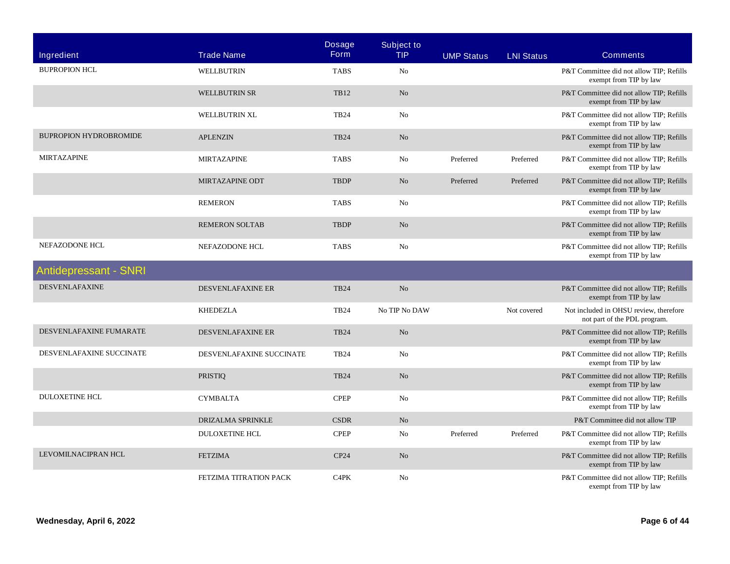| Ingredient                    | <b>Trade Name</b>        | <b>Dosage</b><br><b>Form</b>  | <b>Subject to</b><br><b>TIP</b> | <b>UMP Status</b> | <b>LNI Status</b> | <b>Comments</b>                                                        |
|-------------------------------|--------------------------|-------------------------------|---------------------------------|-------------------|-------------------|------------------------------------------------------------------------|
| <b>BUPROPION HCL</b>          | WELLBUTRIN               | <b>TABS</b>                   | No                              |                   |                   | P&T Committee did not allow TIP; Refills<br>exempt from TIP by law     |
|                               | <b>WELLBUTRIN SR</b>     | <b>TB12</b>                   | N <sub>o</sub>                  |                   |                   | P&T Committee did not allow TIP; Refills<br>exempt from TIP by law     |
|                               | WELLBUTRIN XL            | <b>TB24</b>                   | No                              |                   |                   | P&T Committee did not allow TIP; Refills<br>exempt from TIP by law     |
| <b>BUPROPION HYDROBROMIDE</b> | <b>APLENZIN</b>          | <b>TB24</b>                   | N <sub>o</sub>                  |                   |                   | P&T Committee did not allow TIP; Refills<br>exempt from TIP by law     |
| <b>MIRTAZAPINE</b>            | <b>MIRTAZAPINE</b>       | <b>TABS</b>                   | No                              | Preferred         | Preferred         | P&T Committee did not allow TIP; Refills<br>exempt from TIP by law     |
|                               | MIRTAZAPINE ODT          | <b>TBDP</b>                   | N <sub>o</sub>                  | Preferred         | Preferred         | P&T Committee did not allow TIP; Refills<br>exempt from TIP by law     |
|                               | <b>REMERON</b>           | <b>TABS</b>                   | No                              |                   |                   | P&T Committee did not allow TIP; Refills<br>exempt from TIP by law     |
|                               | <b>REMERON SOLTAB</b>    | <b>TBDP</b>                   | N <sub>o</sub>                  |                   |                   | P&T Committee did not allow TIP; Refills<br>exempt from TIP by law     |
| NEFAZODONE HCL                | NEFAZODONE HCL           | <b>TABS</b>                   | No                              |                   |                   | P&T Committee did not allow TIP; Refills<br>exempt from TIP by law     |
| <b>Antidepressant - SNRI</b>  |                          |                               |                                 |                   |                   |                                                                        |
| <b>DESVENLAFAXINE</b>         | DESVENLAFAXINE ER        | <b>TB24</b>                   | N <sub>o</sub>                  |                   |                   | P&T Committee did not allow TIP; Refills<br>exempt from TIP by law     |
|                               | <b>KHEDEZLA</b>          | <b>TB24</b>                   | No TIP No DAW                   |                   | Not covered       | Not included in OHSU review, therefore<br>not part of the PDL program. |
| DESVENLAFAXINE FUMARATE       | DESVENLAFAXINE ER        | <b>TB24</b>                   | No                              |                   |                   | P&T Committee did not allow TIP; Refills<br>exempt from TIP by law     |
| DESVENLAFAXINE SUCCINATE      | DESVENLAFAXINE SUCCINATE | <b>TB24</b>                   | No                              |                   |                   | P&T Committee did not allow TIP; Refills<br>exempt from TIP by law     |
|                               | <b>PRISTIQ</b>           | <b>TB24</b>                   | N <sub>o</sub>                  |                   |                   | P&T Committee did not allow TIP; Refills<br>exempt from TIP by law     |
| <b>DULOXETINE HCL</b>         | <b>CYMBALTA</b>          | <b>CPEP</b>                   | N <sub>0</sub>                  |                   |                   | P&T Committee did not allow TIP; Refills<br>exempt from TIP by law     |
|                               | DRIZALMA SPRINKLE        | <b>CSDR</b>                   | N <sub>o</sub>                  |                   |                   | P&T Committee did not allow TIP                                        |
|                               | <b>DULOXETINE HCL</b>    | <b>CPEP</b>                   | No                              | Preferred         | Preferred         | P&T Committee did not allow TIP; Refills<br>exempt from TIP by law     |
| LEVOMILNACIPRAN HCL           | <b>FETZIMA</b>           | CP24                          | N <sub>o</sub>                  |                   |                   | P&T Committee did not allow TIP; Refills<br>exempt from TIP by law     |
|                               | FETZIMA TITRATION PACK   | C <sub>4</sub> P <sub>K</sub> | No                              |                   |                   | P&T Committee did not allow TIP; Refills<br>exempt from TIP by law     |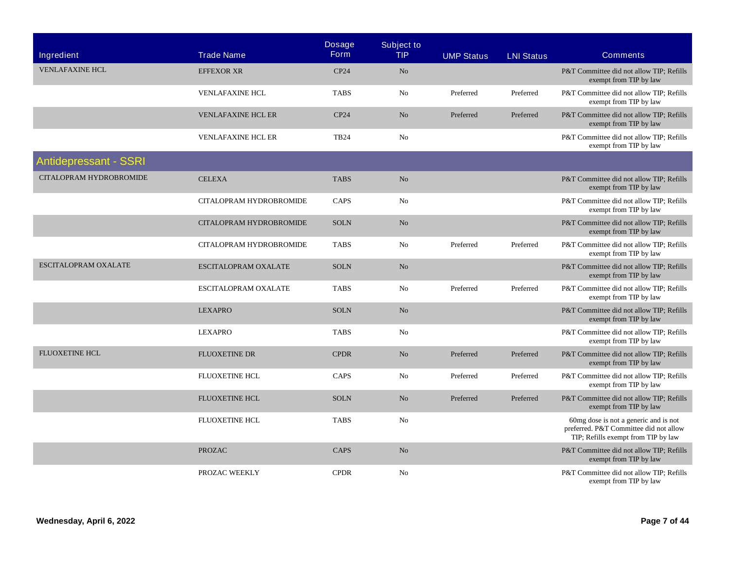| Ingredient                   | <b>Trade Name</b>         | <b>Dosage</b><br><b>Form</b> | <b>Subject to</b><br><b>TIP</b> | <b>UMP Status</b> | <b>LNI Status</b> | <b>Comments</b>                                                                                                        |
|------------------------------|---------------------------|------------------------------|---------------------------------|-------------------|-------------------|------------------------------------------------------------------------------------------------------------------------|
| <b>VENLAFAXINE HCL</b>       | <b>EFFEXOR XR</b>         | CP24                         | N <sub>o</sub>                  |                   |                   | P&T Committee did not allow TIP: Refills<br>exempt from TIP by law                                                     |
|                              | <b>VENLAFAXINE HCL</b>    | <b>TABS</b>                  | No                              | Preferred         | Preferred         | P&T Committee did not allow TIP; Refills<br>exempt from TIP by law                                                     |
|                              | <b>VENLAFAXINE HCL ER</b> | CP24                         | N <sub>o</sub>                  | Preferred         | Preferred         | P&T Committee did not allow TIP; Refills<br>exempt from TIP by law                                                     |
|                              | <b>VENLAFAXINE HCL ER</b> | <b>TB24</b>                  | No                              |                   |                   | P&T Committee did not allow TIP; Refills<br>exempt from TIP by law                                                     |
| <b>Antidepressant - SSRI</b> |                           |                              |                                 |                   |                   |                                                                                                                        |
| CITALOPRAM HYDROBROMIDE      | <b>CELEXA</b>             | <b>TABS</b>                  | N <sub>o</sub>                  |                   |                   | P&T Committee did not allow TIP; Refills<br>exempt from TIP by law                                                     |
|                              | CITALOPRAM HYDROBROMIDE   | CAPS                         | No                              |                   |                   | P&T Committee did not allow TIP; Refills<br>exempt from TIP by law                                                     |
|                              | CITALOPRAM HYDROBROMIDE   | <b>SOLN</b>                  | No                              |                   |                   | P&T Committee did not allow TIP; Refills<br>exempt from TIP by law                                                     |
|                              | CITALOPRAM HYDROBROMIDE   | <b>TABS</b>                  | No                              | Preferred         | Preferred         | P&T Committee did not allow TIP; Refills<br>exempt from TIP by law                                                     |
| <b>ESCITALOPRAM OXALATE</b>  | ESCITALOPRAM OXALATE      | <b>SOLN</b>                  | No                              |                   |                   | P&T Committee did not allow TIP; Refills<br>exempt from TIP by law                                                     |
|                              | ESCITALOPRAM OXALATE      | <b>TABS</b>                  | N <sub>0</sub>                  | Preferred         | Preferred         | P&T Committee did not allow TIP; Refills<br>exempt from TIP by law                                                     |
|                              | <b>LEXAPRO</b>            | <b>SOLN</b>                  | $\rm No$                        |                   |                   | P&T Committee did not allow TIP; Refills<br>exempt from TIP by law                                                     |
|                              | <b>LEXAPRO</b>            | <b>TABS</b>                  | No                              |                   |                   | P&T Committee did not allow TIP; Refills<br>exempt from TIP by law                                                     |
| <b>FLUOXETINE HCL</b>        | <b>FLUOXETINE DR</b>      | <b>CPDR</b>                  | N <sub>o</sub>                  | Preferred         | Preferred         | P&T Committee did not allow TIP; Refills<br>exempt from TIP by law                                                     |
|                              | FLUOXETINE HCL            | CAPS                         | No                              | Preferred         | Preferred         | P&T Committee did not allow TIP; Refills<br>exempt from TIP by law                                                     |
|                              | <b>FLUOXETINE HCL</b>     | <b>SOLN</b>                  | N <sub>o</sub>                  | Preferred         | Preferred         | P&T Committee did not allow TIP; Refills<br>exempt from TIP by law                                                     |
|                              | FLUOXETINE HCL            | <b>TABS</b>                  | No                              |                   |                   | 60mg dose is not a generic and is not<br>preferred. P&T Committee did not allow<br>TIP; Refills exempt from TIP by law |
|                              | <b>PROZAC</b>             | <b>CAPS</b>                  | No                              |                   |                   | P&T Committee did not allow TIP; Refills<br>exempt from TIP by law                                                     |
|                              | PROZAC WEEKLY             | <b>CPDR</b>                  | N <sub>0</sub>                  |                   |                   | P&T Committee did not allow TIP; Refills<br>exempt from TIP by law                                                     |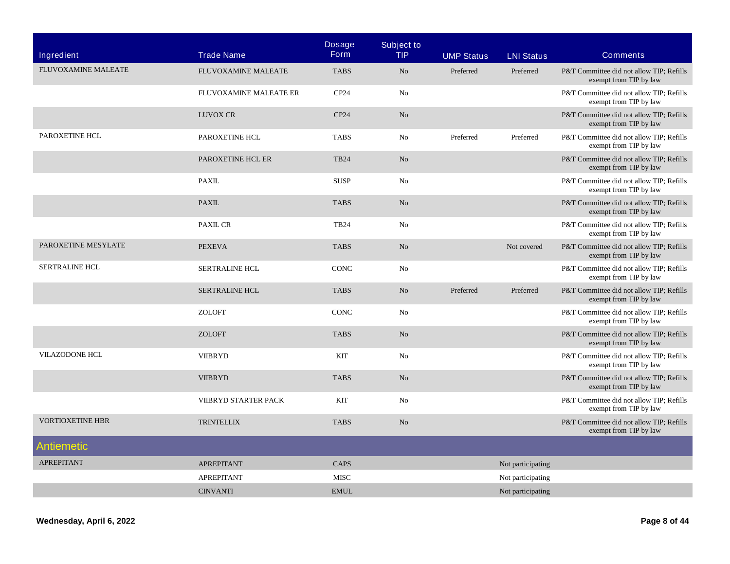| Ingredient                 | <b>Trade Name</b>      | <b>Dosage</b><br><b>Form</b> | <b>Subject to</b><br><b>TIP</b> | <b>UMP Status</b> | <b>LNI Status</b> | <b>Comments</b>                                                    |
|----------------------------|------------------------|------------------------------|---------------------------------|-------------------|-------------------|--------------------------------------------------------------------|
| <b>FLUVOXAMINE MALEATE</b> | FLUVOXAMINE MALEATE    | <b>TABS</b>                  | N <sub>o</sub>                  | Preferred         | Preferred         | P&T Committee did not allow TIP; Refills<br>exempt from TIP by law |
|                            | FLUVOXAMINE MALEATE ER | CP24                         | No                              |                   |                   | P&T Committee did not allow TIP; Refills<br>exempt from TIP by law |
|                            | <b>LUVOX CR</b>        | CP24                         | N <sub>o</sub>                  |                   |                   | P&T Committee did not allow TIP; Refills<br>exempt from TIP by law |
| PAROXETINE HCL             | PAROXETINE HCL         | <b>TABS</b>                  | No                              | Preferred         | Preferred         | P&T Committee did not allow TIP; Refills<br>exempt from TIP by law |
|                            | PAROXETINE HCL ER      | <b>TB24</b>                  | N <sub>o</sub>                  |                   |                   | P&T Committee did not allow TIP; Refills<br>exempt from TIP by law |
|                            | <b>PAXIL</b>           | <b>SUSP</b>                  | No                              |                   |                   | P&T Committee did not allow TIP; Refills<br>exempt from TIP by law |
|                            | <b>PAXIL</b>           | <b>TABS</b>                  | N <sub>o</sub>                  |                   |                   | P&T Committee did not allow TIP; Refills<br>exempt from TIP by law |
|                            | <b>PAXIL CR</b>        | <b>TB24</b>                  | No                              |                   |                   | P&T Committee did not allow TIP; Refills<br>exempt from TIP by law |
| PAROXETINE MESYLATE        | <b>PEXEVA</b>          | <b>TABS</b>                  | N <sub>o</sub>                  |                   | Not covered       | P&T Committee did not allow TIP; Refills<br>exempt from TIP by law |
| <b>SERTRALINE HCL</b>      | SERTRALINE HCL         | <b>CONC</b>                  | No                              |                   |                   | P&T Committee did not allow TIP; Refills<br>exempt from TIP by law |
|                            | <b>SERTRALINE HCL</b>  | <b>TABS</b>                  | N <sub>o</sub>                  | Preferred         | Preferred         | P&T Committee did not allow TIP; Refills<br>exempt from TIP by law |
|                            | <b>ZOLOFT</b>          | CONC                         | No                              |                   |                   | P&T Committee did not allow TIP; Refills<br>exempt from TIP by law |
|                            | <b>ZOLOFT</b>          | <b>TABS</b>                  | N <sub>o</sub>                  |                   |                   | P&T Committee did not allow TIP; Refills<br>exempt from TIP by law |
| <b>VILAZODONE HCL</b>      | <b>VIIBRYD</b>         | KIT                          | No                              |                   |                   | P&T Committee did not allow TIP; Refills<br>exempt from TIP by law |
|                            | <b>VIIBRYD</b>         | <b>TABS</b>                  | N <sub>o</sub>                  |                   |                   | P&T Committee did not allow TIP; Refills<br>exempt from TIP by law |
|                            | VIIBRYD STARTER PACK   | KIT                          | No                              |                   |                   | P&T Committee did not allow TIP; Refills<br>exempt from TIP by law |
| <b>VORTIOXETINE HBR</b>    | <b>TRINTELLIX</b>      | <b>TABS</b>                  | N <sub>o</sub>                  |                   |                   | P&T Committee did not allow TIP; Refills<br>exempt from TIP by law |
| Antiemetic                 |                        |                              |                                 |                   |                   |                                                                    |
| <b>APREPITANT</b>          | <b>APREPITANT</b>      | CAPS                         |                                 |                   | Not participating |                                                                    |
|                            | APREPITANT             | <b>MISC</b>                  |                                 |                   | Not participating |                                                                    |
|                            | <b>CINVANTI</b>        | <b>EMUL</b>                  |                                 |                   | Not participating |                                                                    |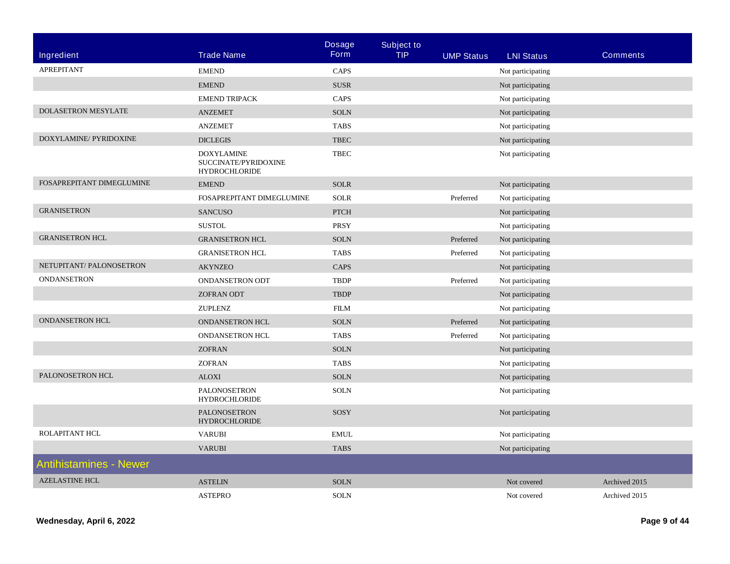|                               |                                                                   | <b>Dosage</b>                | <b>Subject to</b> |                   |                   |                 |
|-------------------------------|-------------------------------------------------------------------|------------------------------|-------------------|-------------------|-------------------|-----------------|
| <b>Ingredient</b>             | <b>Trade Name</b>                                                 | <b>Form</b>                  | <b>TIP</b>        | <b>UMP Status</b> | <b>LNI Status</b> | <b>Comments</b> |
| APREPITANT                    | <b>EMEND</b>                                                      | CAPS                         |                   |                   | Not participating |                 |
|                               | <b>EMEND</b>                                                      | <b>SUSR</b>                  |                   |                   | Not participating |                 |
|                               | <b>EMEND TRIPACK</b>                                              | CAPS                         |                   |                   | Not participating |                 |
| DOLASETRON MESYLATE           | <b>ANZEMET</b>                                                    | <b>SOLN</b>                  |                   |                   | Not participating |                 |
|                               | <b>ANZEMET</b>                                                    | <b>TABS</b>                  |                   |                   | Not participating |                 |
| DOXYLAMINE/ PYRIDOXINE        | <b>DICLEGIS</b>                                                   | $\ensuremath{\mathsf{TBEC}}$ |                   |                   | Not participating |                 |
|                               | <b>DOXYLAMINE</b><br>SUCCINATE/PYRIDOXINE<br><b>HYDROCHLORIDE</b> | <b>TBEC</b>                  |                   |                   | Not participating |                 |
| FOSAPREPITANT DIMEGLUMINE     | <b>EMEND</b>                                                      | <b>SOLR</b>                  |                   |                   | Not participating |                 |
|                               | FOSAPREPITANT DIMEGLUMINE                                         | <b>SOLR</b>                  |                   | Preferred         | Not participating |                 |
| <b>GRANISETRON</b>            | <b>SANCUSO</b>                                                    | <b>PTCH</b>                  |                   |                   | Not participating |                 |
|                               | <b>SUSTOL</b>                                                     | <b>PRSY</b>                  |                   |                   | Not participating |                 |
| <b>GRANISETRON HCL</b>        | <b>GRANISETRON HCL</b>                                            | <b>SOLN</b>                  |                   | Preferred         | Not participating |                 |
|                               | <b>GRANISETRON HCL</b>                                            | <b>TABS</b>                  |                   | Preferred         | Not participating |                 |
| NETUPITANT/ PALONOSETRON      | <b>AKYNZEO</b>                                                    | CAPS                         |                   |                   | Not participating |                 |
| <b>ONDANSETRON</b>            | <b>ONDANSETRON ODT</b>                                            | <b>TBDP</b>                  |                   | Preferred         | Not participating |                 |
|                               | <b>ZOFRAN ODT</b>                                                 | <b>TBDP</b>                  |                   |                   | Not participating |                 |
|                               | ZUPLENZ                                                           | <b>FILM</b>                  |                   |                   | Not participating |                 |
| <b>ONDANSETRON HCL</b>        | ONDANSETRON HCL                                                   | <b>SOLN</b>                  |                   | Preferred         | Not participating |                 |
|                               | ONDANSETRON HCL                                                   | <b>TABS</b>                  |                   | Preferred         | Not participating |                 |
|                               | <b>ZOFRAN</b>                                                     | <b>SOLN</b>                  |                   |                   | Not participating |                 |
|                               | <b>ZOFRAN</b>                                                     | <b>TABS</b>                  |                   |                   | Not participating |                 |
| PALONOSETRON HCL              | <b>ALOXI</b>                                                      | <b>SOLN</b>                  |                   |                   | Not participating |                 |
|                               | PALONOSETRON<br><b>HYDROCHLORIDE</b>                              | <b>SOLN</b>                  |                   |                   | Not participating |                 |
|                               | PALONOSETRON<br><b>HYDROCHLORIDE</b>                              | SOSY                         |                   |                   | Not participating |                 |
| ROLAPITANT HCL                | <b>VARUBI</b>                                                     | <b>EMUL</b>                  |                   |                   | Not participating |                 |
|                               | <b>VARUBI</b>                                                     | <b>TABS</b>                  |                   |                   | Not participating |                 |
| <b>Antihistamines - Newer</b> |                                                                   |                              |                   |                   |                   |                 |
| <b>AZELASTINE HCL</b>         | <b>ASTELIN</b>                                                    | <b>SOLN</b>                  |                   |                   | Not covered       | Archived 2015   |
|                               | <b>ASTEPRO</b>                                                    | <b>SOLN</b>                  |                   |                   | Not covered       | Archived 2015   |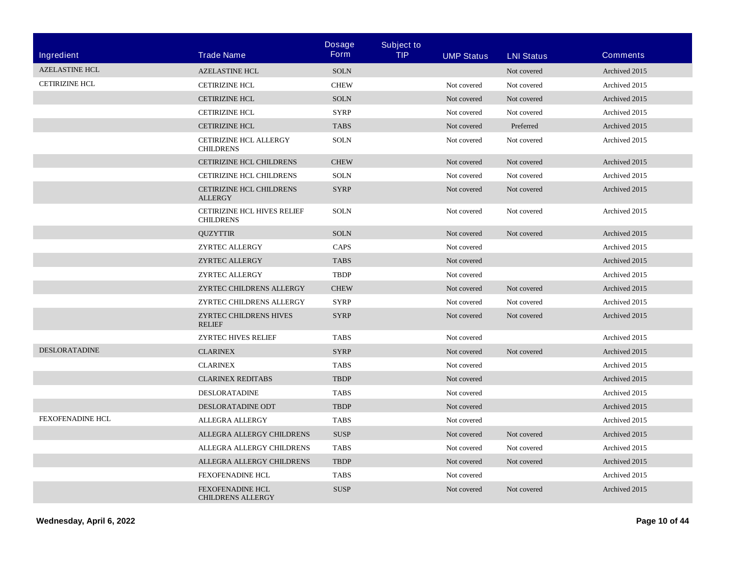| Ingredient              | <b>Trade Name</b>                                   | <b>Dosage</b><br><b>Form</b> | <b>Subject to</b><br><b>TIP</b> | <b>UMP Status</b> | <b>LNI Status</b> | <b>Comments</b> |
|-------------------------|-----------------------------------------------------|------------------------------|---------------------------------|-------------------|-------------------|-----------------|
| <b>AZELASTINE HCL</b>   | <b>AZELASTINE HCL</b>                               | <b>SOLN</b>                  |                                 |                   | Not covered       | Archived 2015   |
| <b>CETIRIZINE HCL</b>   | <b>CETIRIZINE HCL</b>                               | <b>CHEW</b>                  |                                 | Not covered       | Not covered       | Archived 2015   |
|                         | <b>CETIRIZINE HCL</b>                               | <b>SOLN</b>                  |                                 | Not covered       | Not covered       | Archived 2015   |
|                         | <b>CETIRIZINE HCL</b>                               | <b>SYRP</b>                  |                                 | Not covered       | Not covered       | Archived 2015   |
|                         | <b>CETIRIZINE HCL</b>                               | <b>TABS</b>                  |                                 | Not covered       | Preferred         | Archived 2015   |
|                         | CETIRIZINE HCL ALLERGY<br><b>CHILDRENS</b>          | <b>SOLN</b>                  |                                 | Not covered       | Not covered       | Archived 2015   |
|                         | CETIRIZINE HCL CHILDRENS                            | <b>CHEW</b>                  |                                 | Not covered       | Not covered       | Archived 2015   |
|                         | <b>CETIRIZINE HCL CHILDRENS</b>                     | <b>SOLN</b>                  |                                 | Not covered       | Not covered       | Archived 2015   |
|                         | <b>CETIRIZINE HCL CHILDRENS</b><br><b>ALLERGY</b>   | <b>SYRP</b>                  |                                 | Not covered       | Not covered       | Archived 2015   |
|                         | CETIRIZINE HCL HIVES RELIEF<br><b>CHILDRENS</b>     | <b>SOLN</b>                  |                                 | Not covered       | Not covered       | Archived 2015   |
|                         | <b>QUZYTTIR</b>                                     | <b>SOLN</b>                  |                                 | Not covered       | Not covered       | Archived 2015   |
|                         | <b>ZYRTEC ALLERGY</b>                               | CAPS                         |                                 | Not covered       |                   | Archived 2015   |
|                         | <b>ZYRTEC ALLERGY</b>                               | <b>TABS</b>                  |                                 | Not covered       |                   | Archived 2015   |
|                         | <b>ZYRTEC ALLERGY</b>                               | <b>TBDP</b>                  |                                 | Not covered       |                   | Archived 2015   |
|                         | ZYRTEC CHILDRENS ALLERGY                            | <b>CHEW</b>                  |                                 | Not covered       | Not covered       | Archived 2015   |
|                         | ZYRTEC CHILDRENS ALLERGY                            | <b>SYRP</b>                  |                                 | Not covered       | Not covered       | Archived 2015   |
|                         | ZYRTEC CHILDRENS HIVES<br><b>RELIEF</b>             | <b>SYRP</b>                  |                                 | Not covered       | Not covered       | Archived 2015   |
|                         | ZYRTEC HIVES RELIEF                                 | <b>TABS</b>                  |                                 | Not covered       |                   | Archived 2015   |
| <b>DESLORATADINE</b>    | <b>CLARINEX</b>                                     | <b>SYRP</b>                  |                                 | Not covered       | Not covered       | Archived 2015   |
|                         | <b>CLARINEX</b>                                     | <b>TABS</b>                  |                                 | Not covered       |                   | Archived 2015   |
|                         | <b>CLARINEX REDITABS</b>                            | <b>TBDP</b>                  |                                 | Not covered       |                   | Archived 2015   |
|                         | DESLORATADINE                                       | <b>TABS</b>                  |                                 | Not covered       |                   | Archived 2015   |
|                         | DESLORATADINE ODT                                   | <b>TBDP</b>                  |                                 | Not covered       |                   | Archived 2015   |
| <b>FEXOFENADINE HCL</b> | <b>ALLEGRA ALLERGY</b>                              | <b>TABS</b>                  |                                 | Not covered       |                   | Archived 2015   |
|                         | ALLEGRA ALLERGY CHILDRENS                           | <b>SUSP</b>                  |                                 | Not covered       | Not covered       | Archived 2015   |
|                         | ALLEGRA ALLERGY CHILDRENS                           | <b>TABS</b>                  |                                 | Not covered       | Not covered       | Archived 2015   |
|                         | ALLEGRA ALLERGY CHILDRENS                           | <b>TBDP</b>                  |                                 | Not covered       | Not covered       | Archived 2015   |
|                         | <b>FEXOFENADINE HCL</b>                             | <b>TABS</b>                  |                                 | Not covered       |                   | Archived 2015   |
|                         | <b>FEXOFENADINE HCL</b><br><b>CHILDRENS ALLERGY</b> | <b>SUSP</b>                  |                                 | Not covered       | Not covered       | Archived 2015   |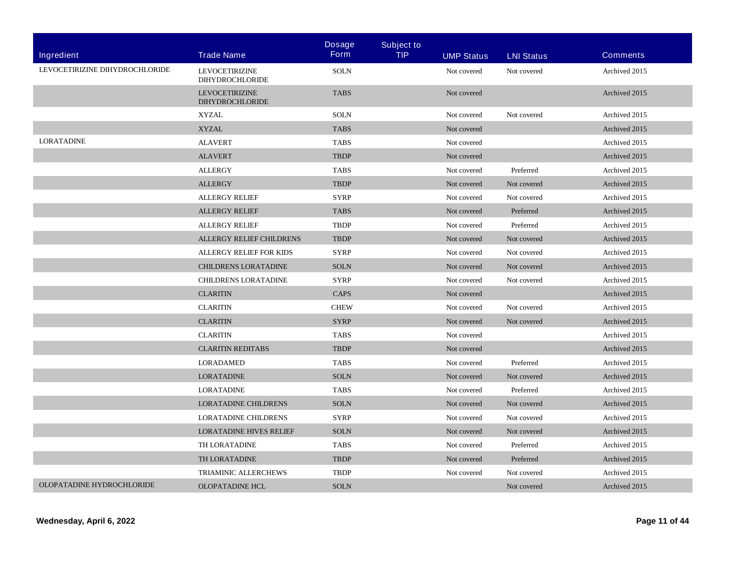|                                |                                                 | <b>Dosage</b> | <b>Subject to</b> |                   |                   |                 |
|--------------------------------|-------------------------------------------------|---------------|-------------------|-------------------|-------------------|-----------------|
| Ingredient                     | <b>Trade Name</b>                               | <b>Form</b>   | <b>TIP</b>        | <b>UMP Status</b> | <b>LNI Status</b> | <b>Comments</b> |
| LEVOCETIRIZINE DIHYDROCHLORIDE | <b>LEVOCETIRIZINE</b><br><b>DIHYDROCHLORIDE</b> | <b>SOLN</b>   |                   | Not covered       | Not covered       | Archived 2015   |
|                                | <b>LEVOCETIRIZINE</b><br><b>DIHYDROCHLORIDE</b> | <b>TABS</b>   |                   | Not covered       |                   | Archived 2015   |
|                                | <b>XYZAL</b>                                    | <b>SOLN</b>   |                   | Not covered       | Not covered       | Archived 2015   |
|                                | <b>XYZAL</b>                                    | <b>TABS</b>   |                   | Not covered       |                   | Archived 2015   |
| <b>LORATADINE</b>              | <b>ALAVERT</b>                                  | <b>TABS</b>   |                   | Not covered       |                   | Archived 2015   |
|                                | <b>ALAVERT</b>                                  | <b>TBDP</b>   |                   | Not covered       |                   | Archived 2015   |
|                                | <b>ALLERGY</b>                                  | <b>TABS</b>   |                   | Not covered       | Preferred         | Archived 2015   |
|                                | <b>ALLERGY</b>                                  | <b>TBDP</b>   |                   | Not covered       | Not covered       | Archived 2015   |
|                                | <b>ALLERGY RELIEF</b>                           | <b>SYRP</b>   |                   | Not covered       | Not covered       | Archived 2015   |
|                                | <b>ALLERGY RELIEF</b>                           | <b>TABS</b>   |                   | Not covered       | Preferred         | Archived 2015   |
|                                | <b>ALLERGY RELIEF</b>                           | TBDP          |                   | Not covered       | Preferred         | Archived 2015   |
|                                | ALLERGY RELIEF CHILDRENS                        | <b>TBDP</b>   |                   | Not covered       | Not covered       | Archived 2015   |
|                                | <b>ALLERGY RELIEF FOR KIDS</b>                  | <b>SYRP</b>   |                   | Not covered       | Not covered       | Archived 2015   |
|                                | CHILDRENS LORATADINE                            | <b>SOLN</b>   |                   | Not covered       | Not covered       | Archived 2015   |
|                                | <b>CHILDRENS LORATADINE</b>                     | <b>SYRP</b>   |                   | Not covered       | Not covered       | Archived 2015   |
|                                | <b>CLARITIN</b>                                 | CAPS          |                   | Not covered       |                   | Archived 2015   |
|                                | <b>CLARITIN</b>                                 | <b>CHEW</b>   |                   | Not covered       | Not covered       | Archived 2015   |
|                                | <b>CLARITIN</b>                                 | <b>SYRP</b>   |                   | Not covered       | Not covered       | Archived 2015   |
|                                | <b>CLARITIN</b>                                 | <b>TABS</b>   |                   | Not covered       |                   | Archived 2015   |
|                                | <b>CLARITIN REDITABS</b>                        | <b>TBDP</b>   |                   | Not covered       |                   | Archived 2015   |
|                                | <b>LORADAMED</b>                                | <b>TABS</b>   |                   | Not covered       | Preferred         | Archived 2015   |
|                                | <b>LORATADINE</b>                               | <b>SOLN</b>   |                   | Not covered       | Not covered       | Archived 2015   |
|                                | <b>LORATADINE</b>                               | <b>TABS</b>   |                   | Not covered       | Preferred         | Archived 2015   |
|                                | <b>LORATADINE CHILDRENS</b>                     | <b>SOLN</b>   |                   | Not covered       | Not covered       | Archived 2015   |
|                                | <b>LORATADINE CHILDRENS</b>                     | <b>SYRP</b>   |                   | Not covered       | Not covered       | Archived 2015   |
|                                | <b>LORATADINE HIVES RELIEF</b>                  | <b>SOLN</b>   |                   | Not covered       | Not covered       | Archived 2015   |
|                                | TH LORATADINE                                   | <b>TABS</b>   |                   | Not covered       | Preferred         | Archived 2015   |
|                                | TH LORATADINE                                   | <b>TBDP</b>   |                   | Not covered       | Preferred         | Archived 2015   |
|                                | TRIAMINIC ALLERCHEWS                            | <b>TBDP</b>   |                   | Not covered       | Not covered       | Archived 2015   |
| OLOPATADINE HYDROCHLORIDE      | <b>OLOPATADINE HCL</b>                          | <b>SOLN</b>   |                   |                   | Not covered       | Archived 2015   |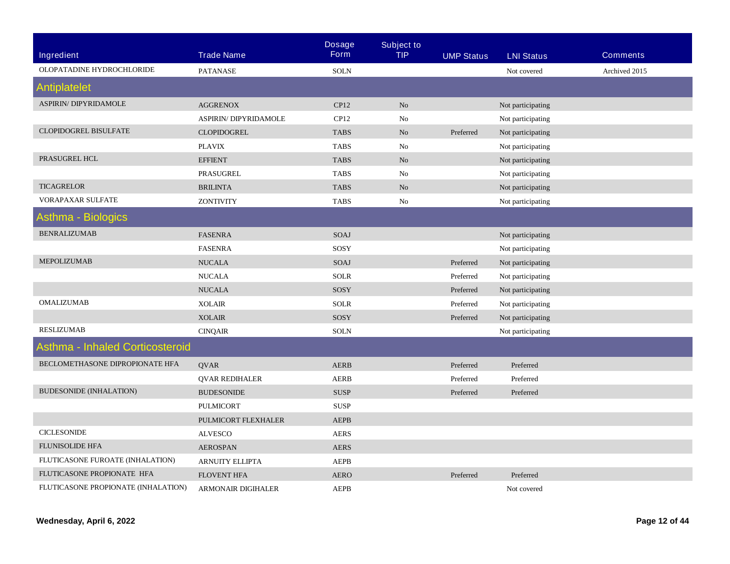|                                        |                           | <b>Dosage</b> | <b>Subject to</b> |                   |                   |                 |
|----------------------------------------|---------------------------|---------------|-------------------|-------------------|-------------------|-----------------|
| Ingredient                             | <b>Trade Name</b>         | <b>Form</b>   | <b>TIP</b>        | <b>UMP Status</b> | <b>LNI Status</b> | <b>Comments</b> |
| OLOPATADINE HYDROCHLORIDE              | <b>PATANASE</b>           | <b>SOLN</b>   |                   |                   | Not covered       | Archived 2015   |
| Antiplatelet                           |                           |               |                   |                   |                   |                 |
| <b>ASPIRIN/ DIPYRIDAMOLE</b>           | <b>AGGRENOX</b>           | CP12          | No                |                   | Not participating |                 |
|                                        | ASPIRIN/ DIPYRIDAMOLE     | CP12          | No                |                   | Not participating |                 |
| <b>CLOPIDOGREL BISULFATE</b>           | <b>CLOPIDOGREL</b>        | <b>TABS</b>   | No                | Preferred         | Not participating |                 |
|                                        | <b>PLAVIX</b>             | <b>TABS</b>   | No                |                   | Not participating |                 |
| PRASUGREL HCL                          | <b>EFFIENT</b>            | <b>TABS</b>   | No                |                   | Not participating |                 |
|                                        | PRASUGREL                 | <b>TABS</b>   | No                |                   | Not participating |                 |
| <b>TICAGRELOR</b>                      | <b>BRILINTA</b>           | <b>TABS</b>   | No                |                   | Not participating |                 |
| VORAPAXAR SULFATE                      | <b>ZONTIVITY</b>          | <b>TABS</b>   | No                |                   | Not participating |                 |
| Asthma - Biologics                     |                           |               |                   |                   |                   |                 |
| <b>BENRALIZUMAB</b>                    | <b>FASENRA</b>            | SOAJ          |                   |                   | Not participating |                 |
|                                        | <b>FASENRA</b>            | SOSY          |                   |                   | Not participating |                 |
| MEPOLIZUMAB                            | <b>NUCALA</b>             | SOAJ          |                   | Preferred         | Not participating |                 |
|                                        | <b>NUCALA</b>             | <b>SOLR</b>   |                   | Preferred         | Not participating |                 |
|                                        | <b>NUCALA</b>             | SOSY          |                   | Preferred         | Not participating |                 |
| <b>OMALIZUMAB</b>                      | <b>XOLAIR</b>             | <b>SOLR</b>   |                   | Preferred         | Not participating |                 |
|                                        | <b>XOLAIR</b>             | SOSY          |                   | Preferred         | Not participating |                 |
| <b>RESLIZUMAB</b>                      | <b>CINQAIR</b>            | <b>SOLN</b>   |                   |                   | Not participating |                 |
| <b>Asthma - Inhaled Corticosteroid</b> |                           |               |                   |                   |                   |                 |
| BECLOMETHASONE DIPROPIONATE HFA        | <b>QVAR</b>               | <b>AERB</b>   |                   | Preferred         | Preferred         |                 |
|                                        | <b>QVAR REDIHALER</b>     | <b>AERB</b>   |                   | Preferred         | Preferred         |                 |
| <b>BUDESONIDE (INHALATION)</b>         | <b>BUDESONIDE</b>         | <b>SUSP</b>   |                   | Preferred         | Preferred         |                 |
|                                        | <b>PULMICORT</b>          | <b>SUSP</b>   |                   |                   |                   |                 |
|                                        | PULMICORT FLEXHALER       | <b>AEPB</b>   |                   |                   |                   |                 |
| <b>CICLESONIDE</b>                     | <b>ALVESCO</b>            | <b>AERS</b>   |                   |                   |                   |                 |
| <b>FLUNISOLIDE HFA</b>                 | <b>AEROSPAN</b>           | <b>AERS</b>   |                   |                   |                   |                 |
| FLUTICASONE FUROATE (INHALATION)       | <b>ARNUITY ELLIPTA</b>    | <b>AEPB</b>   |                   |                   |                   |                 |
| FLUTICASONE PROPIONATE HFA             | <b>FLOVENT HFA</b>        | <b>AERO</b>   |                   | Preferred         | Preferred         |                 |
| FLUTICASONE PROPIONATE (INHALATION)    | <b>ARMONAIR DIGIHALER</b> | <b>AEPB</b>   |                   |                   | Not covered       |                 |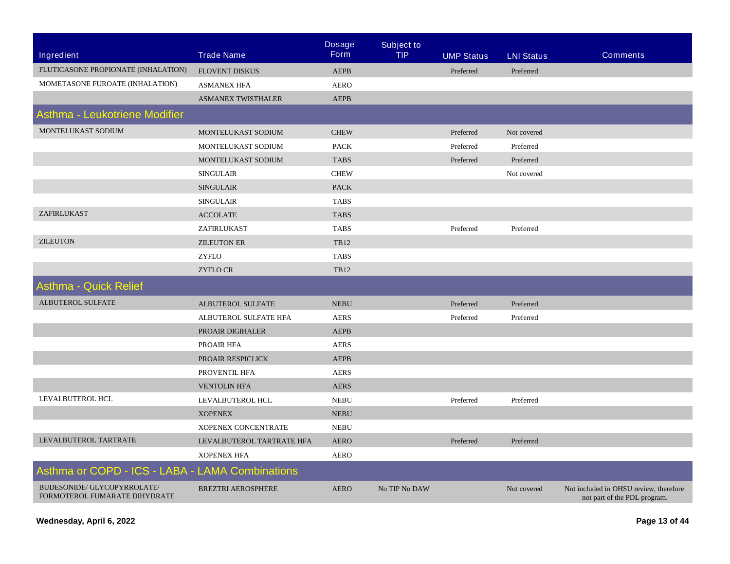| Ingredient                                                   | <b>Trade Name</b>         | <b>Dosage</b><br><b>Form</b> | <b>Subject to</b><br><b>TIP</b> | <b>UMP Status</b> | <b>LNI Status</b> | <b>Comments</b>                                                        |
|--------------------------------------------------------------|---------------------------|------------------------------|---------------------------------|-------------------|-------------------|------------------------------------------------------------------------|
| FLUTICASONE PROPIONATE (INHALATION)                          | <b>FLOVENT DISKUS</b>     | <b>AEPB</b>                  |                                 | Preferred         | Preferred         |                                                                        |
| MOMETASONE FUROATE (INHALATION)                              | <b>ASMANEX HFA</b>        | <b>AERO</b>                  |                                 |                   |                   |                                                                        |
|                                                              | <b>ASMANEX TWISTHALER</b> | <b>AEPB</b>                  |                                 |                   |                   |                                                                        |
| Asthma - Leukotriene Modifier                                |                           |                              |                                 |                   |                   |                                                                        |
| MONTELUKAST SODIUM                                           | MONTELUKAST SODIUM        | <b>CHEW</b>                  |                                 | Preferred         | Not covered       |                                                                        |
|                                                              | MONTELUKAST SODIUM        | <b>PACK</b>                  |                                 | Preferred         | Preferred         |                                                                        |
|                                                              | MONTELUKAST SODIUM        | <b>TABS</b>                  |                                 | Preferred         | Preferred         |                                                                        |
|                                                              | <b>SINGULAIR</b>          | ${\rm CHEW}$                 |                                 |                   | Not covered       |                                                                        |
|                                                              | <b>SINGULAIR</b>          | <b>PACK</b>                  |                                 |                   |                   |                                                                        |
|                                                              | <b>SINGULAIR</b>          | <b>TABS</b>                  |                                 |                   |                   |                                                                        |
| ZAFIRLUKAST                                                  | <b>ACCOLATE</b>           | <b>TABS</b>                  |                                 |                   |                   |                                                                        |
|                                                              | ZAFIRLUKAST               | <b>TABS</b>                  |                                 | Preferred         | Preferred         |                                                                        |
| <b>ZILEUTON</b>                                              | <b>ZILEUTON ER</b>        | TB12                         |                                 |                   |                   |                                                                        |
|                                                              | <b>ZYFLO</b>              | <b>TABS</b>                  |                                 |                   |                   |                                                                        |
|                                                              | <b>ZYFLO CR</b>           | <b>TB12</b>                  |                                 |                   |                   |                                                                        |
| <b>Asthma - Quick Relief</b>                                 |                           |                              |                                 |                   |                   |                                                                        |
| ALBUTEROL SULFATE                                            | ALBUTEROL SULFATE         | <b>NEBU</b>                  |                                 | Preferred         | Preferred         |                                                                        |
|                                                              | ALBUTEROL SULFATE HFA     | <b>AERS</b>                  |                                 | Preferred         | Preferred         |                                                                        |
|                                                              | PROAIR DIGIHALER          | <b>AEPB</b>                  |                                 |                   |                   |                                                                        |
|                                                              | PROAIR HFA                | <b>AERS</b>                  |                                 |                   |                   |                                                                        |
|                                                              | PROAIR RESPICLICK         | <b>AEPB</b>                  |                                 |                   |                   |                                                                        |
|                                                              | PROVENTIL HFA             | <b>AERS</b>                  |                                 |                   |                   |                                                                        |
|                                                              | <b>VENTOLIN HFA</b>       | <b>AERS</b>                  |                                 |                   |                   |                                                                        |
| LEVALBUTEROL HCL                                             | LEVALBUTEROL HCL          | <b>NEBU</b>                  |                                 | Preferred         | Preferred         |                                                                        |
|                                                              | <b>XOPENEX</b>            | <b>NEBU</b>                  |                                 |                   |                   |                                                                        |
|                                                              | XOPENEX CONCENTRATE       | <b>NEBU</b>                  |                                 |                   |                   |                                                                        |
| LEVALBUTEROL TARTRATE                                        | LEVALBUTEROL TARTRATE HFA | <b>AERO</b>                  |                                 | Preferred         | Preferred         |                                                                        |
|                                                              | <b>XOPENEX HFA</b>        | <b>AERO</b>                  |                                 |                   |                   |                                                                        |
| Asthma or COPD - ICS - LABA - LAMA Combinations              |                           |                              |                                 |                   |                   |                                                                        |
| BUDESONIDE/ GLYCOPYRROLATE/<br>FORMOTEROL FUMARATE DIHYDRATE | <b>BREZTRI AEROSPHERE</b> | <b>AERO</b>                  | No TIP No DAW                   |                   | Not covered       | Not included in OHSU review, therefore<br>not part of the PDL program. |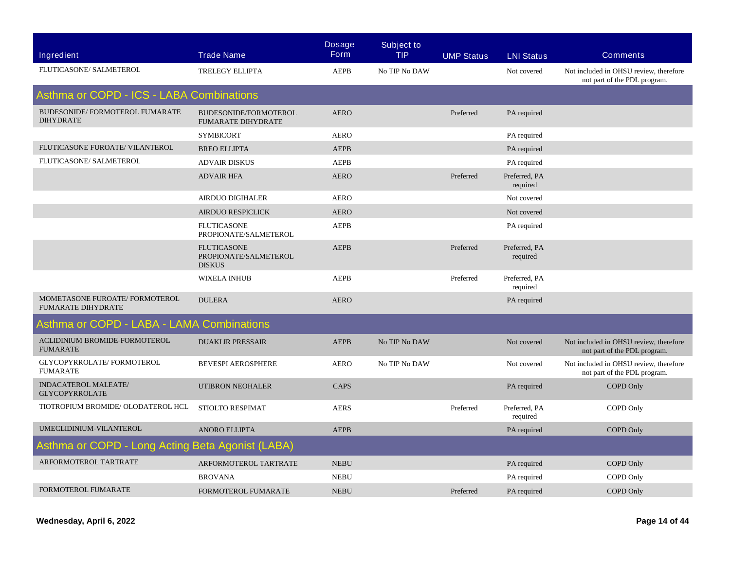| <b>Ingredient</b>                                           | <b>Trade Name</b>                                            | <b>Dosage</b><br><b>Form</b> | <b>Subject to</b><br><b>TIP</b> | <b>UMP Status</b> | <b>LNI Status</b>         | <b>Comments</b>                                                        |
|-------------------------------------------------------------|--------------------------------------------------------------|------------------------------|---------------------------------|-------------------|---------------------------|------------------------------------------------------------------------|
| FLUTICASONE/ SALMETEROL                                     | <b>TRELEGY ELLIPTA</b>                                       | <b>AEPB</b>                  | No TIP No DAW                   |                   | Not covered               | Not included in OHSU review, therefore<br>not part of the PDL program. |
| Asthma or COPD - ICS - LABA Combinations                    |                                                              |                              |                                 |                   |                           |                                                                        |
| BUDESONIDE/FORMOTEROL FUMARATE<br><b>DIHYDRATE</b>          | BUDESONIDE/FORMOTEROL<br><b>FUMARATE DIHYDRATE</b>           | <b>AERO</b>                  |                                 | Preferred         | PA required               |                                                                        |
|                                                             | <b>SYMBICORT</b>                                             | <b>AERO</b>                  |                                 |                   | PA required               |                                                                        |
| FLUTICASONE FUROATE/ VILANTEROL                             | <b>BREO ELLIPTA</b>                                          | <b>AEPB</b>                  |                                 |                   | PA required               |                                                                        |
| FLUTICASONE/ SALMETEROL                                     | <b>ADVAIR DISKUS</b>                                         | <b>AEPB</b>                  |                                 |                   | PA required               |                                                                        |
|                                                             | <b>ADVAIR HFA</b>                                            | <b>AERO</b>                  |                                 | Preferred         | Preferred, PA<br>required |                                                                        |
|                                                             | <b>AIRDUO DIGIHALER</b>                                      | <b>AERO</b>                  |                                 |                   | Not covered               |                                                                        |
|                                                             | <b>AIRDUO RESPICLICK</b>                                     | <b>AERO</b>                  |                                 |                   | Not covered               |                                                                        |
|                                                             | <b>FLUTICASONE</b><br>PROPIONATE/SALMETEROL                  | <b>AEPB</b>                  |                                 |                   | PA required               |                                                                        |
|                                                             | <b>FLUTICASONE</b><br>PROPIONATE/SALMETEROL<br><b>DISKUS</b> | <b>AEPB</b>                  |                                 | Preferred         | Preferred, PA<br>required |                                                                        |
|                                                             | <b>WIXELA INHUB</b>                                          | <b>AEPB</b>                  |                                 | Preferred         | Preferred, PA<br>required |                                                                        |
| MOMETASONE FUROATE/ FORMOTEROL<br><b>FUMARATE DIHYDRATE</b> | <b>DULERA</b>                                                | <b>AERO</b>                  |                                 |                   | PA required               |                                                                        |
| Asthma or COPD - LABA - LAMA Combinations                   |                                                              |                              |                                 |                   |                           |                                                                        |
| ACLIDINIUM BROMIDE-FORMOTEROL<br><b>FUMARATE</b>            | <b>DUAKLIR PRESSAIR</b>                                      | <b>AEPB</b>                  | No TIP No DAW                   |                   | Not covered               | Not included in OHSU review, therefore<br>not part of the PDL program. |
| GLYCOPYRROLATE/FORMOTEROL<br><b>FUMARATE</b>                | <b>BEVESPI AEROSPHERE</b>                                    | <b>AERO</b>                  | No TIP No DAW                   |                   | Not covered               | Not included in OHSU review, therefore<br>not part of the PDL program. |
| <b>INDACATEROL MALEATE/</b><br><b>GLYCOPYRROLATE</b>        | <b>UTIBRON NEOHALER</b>                                      | <b>CAPS</b>                  |                                 |                   | PA required               | COPD Only                                                              |
| TIOTROPIUM BROMIDE/ OLODATEROL HCL                          | STIOLTO RESPIMAT                                             | <b>AERS</b>                  |                                 | Preferred         | Preferred, PA<br>required | COPD Only                                                              |
| UMECLIDINIUM-VILANTEROL                                     | <b>ANORO ELLIPTA</b>                                         | <b>AEPB</b>                  |                                 |                   | PA required               | COPD Only                                                              |
| Asthma or COPD - Long Acting Beta Agonist (LABA)            |                                                              |                              |                                 |                   |                           |                                                                        |
| ARFORMOTEROL TARTRATE                                       | ARFORMOTEROL TARTRATE                                        | <b>NEBU</b>                  |                                 |                   | PA required               | COPD Only                                                              |
|                                                             | <b>BROVANA</b>                                               | <b>NEBU</b>                  |                                 |                   | PA required               | COPD Only                                                              |
| FORMOTEROL FUMARATE                                         | FORMOTEROL FUMARATE                                          | <b>NEBU</b>                  |                                 | Preferred         | PA required               | COPD Only                                                              |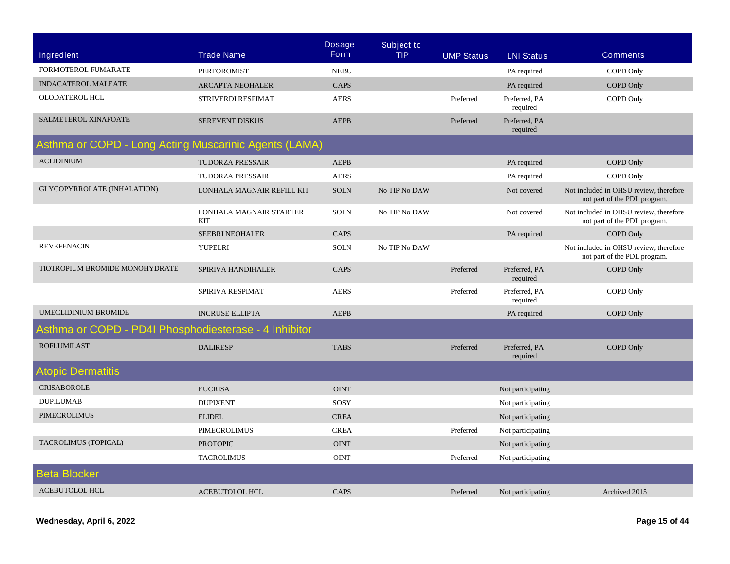|                                                       |                                       | <b>Dosage</b> | <b>Subject to</b> |                   |                           |                                                                        |  |  |
|-------------------------------------------------------|---------------------------------------|---------------|-------------------|-------------------|---------------------------|------------------------------------------------------------------------|--|--|
| <b>Ingredient</b>                                     | <b>Trade Name</b>                     | <b>Form</b>   | <b>TIP</b>        | <b>UMP Status</b> | <b>LNI Status</b>         | <b>Comments</b>                                                        |  |  |
| FORMOTEROL FUMARATE                                   | <b>PERFOROMIST</b>                    | <b>NEBU</b>   |                   |                   | PA required               | COPD Only                                                              |  |  |
| <b>INDACATEROL MALEATE</b>                            | <b>ARCAPTA NEOHALER</b>               | CAPS          |                   |                   | PA required               | <b>COPD Only</b>                                                       |  |  |
| OLODATEROL HCL                                        | STRIVERDI RESPIMAT                    | <b>AERS</b>   |                   | Preferred         | Preferred, PA<br>required | COPD Only                                                              |  |  |
| SALMETEROL XINAFOATE                                  | SEREVENT DISKUS                       | <b>AEPB</b>   |                   | Preferred         | Preferred, PA<br>required |                                                                        |  |  |
| Asthma or COPD - Long Acting Muscarinic Agents (LAMA) |                                       |               |                   |                   |                           |                                                                        |  |  |
| <b>ACLIDINIUM</b>                                     | <b>TUDORZA PRESSAIR</b>               | <b>AEPB</b>   |                   |                   | PA required               | COPD Only                                                              |  |  |
|                                                       | <b>TUDORZA PRESSAIR</b>               | <b>AERS</b>   |                   |                   | PA required               | COPD Only                                                              |  |  |
| GLYCOPYRROLATE (INHALATION)                           | LONHALA MAGNAIR REFILL KIT            | <b>SOLN</b>   | No TIP No DAW     |                   | Not covered               | Not included in OHSU review, therefore<br>not part of the PDL program. |  |  |
|                                                       | LONHALA MAGNAIR STARTER<br><b>KIT</b> | <b>SOLN</b>   | No TIP No DAW     |                   | Not covered               | Not included in OHSU review, therefore<br>not part of the PDL program. |  |  |
|                                                       | <b>SEEBRI NEOHALER</b>                | CAPS          |                   |                   | PA required               | COPD Only                                                              |  |  |
| <b>REVEFENACIN</b>                                    | YUPELRI                               | <b>SOLN</b>   | No TIP No DAW     |                   |                           | Not included in OHSU review, therefore<br>not part of the PDL program. |  |  |
| TIOTROPIUM BROMIDE MONOHYDRATE                        | SPIRIVA HANDIHALER                    | CAPS          |                   | Preferred         | Preferred, PA<br>required | COPD Only                                                              |  |  |
|                                                       | SPIRIVA RESPIMAT                      | <b>AERS</b>   |                   | Preferred         | Preferred, PA<br>required | COPD Only                                                              |  |  |
| <b>UMECLIDINIUM BROMIDE</b>                           | <b>INCRUSE ELLIPTA</b>                | <b>AEPB</b>   |                   |                   | PA required               | COPD Only                                                              |  |  |
| Asthma or COPD - PD4I Phosphodiesterase - 4 Inhibitor |                                       |               |                   |                   |                           |                                                                        |  |  |
| <b>ROFLUMILAST</b>                                    | <b>DALIRESP</b>                       | <b>TABS</b>   |                   | Preferred         | Preferred, PA<br>required | <b>COPD Only</b>                                                       |  |  |
| <b>Atopic Dermatitis</b>                              |                                       |               |                   |                   |                           |                                                                        |  |  |
| <b>CRISABOROLE</b>                                    | <b>EUCRISA</b>                        | <b>OINT</b>   |                   |                   | Not participating         |                                                                        |  |  |
| <b>DUPILUMAB</b>                                      | <b>DUPIXENT</b>                       | SOSY          |                   |                   | Not participating         |                                                                        |  |  |
| <b>PIMECROLIMUS</b>                                   | <b>ELIDEL</b>                         | <b>CREA</b>   |                   |                   | Not participating         |                                                                        |  |  |
|                                                       | <b>PIMECROLIMUS</b>                   | <b>CREA</b>   |                   | Preferred         | Not participating         |                                                                        |  |  |
| <b>TACROLIMUS (TOPICAL)</b>                           | <b>PROTOPIC</b>                       | <b>OINT</b>   |                   |                   | Not participating         |                                                                        |  |  |
|                                                       | <b>TACROLIMUS</b>                     | <b>OINT</b>   |                   | Preferred         | Not participating         |                                                                        |  |  |
| Beta Blocker                                          |                                       |               |                   |                   |                           |                                                                        |  |  |
| <b>ACEBUTOLOL HCL</b>                                 | <b>ACEBUTOLOL HCL</b>                 | CAPS          |                   | Preferred         | Not participating         | Archived 2015                                                          |  |  |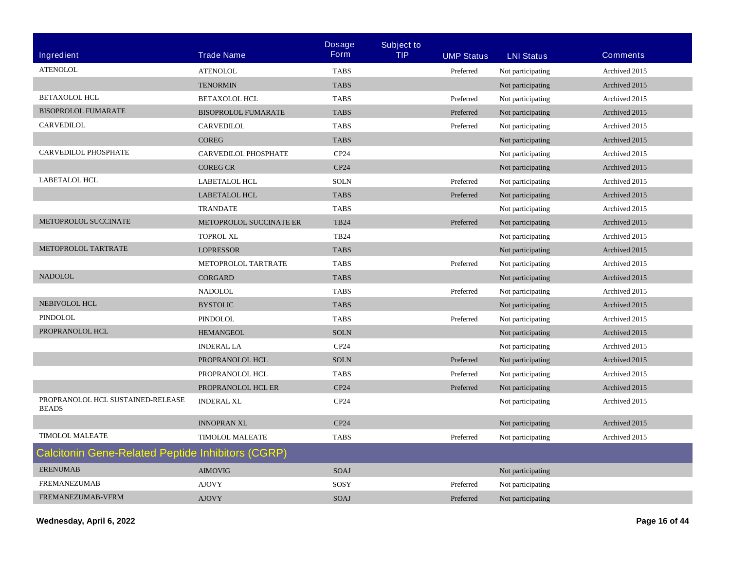|                                                   |                             | <b>Dosage</b>    | <b>Subject to</b> |                   |                   |                 |
|---------------------------------------------------|-----------------------------|------------------|-------------------|-------------------|-------------------|-----------------|
| Ingredient                                        | <b>Trade Name</b>           | <b>Form</b>      | <b>TIP</b>        | <b>UMP Status</b> | <b>LNI Status</b> | <b>Comments</b> |
| <b>ATENOLOL</b>                                   | <b>ATENOLOL</b>             | <b>TABS</b>      |                   | Preferred         | Not participating | Archived 2015   |
|                                                   | <b>TENORMIN</b>             | <b>TABS</b>      |                   |                   | Not participating | Archived 2015   |
| <b>BETAXOLOL HCL</b>                              | <b>BETAXOLOL HCL</b>        | <b>TABS</b>      |                   | Preferred         | Not participating | Archived 2015   |
| <b>BISOPROLOL FUMARATE</b>                        | <b>BISOPROLOL FUMARATE</b>  | <b>TABS</b>      |                   | Preferred         | Not participating | Archived 2015   |
| <b>CARVEDILOL</b>                                 | CARVEDILOL                  | <b>TABS</b>      |                   | Preferred         | Not participating | Archived 2015   |
|                                                   | <b>COREG</b>                | <b>TABS</b>      |                   |                   | Not participating | Archived 2015   |
| CARVEDILOL PHOSPHATE                              | <b>CARVEDILOL PHOSPHATE</b> | CP <sub>24</sub> |                   |                   | Not participating | Archived 2015   |
|                                                   | <b>COREG CR</b>             | CP24             |                   |                   | Not participating | Archived 2015   |
| <b>LABETALOL HCL</b>                              | <b>LABETALOL HCL</b>        | <b>SOLN</b>      |                   | Preferred         | Not participating | Archived 2015   |
|                                                   | <b>LABETALOL HCL</b>        | <b>TABS</b>      |                   | Preferred         | Not participating | Archived 2015   |
|                                                   | <b>TRANDATE</b>             | <b>TABS</b>      |                   |                   | Not participating | Archived 2015   |
| METOPROLOL SUCCINATE                              | METOPROLOL SUCCINATE ER     | <b>TB24</b>      |                   | Preferred         | Not participating | Archived 2015   |
|                                                   | <b>TOPROL XL</b>            | <b>TB24</b>      |                   |                   | Not participating | Archived 2015   |
| METOPROLOL TARTRATE                               | <b>LOPRESSOR</b>            | <b>TABS</b>      |                   |                   | Not participating | Archived 2015   |
|                                                   | METOPROLOL TARTRATE         | <b>TABS</b>      |                   | Preferred         | Not participating | Archived 2015   |
| <b>NADOLOL</b>                                    | <b>CORGARD</b>              | <b>TABS</b>      |                   |                   | Not participating | Archived 2015   |
|                                                   | <b>NADOLOL</b>              | <b>TABS</b>      |                   | Preferred         | Not participating | Archived 2015   |
| NEBIVOLOL HCL                                     | <b>BYSTOLIC</b>             | <b>TABS</b>      |                   |                   | Not participating | Archived 2015   |
| <b>PINDOLOL</b>                                   | PINDOLOL                    | <b>TABS</b>      |                   | Preferred         | Not participating | Archived 2015   |
| PROPRANOLOL HCL                                   | <b>HEMANGEOL</b>            | <b>SOLN</b>      |                   |                   | Not participating | Archived 2015   |
|                                                   | <b>INDERAL LA</b>           | CP <sub>24</sub> |                   |                   | Not participating | Archived 2015   |
|                                                   | PROPRANOLOL HCL             | <b>SOLN</b>      |                   | Preferred         | Not participating | Archived 2015   |
|                                                   | PROPRANOLOL HCL             | <b>TABS</b>      |                   | Preferred         | Not participating | Archived 2015   |
|                                                   | PROPRANOLOL HCL ER          | CP24             |                   | Preferred         | Not participating | Archived 2015   |
| PROPRANOLOL HCL SUSTAINED-RELEASE<br><b>BEADS</b> | <b>INDERAL XL</b>           | CP24             |                   |                   | Not participating | Archived 2015   |
|                                                   | <b>INNOPRAN XL</b>          | CP24             |                   |                   | Not participating | Archived 2015   |
| <b>TIMOLOL MALEATE</b>                            | <b>TIMOLOL MALEATE</b>      | <b>TABS</b>      |                   | Preferred         | Not participating | Archived 2015   |
| Calcitonin Gene-Related Peptide Inhibitors (CGRP) |                             |                  |                   |                   |                   |                 |
| <b>ERENUMAB</b>                                   | <b>AIMOVIG</b>              | <b>SOAJ</b>      |                   |                   | Not participating |                 |
| <b>FREMANEZUMAB</b>                               | <b>AJOVY</b>                | SOSY             |                   | Preferred         | Not participating |                 |
| FREMANEZUMAB-VFRM                                 | <b>AJOVY</b>                | SOAJ             |                   | Preferred         | Not participating |                 |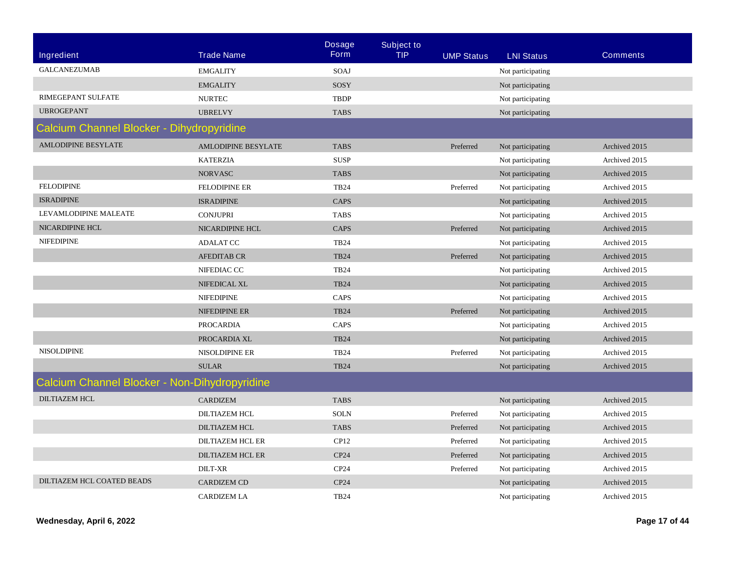|                                               |                            | <b>Dosage</b>    | <b>Subject to</b> |                   |                   |                 |  |  |
|-----------------------------------------------|----------------------------|------------------|-------------------|-------------------|-------------------|-----------------|--|--|
| Ingredient                                    | <b>Trade Name</b>          | <b>Form</b>      | <b>TIP</b>        | <b>UMP Status</b> | <b>LNI Status</b> | <b>Comments</b> |  |  |
| <b>GALCANEZUMAB</b>                           | <b>EMGALITY</b>            | SOAJ             |                   |                   | Not participating |                 |  |  |
|                                               | <b>EMGALITY</b>            | SOSY             |                   |                   | Not participating |                 |  |  |
| <b>RIMEGEPANT SULFATE</b>                     | <b>NURTEC</b>              | <b>TBDP</b>      |                   |                   | Not participating |                 |  |  |
| <b>UBROGEPANT</b>                             | <b>UBRELVY</b>             | <b>TABS</b>      |                   |                   | Not participating |                 |  |  |
| Calcium Channel Blocker - Dihydropyridine     |                            |                  |                   |                   |                   |                 |  |  |
| <b>AMLODIPINE BESYLATE</b>                    | <b>AMLODIPINE BESYLATE</b> | <b>TABS</b>      |                   | Preferred         | Not participating | Archived 2015   |  |  |
|                                               | <b>KATERZIA</b>            | <b>SUSP</b>      |                   |                   | Not participating | Archived 2015   |  |  |
|                                               | <b>NORVASC</b>             | <b>TABS</b>      |                   |                   | Not participating | Archived 2015   |  |  |
| <b>FELODIPINE</b>                             | <b>FELODIPINE ER</b>       | <b>TB24</b>      |                   | Preferred         | Not participating | Archived 2015   |  |  |
| <b>ISRADIPINE</b>                             | <b>ISRADIPINE</b>          | CAPS             |                   |                   | Not participating | Archived 2015   |  |  |
| LEVAMLODIPINE MALEATE                         | <b>CONJUPRI</b>            | <b>TABS</b>      |                   |                   | Not participating | Archived 2015   |  |  |
| NICARDIPINE HCL                               | <b>NICARDIPINE HCL</b>     | <b>CAPS</b>      |                   | Preferred         | Not participating | Archived 2015   |  |  |
| <b>NIFEDIPINE</b>                             | <b>ADALAT CC</b>           | <b>TB24</b>      |                   |                   | Not participating | Archived 2015   |  |  |
|                                               | <b>AFEDITAB CR</b>         | <b>TB24</b>      |                   | Preferred         | Not participating | Archived 2015   |  |  |
|                                               | NIFEDIAC CC                | <b>TB24</b>      |                   |                   | Not participating | Archived 2015   |  |  |
|                                               | NIFEDICAL XL               | <b>TB24</b>      |                   |                   | Not participating | Archived 2015   |  |  |
|                                               | <b>NIFEDIPINE</b>          | <b>CAPS</b>      |                   |                   | Not participating | Archived 2015   |  |  |
|                                               | NIFEDIPINE ER              | <b>TB24</b>      |                   | Preferred         | Not participating | Archived 2015   |  |  |
|                                               | <b>PROCARDIA</b>           | CAPS             |                   |                   | Not participating | Archived 2015   |  |  |
|                                               | PROCARDIA XL               | <b>TB24</b>      |                   |                   | Not participating | Archived 2015   |  |  |
| <b>NISOLDIPINE</b>                            | <b>NISOLDIPINE ER</b>      | <b>TB24</b>      |                   | Preferred         | Not participating | Archived 2015   |  |  |
|                                               | <b>SULAR</b>               | <b>TB24</b>      |                   |                   | Not participating | Archived 2015   |  |  |
| Calcium Channel Blocker - Non-Dihydropyridine |                            |                  |                   |                   |                   |                 |  |  |
| <b>DILTIAZEM HCL</b>                          | <b>CARDIZEM</b>            | <b>TABS</b>      |                   |                   | Not participating | Archived 2015   |  |  |
|                                               | <b>DILTIAZEM HCL</b>       | <b>SOLN</b>      |                   | Preferred         | Not participating | Archived 2015   |  |  |
|                                               | <b>DILTIAZEM HCL</b>       | <b>TABS</b>      |                   | Preferred         | Not participating | Archived 2015   |  |  |
|                                               | <b>DILTIAZEM HCL ER</b>    | CP12             |                   | Preferred         | Not participating | Archived 2015   |  |  |
|                                               | DILTIAZEM HCL ER           | CP24             |                   | Preferred         | Not participating | Archived 2015   |  |  |
|                                               | <b>DILT-XR</b>             | CP <sub>24</sub> |                   | Preferred         | Not participating | Archived 2015   |  |  |
| DILTIAZEM HCL COATED BEADS                    | <b>CARDIZEM CD</b>         | CP24             |                   |                   | Not participating | Archived 2015   |  |  |
|                                               | <b>CARDIZEM LA</b>         | <b>TB24</b>      |                   |                   | Not participating | Archived 2015   |  |  |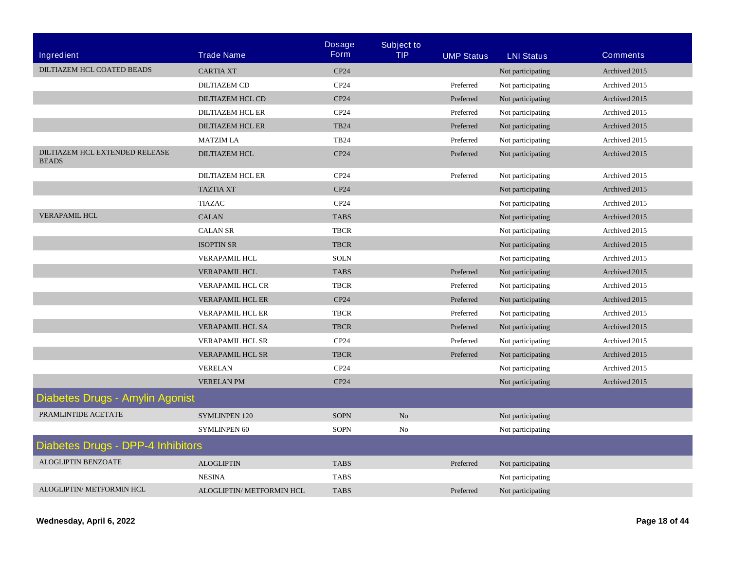|                                                |                           | <b>Dosage</b>    | <b>Subject to</b> |                   |                   |                 |
|------------------------------------------------|---------------------------|------------------|-------------------|-------------------|-------------------|-----------------|
| Ingredient                                     | <b>Trade Name</b>         | <b>Form</b>      | <b>TIP</b>        | <b>UMP Status</b> | <b>LNI Status</b> | <b>Comments</b> |
| DILTIAZEM HCL COATED BEADS                     | <b>CARTIA XT</b>          | CP24             |                   |                   | Not participating | Archived 2015   |
|                                                | <b>DILTIAZEM CD</b>       | CP24             |                   | Preferred         | Not participating | Archived 2015   |
|                                                | <b>DILTIAZEM HCL CD</b>   | CP24             |                   | Preferred         | Not participating | Archived 2015   |
|                                                | <b>DILTIAZEM HCL ER</b>   | CP24             |                   | Preferred         | Not participating | Archived 2015   |
|                                                | <b>DILTIAZEM HCL ER</b>   | <b>TB24</b>      |                   | Preferred         | Not participating | Archived 2015   |
|                                                | <b>MATZIM LA</b>          | <b>TB24</b>      |                   | Preferred         | Not participating | Archived 2015   |
| DILTIAZEM HCL EXTENDED RELEASE<br><b>BEADS</b> | <b>DILTIAZEM HCL</b>      | CP24             |                   | Preferred         | Not participating | Archived 2015   |
|                                                | <b>DILTIAZEM HCL ER</b>   | CP <sub>24</sub> |                   | Preferred         | Not participating | Archived 2015   |
|                                                | <b>TAZTIA XT</b>          | CP24             |                   |                   | Not participating | Archived 2015   |
|                                                | <b>TIAZAC</b>             | CP <sub>24</sub> |                   |                   | Not participating | Archived 2015   |
| <b>VERAPAMIL HCL</b>                           | <b>CALAN</b>              | <b>TABS</b>      |                   |                   | Not participating | Archived 2015   |
|                                                | <b>CALAN SR</b>           | <b>TBCR</b>      |                   |                   | Not participating | Archived 2015   |
|                                                | <b>ISOPTIN SR</b>         | <b>TBCR</b>      |                   |                   | Not participating | Archived 2015   |
|                                                | VERAPAMIL HCL             | <b>SOLN</b>      |                   |                   | Not participating | Archived 2015   |
|                                                | <b>VERAPAMIL HCL</b>      | <b>TABS</b>      |                   | Preferred         | Not participating | Archived 2015   |
|                                                | <b>VERAPAMIL HCL CR</b>   | <b>TBCR</b>      |                   | Preferred         | Not participating | Archived 2015   |
|                                                | <b>VERAPAMIL HCL ER</b>   | CP24             |                   | Preferred         | Not participating | Archived 2015   |
|                                                | <b>VERAPAMIL HCL ER</b>   | <b>TBCR</b>      |                   | Preferred         | Not participating | Archived 2015   |
|                                                | VERAPAMIL HCL SA          | <b>TBCR</b>      |                   | Preferred         | Not participating | Archived 2015   |
|                                                | <b>VERAPAMIL HCL SR</b>   | CP <sub>24</sub> |                   | Preferred         | Not participating | Archived 2015   |
|                                                | <b>VERAPAMIL HCL SR</b>   | <b>TBCR</b>      |                   | Preferred         | Not participating | Archived 2015   |
|                                                | <b>VERELAN</b>            | CP <sub>24</sub> |                   |                   | Not participating | Archived 2015   |
|                                                | <b>VERELAN PM</b>         | CP24             |                   |                   | Not participating | Archived 2015   |
| Diabetes Drugs - Amylin Agonist                |                           |                  |                   |                   |                   |                 |
| PRAMLINTIDE ACETATE                            | <b>SYMLINPEN 120</b>      | <b>SOPN</b>      | N <sub>o</sub>    |                   | Not participating |                 |
|                                                | <b>SYMLINPEN 60</b>       | <b>SOPN</b>      | N <sub>0</sub>    |                   | Not participating |                 |
| Diabetes Drugs - DPP-4 Inhibitors              |                           |                  |                   |                   |                   |                 |
| <b>ALOGLIPTIN BENZOATE</b>                     | <b>ALOGLIPTIN</b>         | <b>TABS</b>      |                   | Preferred         | Not participating |                 |
|                                                | <b>NESINA</b>             | <b>TABS</b>      |                   |                   | Not participating |                 |
| <b>ALOGLIPTIN/ METFORMIN HCL</b>               | ALOGLIPTIN/ METFORMIN HCL | <b>TABS</b>      |                   | Preferred         | Not participating |                 |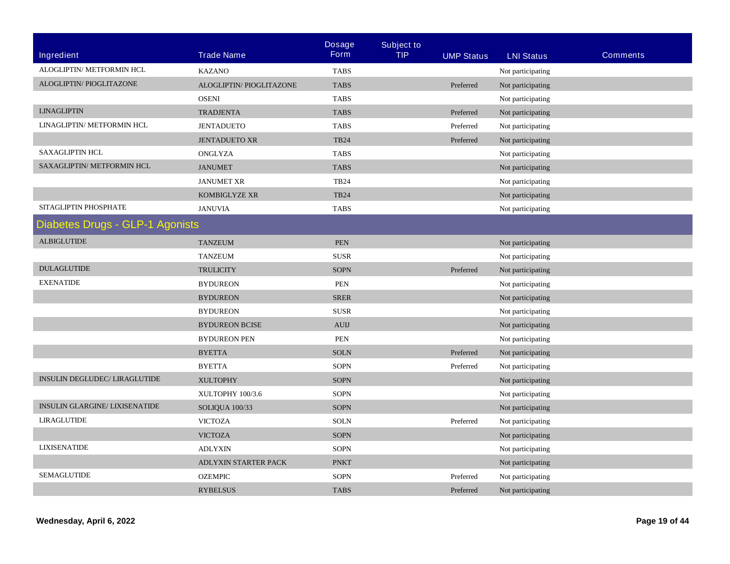|                                       |                                                           | <b>Dosage</b><br><b>Form</b>              | <b>Subject to</b> |                        |                                                                                                                            |                 |
|---------------------------------------|-----------------------------------------------------------|-------------------------------------------|-------------------|------------------------|----------------------------------------------------------------------------------------------------------------------------|-----------------|
| <b>Ingredient</b>                     | <b>Trade Name</b>                                         |                                           | <b>TIP</b>        | <b>UMP Status</b>      | <b>LNI Status</b>                                                                                                          | <b>Comments</b> |
| ALOGLIPTIN/ METFORMIN HCL             | <b>KAZANO</b>                                             | <b>TABS</b>                               |                   |                        | Not participating                                                                                                          |                 |
| ALOGLIPTIN/ PIOGLITAZONE              | ALOGLIPTIN/ PIOGLITAZONE                                  | <b>TABS</b>                               |                   | Preferred              | Not participating                                                                                                          |                 |
|                                       | <b>OSENI</b>                                              | <b>TABS</b>                               |                   |                        | Not participating                                                                                                          |                 |
| <b>LINAGLIPTIN</b>                    | <b>TRADJENTA</b>                                          | <b>TABS</b>                               |                   | Preferred              | Not participating                                                                                                          |                 |
| LINAGLIPTIN/ METFORMIN HCL            | <b>JENTADUETO</b>                                         | <b>TABS</b>                               |                   | Preferred              | Not participating                                                                                                          |                 |
|                                       | <b>JENTADUETO XR</b>                                      | <b>TB24</b>                               |                   | Preferred              | Not participating                                                                                                          |                 |
| <b>SAXAGLIPTIN HCL</b>                | ONGLYZA                                                   | <b>TABS</b>                               |                   |                        | Not participating                                                                                                          |                 |
| SAXAGLIPTIN/ METFORMIN HCL            | <b>JANUMET</b>                                            | <b>TABS</b>                               |                   |                        | Not participating                                                                                                          |                 |
|                                       | <b>JANUMET XR</b>                                         | <b>TB24</b>                               |                   |                        | Not participating                                                                                                          |                 |
|                                       | KOMBIGLYZE XR                                             | <b>TB24</b>                               |                   |                        | Not participating                                                                                                          |                 |
| SITAGLIPTIN PHOSPHATE                 | <b>JANUVIA</b>                                            | <b>TABS</b>                               |                   |                        | Not participating                                                                                                          |                 |
| Diabetes Drugs - GLP-1 Agonists       |                                                           |                                           |                   |                        |                                                                                                                            |                 |
| <b>ALBIGLUTIDE</b>                    | <b>TANZEUM</b>                                            | <b>PEN</b>                                |                   |                        | Not participating                                                                                                          |                 |
|                                       | <b>TANZEUM</b>                                            | <b>SUSR</b>                               |                   |                        | Not participating                                                                                                          |                 |
| <b>DULAGLUTIDE</b>                    | <b>TRULICITY</b>                                          | <b>SOPN</b>                               |                   | Preferred              | Not participating                                                                                                          |                 |
| <b>EXENATIDE</b>                      | <b>BYDUREON</b>                                           | <b>PEN</b>                                |                   |                        | Not participating                                                                                                          |                 |
|                                       | <b>BYDUREON</b>                                           | <b>SRER</b>                               |                   |                        | Not participating                                                                                                          |                 |
|                                       | <b>BYDUREON</b>                                           | <b>SUSR</b>                               |                   |                        | Not participating                                                                                                          |                 |
|                                       | <b>BYDUREON BCISE</b>                                     | <b>AUIJ</b>                               |                   |                        | Not participating                                                                                                          |                 |
|                                       | <b>BYDUREON PEN</b>                                       | PEN                                       |                   |                        | Not participating                                                                                                          |                 |
|                                       | <b>BYETTA</b>                                             | <b>SOLN</b>                               |                   | Preferred              | Not participating                                                                                                          |                 |
|                                       | <b>BYETTA</b>                                             | <b>SOPN</b>                               |                   | Preferred              | Not participating                                                                                                          |                 |
| INSULIN DEGLUDEC/ LIRAGLUTIDE         | <b>XULTOPHY</b>                                           | <b>SOPN</b>                               |                   |                        | Not participating                                                                                                          |                 |
|                                       | XULTOPHY 100/3.6                                          | <b>SOPN</b>                               |                   |                        | Not participating                                                                                                          |                 |
| <b>INSULIN GLARGINE/ LIXISENATIDE</b> | SOLIQUA 100/33                                            | <b>SOPN</b>                               |                   |                        | Not participating                                                                                                          |                 |
| <b>LIRAGLUTIDE</b>                    | <b>VICTOZA</b>                                            | <b>SOLN</b>                               |                   | Preferred              |                                                                                                                            |                 |
|                                       | <b>VICTOZA</b>                                            | <b>SOPN</b>                               |                   |                        |                                                                                                                            |                 |
| <b>LIXISENATIDE</b>                   | <b>ADLYXIN</b>                                            | <b>SOPN</b>                               |                   |                        |                                                                                                                            |                 |
|                                       |                                                           |                                           |                   |                        |                                                                                                                            |                 |
| <b>SEMAGLUTIDE</b>                    |                                                           |                                           |                   |                        |                                                                                                                            |                 |
|                                       |                                                           |                                           |                   |                        |                                                                                                                            |                 |
|                                       | ADLYXIN STARTER PACK<br><b>OZEMPIC</b><br><b>RYBELSUS</b> | <b>PNKT</b><br><b>SOPN</b><br><b>TABS</b> |                   | Preferred<br>Preferred | Not participating<br>Not participating<br>Not participating<br>Not participating<br>Not participating<br>Not participating |                 |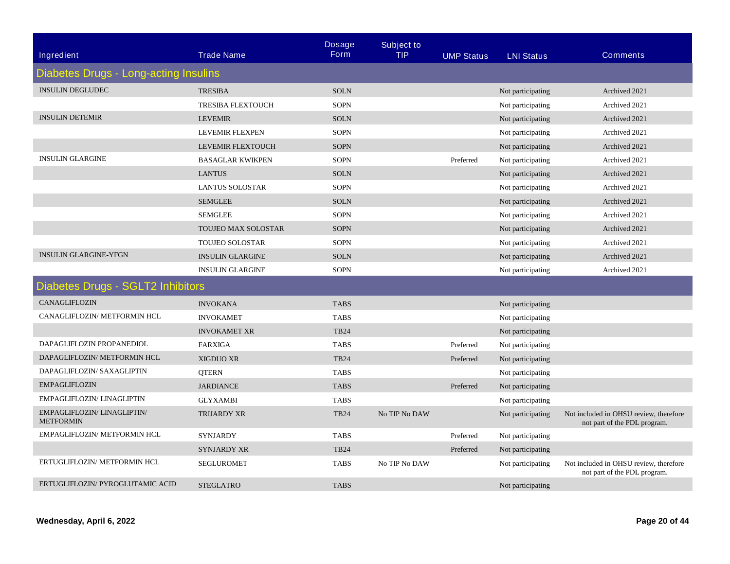| <b>Ingredient</b>                               | <b>Trade Name</b>          | <b>Dosage</b><br><b>Form</b> | <b>Subject to</b><br><b>TIP</b> | <b>UMP Status</b> | <b>LNI Status</b> | <b>Comments</b>                                                        |
|-------------------------------------------------|----------------------------|------------------------------|---------------------------------|-------------------|-------------------|------------------------------------------------------------------------|
| <b>Diabetes Drugs - Long-acting Insulins</b>    |                            |                              |                                 |                   |                   |                                                                        |
| <b>INSULIN DEGLUDEC</b>                         | <b>TRESIBA</b>             | <b>SOLN</b>                  |                                 |                   | Not participating | Archived 2021                                                          |
|                                                 | <b>TRESIBA FLEXTOUCH</b>   | <b>SOPN</b>                  |                                 |                   | Not participating | Archived 2021                                                          |
| <b>INSULIN DETEMIR</b>                          | <b>LEVEMIR</b>             | <b>SOLN</b>                  |                                 |                   | Not participating | Archived 2021                                                          |
|                                                 | LEVEMIR FLEXPEN            | <b>SOPN</b>                  |                                 |                   | Not participating | Archived 2021                                                          |
|                                                 | LEVEMIR FLEXTOUCH          | <b>SOPN</b>                  |                                 |                   | Not participating | Archived 2021                                                          |
| <b>INSULIN GLARGINE</b>                         | <b>BASAGLAR KWIKPEN</b>    | <b>SOPN</b>                  |                                 | Preferred         | Not participating | Archived 2021                                                          |
|                                                 | <b>LANTUS</b>              | <b>SOLN</b>                  |                                 |                   | Not participating | Archived 2021                                                          |
|                                                 | <b>LANTUS SOLOSTAR</b>     | <b>SOPN</b>                  |                                 |                   | Not participating | Archived 2021                                                          |
|                                                 | <b>SEMGLEE</b>             | <b>SOLN</b>                  |                                 |                   | Not participating | Archived 2021                                                          |
|                                                 | <b>SEMGLEE</b>             | <b>SOPN</b>                  |                                 |                   | Not participating | Archived 2021                                                          |
|                                                 | <b>TOUJEO MAX SOLOSTAR</b> | <b>SOPN</b>                  |                                 |                   | Not participating | Archived 2021                                                          |
|                                                 | <b>TOUJEO SOLOSTAR</b>     | <b>SOPN</b>                  |                                 |                   | Not participating | Archived 2021                                                          |
| <b>INSULIN GLARGINE-YFGN</b>                    | <b>INSULIN GLARGINE</b>    | <b>SOLN</b>                  |                                 |                   | Not participating | Archived 2021                                                          |
|                                                 | <b>INSULIN GLARGINE</b>    | <b>SOPN</b>                  |                                 |                   | Not participating | Archived 2021                                                          |
| <b>Diabetes Drugs - SGLT2 Inhibitors</b>        |                            |                              |                                 |                   |                   |                                                                        |
| CANAGLIFLOZIN                                   | <b>INVOKANA</b>            | <b>TABS</b>                  |                                 |                   | Not participating |                                                                        |
| CANAGLIFLOZIN/ METFORMIN HCL                    | <b>INVOKAMET</b>           | <b>TABS</b>                  |                                 |                   | Not participating |                                                                        |
|                                                 | <b>INVOKAMET XR</b>        | <b>TB24</b>                  |                                 |                   | Not participating |                                                                        |
| DAPAGLIFLOZIN PROPANEDIOL                       | <b>FARXIGA</b>             | <b>TABS</b>                  |                                 | Preferred         | Not participating |                                                                        |
| DAPAGLIFLOZIN/ METFORMIN HCL                    | <b>XIGDUO XR</b>           | <b>TB24</b>                  |                                 | Preferred         | Not participating |                                                                        |
| DAPAGLIFLOZIN/ SAXAGLIPTIN                      | <b>QTERN</b>               | <b>TABS</b>                  |                                 |                   | Not participating |                                                                        |
| <b>EMPAGLIFLOZIN</b>                            | <b>JARDIANCE</b>           | <b>TABS</b>                  |                                 | Preferred         | Not participating |                                                                        |
| EMPAGLIFLOZIN/ LINAGLIPTIN                      | <b>GLYXAMBI</b>            | <b>TABS</b>                  |                                 |                   | Not participating |                                                                        |
| EMPAGLIFLOZIN/ LINAGLIPTIN/<br><b>METFORMIN</b> | <b>TRIJARDY XR</b>         | <b>TB24</b>                  | No TIP No DAW                   |                   | Not participating | Not included in OHSU review, therefore<br>not part of the PDL program. |
| EMPAGLIFLOZIN/ METFORMIN HCL                    | <b>SYNJARDY</b>            | <b>TABS</b>                  |                                 | Preferred         | Not participating |                                                                        |
|                                                 | <b>SYNJARDY XR</b>         | <b>TB24</b>                  |                                 | Preferred         | Not participating |                                                                        |
| ERTUGLIFLOZIN/ METFORMIN HCL                    | <b>SEGLUROMET</b>          | <b>TABS</b>                  | No TIP No DAW                   |                   | Not participating | Not included in OHSU review, therefore<br>not part of the PDL program. |
| ERTUGLIFLOZIN/ PYROGLUTAMIC ACID                | <b>STEGLATRO</b>           | <b>TABS</b>                  |                                 |                   | Not participating |                                                                        |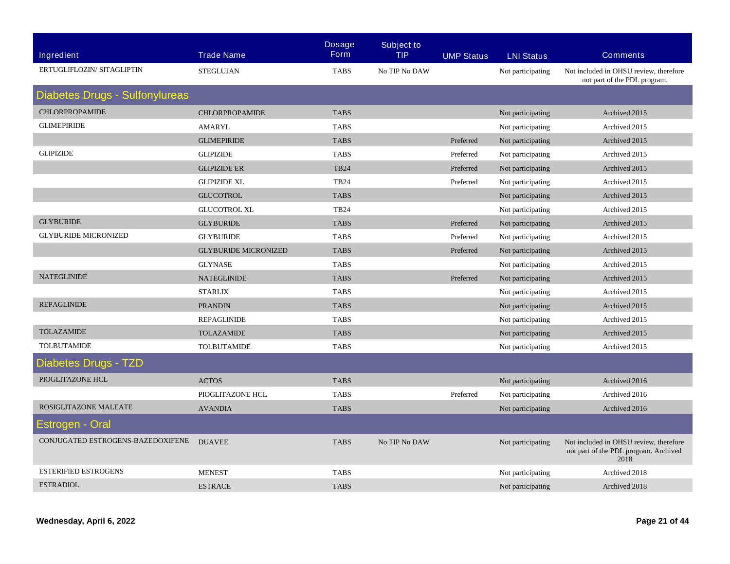| <b>Ingredient</b>                     | <b>Trade Name</b>           | <b>Dosage</b><br><b>Form</b> | <b>Subject to</b><br><b>TIP</b> | <b>UMP Status</b> | <b>LNI Status</b> | <b>Comments</b>                                                                         |
|---------------------------------------|-----------------------------|------------------------------|---------------------------------|-------------------|-------------------|-----------------------------------------------------------------------------------------|
| ERTUGLIFLOZIN/ SITAGLIPTIN            | <b>STEGLUJAN</b>            | <b>TABS</b>                  | No TIP No DAW                   |                   | Not participating | Not included in OHSU review, therefore<br>not part of the PDL program.                  |
| <b>Diabetes Drugs - Sulfonylureas</b> |                             |                              |                                 |                   |                   |                                                                                         |
| <b>CHLORPROPAMIDE</b>                 | <b>CHLORPROPAMIDE</b>       | <b>TABS</b>                  |                                 |                   | Not participating | Archived 2015                                                                           |
| <b>GLIMEPIRIDE</b>                    | <b>AMARYL</b>               | <b>TABS</b>                  |                                 |                   | Not participating | Archived 2015                                                                           |
|                                       | <b>GLIMEPIRIDE</b>          | <b>TABS</b>                  |                                 | Preferred         | Not participating | Archived 2015                                                                           |
| <b>GLIPIZIDE</b>                      | <b>GLIPIZIDE</b>            | <b>TABS</b>                  |                                 | Preferred         | Not participating | Archived 2015                                                                           |
|                                       | <b>GLIPIZIDE ER</b>         | <b>TB24</b>                  |                                 | Preferred         | Not participating | Archived 2015                                                                           |
|                                       | <b>GLIPIZIDE XL</b>         | <b>TB24</b>                  |                                 | Preferred         | Not participating | Archived 2015                                                                           |
|                                       | <b>GLUCOTROL</b>            | <b>TABS</b>                  |                                 |                   | Not participating | Archived 2015                                                                           |
|                                       | <b>GLUCOTROL XL</b>         | <b>TB24</b>                  |                                 |                   | Not participating | Archived 2015                                                                           |
| <b>GLYBURIDE</b>                      | <b>GLYBURIDE</b>            | <b>TABS</b>                  |                                 | Preferred         | Not participating | Archived 2015                                                                           |
| <b>GLYBURIDE MICRONIZED</b>           | <b>GLYBURIDE</b>            | <b>TABS</b>                  |                                 | Preferred         | Not participating | Archived 2015                                                                           |
|                                       | <b>GLYBURIDE MICRONIZED</b> | <b>TABS</b>                  |                                 | Preferred         | Not participating | Archived 2015                                                                           |
|                                       | <b>GLYNASE</b>              | <b>TABS</b>                  |                                 |                   | Not participating | Archived 2015                                                                           |
| <b>NATEGLINIDE</b>                    | <b>NATEGLINIDE</b>          | <b>TABS</b>                  |                                 | Preferred         | Not participating | Archived 2015                                                                           |
|                                       | <b>STARLIX</b>              | <b>TABS</b>                  |                                 |                   | Not participating | Archived 2015                                                                           |
| <b>REPAGLINIDE</b>                    | <b>PRANDIN</b>              | <b>TABS</b>                  |                                 |                   | Not participating | Archived 2015                                                                           |
|                                       | <b>REPAGLINIDE</b>          | <b>TABS</b>                  |                                 |                   | Not participating | Archived 2015                                                                           |
| <b>TOLAZAMIDE</b>                     | <b>TOLAZAMIDE</b>           | <b>TABS</b>                  |                                 |                   | Not participating | Archived 2015                                                                           |
| <b>TOLBUTAMIDE</b>                    | <b>TOLBUTAMIDE</b>          | <b>TABS</b>                  |                                 |                   | Not participating | Archived 2015                                                                           |
| <b>Diabetes Drugs - TZD</b>           |                             |                              |                                 |                   |                   |                                                                                         |
| PIOGLITAZONE HCL                      | <b>ACTOS</b>                | <b>TABS</b>                  |                                 |                   | Not participating | Archived 2016                                                                           |
|                                       | PIOGLITAZONE HCL            | <b>TABS</b>                  |                                 | Preferred         | Not participating | Archived 2016                                                                           |
| ROSIGLITAZONE MALEATE                 | <b>AVANDIA</b>              | <b>TABS</b>                  |                                 |                   | Not participating | Archived 2016                                                                           |
| Estrogen - Oral                       |                             |                              |                                 |                   |                   |                                                                                         |
| CONJUGATED ESTROGENS-BAZEDOXIFENE     | <b>DUAVEE</b>               | <b>TABS</b>                  | No TIP No DAW                   |                   | Not participating | Not included in OHSU review, therefore<br>not part of the PDL program. Archived<br>2018 |
| <b>ESTERIFIED ESTROGENS</b>           | <b>MENEST</b>               | <b>TABS</b>                  |                                 |                   | Not participating | Archived 2018                                                                           |
| <b>ESTRADIOL</b>                      | <b>ESTRACE</b>              | <b>TABS</b>                  |                                 |                   | Not participating | Archived 2018                                                                           |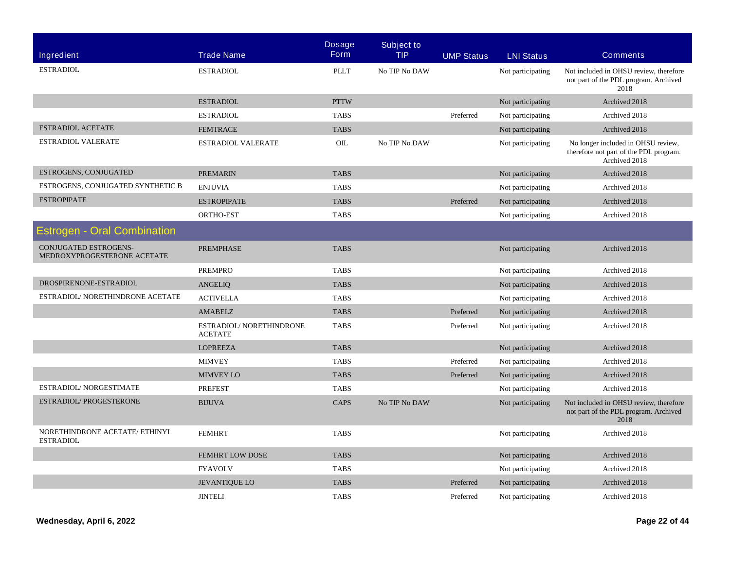| <b>Ingredient</b>                                    | <b>Trade Name</b>                          | <b>Dosage</b><br><b>Form</b> | <b>Subject to</b><br><b>TIP</b> | <b>UMP Status</b> | <b>LNI Status</b> | <b>Comments</b>                                                                               |
|------------------------------------------------------|--------------------------------------------|------------------------------|---------------------------------|-------------------|-------------------|-----------------------------------------------------------------------------------------------|
|                                                      |                                            |                              |                                 |                   |                   |                                                                                               |
| <b>ESTRADIOL</b>                                     | <b>ESTRADIOL</b>                           | <b>PLLT</b>                  | No TIP No DAW                   |                   | Not participating | Not included in OHSU review, therefore<br>not part of the PDL program. Archived<br>2018       |
|                                                      | <b>ESTRADIOL</b>                           | <b>PTTW</b>                  |                                 |                   | Not participating | Archived 2018                                                                                 |
|                                                      | <b>ESTRADIOL</b>                           | <b>TABS</b>                  |                                 | Preferred         | Not participating | Archived 2018                                                                                 |
| <b>ESTRADIOL ACETATE</b>                             | <b>FEMTRACE</b>                            | <b>TABS</b>                  |                                 |                   | Not participating | Archived 2018                                                                                 |
| <b>ESTRADIOL VALERATE</b>                            | <b>ESTRADIOL VALERATE</b>                  | OIL                          | No TIP No DAW                   |                   | Not participating | No longer included in OHSU review,<br>therefore not part of the PDL program.<br>Archived 2018 |
| ESTROGENS, CONJUGATED                                | <b>PREMARIN</b>                            | <b>TABS</b>                  |                                 |                   | Not participating | Archived 2018                                                                                 |
| ESTROGENS, CONJUGATED SYNTHETIC B                    | <b>ENJUVIA</b>                             | <b>TABS</b>                  |                                 |                   | Not participating | Archived 2018                                                                                 |
| <b>ESTROPIPATE</b>                                   | <b>ESTROPIPATE</b>                         | <b>TABS</b>                  |                                 | Preferred         | Not participating | Archived 2018                                                                                 |
|                                                      | ORTHO-EST                                  | <b>TABS</b>                  |                                 |                   | Not participating | Archived 2018                                                                                 |
| <b>Estrogen - Oral Combination</b>                   |                                            |                              |                                 |                   |                   |                                                                                               |
| CONJUGATED ESTROGENS-<br>MEDROXYPROGESTERONE ACETATE | <b>PREMPHASE</b>                           | <b>TABS</b>                  |                                 |                   | Not participating | Archived 2018                                                                                 |
|                                                      | <b>PREMPRO</b>                             | <b>TABS</b>                  |                                 |                   | Not participating | Archived 2018                                                                                 |
| DROSPIRENONE-ESTRADIOL                               | <b>ANGELIQ</b>                             | <b>TABS</b>                  |                                 |                   | Not participating | Archived 2018                                                                                 |
| ESTRADIOL/ NORETHINDRONE ACETATE                     | <b>ACTIVELLA</b>                           | <b>TABS</b>                  |                                 |                   | Not participating | Archived 2018                                                                                 |
|                                                      | <b>AMABELZ</b>                             | <b>TABS</b>                  |                                 | Preferred         | Not participating | Archived 2018                                                                                 |
|                                                      | ESTRADIOL/ NORETHINDRONE<br><b>ACETATE</b> | <b>TABS</b>                  |                                 | Preferred         | Not participating | Archived 2018                                                                                 |
|                                                      | <b>LOPREEZA</b>                            | <b>TABS</b>                  |                                 |                   | Not participating | Archived 2018                                                                                 |
|                                                      | <b>MIMVEY</b>                              | <b>TABS</b>                  |                                 | Preferred         | Not participating | Archived 2018                                                                                 |
|                                                      | MIMVEY LO                                  | <b>TABS</b>                  |                                 | Preferred         | Not participating | Archived 2018                                                                                 |
| ESTRADIOL/ NORGESTIMATE                              | <b>PREFEST</b>                             | <b>TABS</b>                  |                                 |                   | Not participating | Archived 2018                                                                                 |
| ESTRADIOL/PROGESTERONE                               | <b>BIJUVA</b>                              | CAPS                         | No TIP No DAW                   |                   | Not participating | Not included in OHSU review, therefore<br>not part of the PDL program. Archived<br>2018       |
| NORETHINDRONE ACETATE/ ETHINYL<br><b>ESTRADIOL</b>   | <b>FEMHRT</b>                              | <b>TABS</b>                  |                                 |                   | Not participating | Archived 2018                                                                                 |
|                                                      | <b>FEMHRT LOW DOSE</b>                     | <b>TABS</b>                  |                                 |                   | Not participating | Archived 2018                                                                                 |
|                                                      | <b>FYAVOLV</b>                             | <b>TABS</b>                  |                                 |                   | Not participating | Archived 2018                                                                                 |
|                                                      | <b>JEVANTIQUE LO</b>                       | <b>TABS</b>                  |                                 | Preferred         | Not participating | Archived 2018                                                                                 |
|                                                      | <b>JINTELI</b>                             | <b>TABS</b>                  |                                 | Preferred         | Not participating | Archived 2018                                                                                 |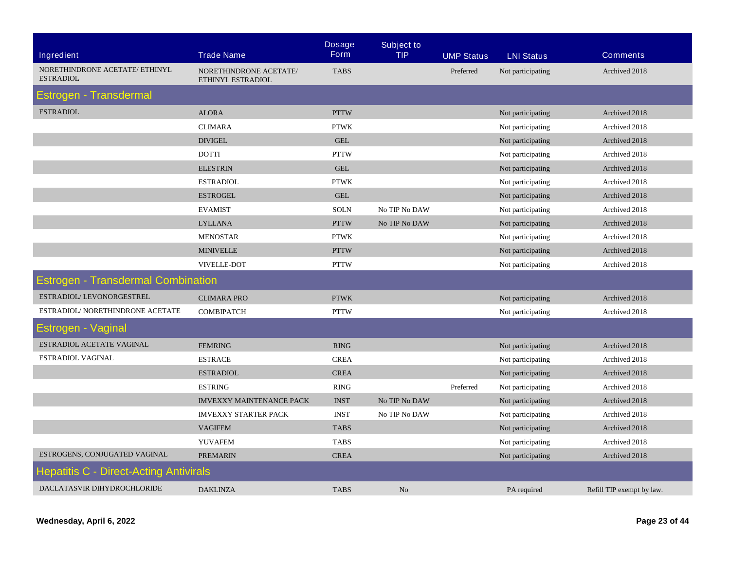| <b>Ingredient</b>                             | <b>Trade Name</b>                           | <b>Dosage</b><br><b>Form</b> | <b>Subject to</b><br><b>TIP</b> | <b>UMP Status</b> | <b>LNI Status</b> | <b>Comments</b>           |
|-----------------------------------------------|---------------------------------------------|------------------------------|---------------------------------|-------------------|-------------------|---------------------------|
| NORETHINDRONE ACETATE/ ETHINYL                |                                             |                              |                                 |                   |                   |                           |
| <b>ESTRADIOL</b>                              | NORETHINDRONE ACETATE/<br>ETHINYL ESTRADIOL | <b>TABS</b>                  |                                 | Preferred         | Not participating | Archived 2018             |
| Estrogen - Transdermal                        |                                             |                              |                                 |                   |                   |                           |
| <b>ESTRADIOL</b>                              | <b>ALORA</b>                                | <b>PTTW</b>                  |                                 |                   | Not participating | Archived 2018             |
|                                               | <b>CLIMARA</b>                              | <b>PTWK</b>                  |                                 |                   | Not participating | Archived 2018             |
|                                               | <b>DIVIGEL</b>                              | <b>GEL</b>                   |                                 |                   | Not participating | Archived 2018             |
|                                               | <b>DOTTI</b>                                | <b>PTTW</b>                  |                                 |                   | Not participating | Archived 2018             |
|                                               | <b>ELESTRIN</b>                             | <b>GEL</b>                   |                                 |                   | Not participating | Archived 2018             |
|                                               | <b>ESTRADIOL</b>                            | <b>PTWK</b>                  |                                 |                   | Not participating | Archived 2018             |
|                                               | <b>ESTROGEL</b>                             | <b>GEL</b>                   |                                 |                   | Not participating | Archived 2018             |
|                                               | <b>EVAMIST</b>                              | <b>SOLN</b>                  | No TIP No DAW                   |                   | Not participating | Archived 2018             |
|                                               | <b>LYLLANA</b>                              | <b>PTTW</b>                  | No TIP No DAW                   |                   | Not participating | Archived 2018             |
|                                               | <b>MENOSTAR</b>                             | <b>PTWK</b>                  |                                 |                   | Not participating | Archived 2018             |
|                                               | <b>MINIVELLE</b>                            | <b>PTTW</b>                  |                                 |                   | Not participating | Archived 2018             |
|                                               | VIVELLE-DOT                                 | <b>PTTW</b>                  |                                 |                   | Not participating | Archived 2018             |
| <b>Estrogen - Transdermal Combination</b>     |                                             |                              |                                 |                   |                   |                           |
| ESTRADIOL/LEVONORGESTREL                      | <b>CLIMARA PRO</b>                          | <b>PTWK</b>                  |                                 |                   | Not participating | Archived 2018             |
| ESTRADIOL/ NORETHINDRONE ACETATE              | <b>COMBIPATCH</b>                           | <b>PTTW</b>                  |                                 |                   | Not participating | Archived 2018             |
| Estrogen - Vaginal                            |                                             |                              |                                 |                   |                   |                           |
| ESTRADIOL ACETATE VAGINAL                     | <b>FEMRING</b>                              | RING                         |                                 |                   | Not participating | Archived 2018             |
| ESTRADIOL VAGINAL                             | <b>ESTRACE</b>                              | <b>CREA</b>                  |                                 |                   | Not participating | Archived 2018             |
|                                               | <b>ESTRADIOL</b>                            | <b>CREA</b>                  |                                 |                   | Not participating | Archived 2018             |
|                                               | <b>ESTRING</b>                              | <b>RING</b>                  |                                 | Preferred         | Not participating | Archived 2018             |
|                                               | <b>IMVEXXY MAINTENANCE PACK</b>             | <b>INST</b>                  | No TIP No DAW                   |                   | Not participating | Archived 2018             |
|                                               | <b>IMVEXXY STARTER PACK</b>                 | <b>INST</b>                  | No TIP No DAW                   |                   | Not participating | Archived 2018             |
|                                               | <b>VAGIFEM</b>                              | <b>TABS</b>                  |                                 |                   | Not participating | Archived 2018             |
|                                               | <b>YUVAFEM</b>                              | <b>TABS</b>                  |                                 |                   | Not participating | Archived 2018             |
| ESTROGENS, CONJUGATED VAGINAL                 | <b>PREMARIN</b>                             | <b>CREA</b>                  |                                 |                   | Not participating | Archived 2018             |
| <b>Hepatitis C - Direct-Acting Antivirals</b> |                                             |                              |                                 |                   |                   |                           |
| DACLATASVIR DIHYDROCHLORIDE                   | <b>DAKLINZA</b>                             | <b>TABS</b>                  | N <sub>o</sub>                  |                   | PA required       | Refill TIP exempt by law. |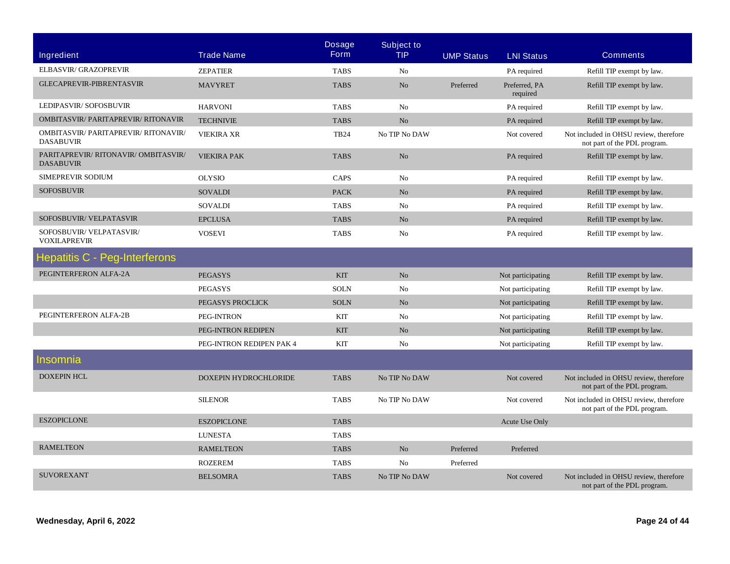| <b>Ingredient</b>                                        | <b>Trade Name</b>        | <b>Dosage</b><br><b>Form</b> | <b>Subject to</b><br><b>TIP</b> | <b>UMP Status</b> | <b>LNI Status</b>         | <b>Comments</b>                                                        |
|----------------------------------------------------------|--------------------------|------------------------------|---------------------------------|-------------------|---------------------------|------------------------------------------------------------------------|
| ELBASVIR/ GRAZOPREVIR                                    |                          |                              |                                 |                   |                           |                                                                        |
| <b>GLECAPREVIR-PIBRENTASVIR</b>                          | <b>ZEPATIER</b>          | <b>TABS</b>                  | No                              |                   | PA required               | Refill TIP exempt by law.                                              |
|                                                          | <b>MAVYRET</b>           | <b>TABS</b>                  | N <sub>o</sub>                  | Preferred         | Preferred, PA<br>required | Refill TIP exempt by law.                                              |
| LEDIPASVIR/SOFOSBUVIR                                    | <b>HARVONI</b>           | <b>TABS</b>                  | N <sub>0</sub>                  |                   | PA required               | Refill TIP exempt by law.                                              |
| <b>OMBITASVIR/ PARITAPREVIR/ RITONAVIR</b>               | <b>TECHNIVIE</b>         | <b>TABS</b>                  | N <sub>o</sub>                  |                   | PA required               | Refill TIP exempt by law.                                              |
| OMBITASVIR/ PARITAPREVIR/ RITONAVIR/<br><b>DASABUVIR</b> | <b>VIEKIRA XR</b>        | <b>TB24</b>                  | No TIP No DAW                   |                   | Not covered               | Not included in OHSU review, therefore<br>not part of the PDL program. |
| PARITAPREVIR/RITONAVIR/OMBITASVIR/<br><b>DASABUVIR</b>   | <b>VIEKIRA PAK</b>       | <b>TABS</b>                  | N <sub>o</sub>                  |                   | PA required               | Refill TIP exempt by law.                                              |
| <b>SIMEPREVIR SODIUM</b>                                 | <b>OLYSIO</b>            | CAPS                         | N <sub>0</sub>                  |                   | PA required               | Refill TIP exempt by law.                                              |
| <b>SOFOSBUVIR</b>                                        | <b>SOVALDI</b>           | <b>PACK</b>                  | N <sub>o</sub>                  |                   | PA required               | Refill TIP exempt by law.                                              |
|                                                          | <b>SOVALDI</b>           | <b>TABS</b>                  | No                              |                   | PA required               | Refill TIP exempt by law.                                              |
| SOFOSBUVIR/VELPATASVIR                                   | <b>EPCLUSA</b>           | <b>TABS</b>                  | No                              |                   | PA required               | Refill TIP exempt by law.                                              |
| SOFOSBUVIR/VELPATASVIR/<br><b>VOXILAPREVIR</b>           | <b>VOSEVI</b>            | <b>TABS</b>                  | No                              |                   | PA required               | Refill TIP exempt by law.                                              |
| <b>Hepatitis C - Peg-Interferons</b>                     |                          |                              |                                 |                   |                           |                                                                        |
| PEGINTERFERON ALFA-2A                                    | <b>PEGASYS</b>           | <b>KIT</b>                   | N <sub>o</sub>                  |                   | Not participating         | Refill TIP exempt by law.                                              |
|                                                          | <b>PEGASYS</b>           | <b>SOLN</b>                  | N <sub>0</sub>                  |                   | Not participating         | Refill TIP exempt by law.                                              |
|                                                          | PEGASYS PROCLICK         | <b>SOLN</b>                  | N <sub>o</sub>                  |                   | Not participating         | Refill TIP exempt by law.                                              |
| PEGINTERFERON ALFA-2B                                    | PEG-INTRON               | <b>KIT</b>                   | N <sub>0</sub>                  |                   | Not participating         | Refill TIP exempt by law.                                              |
|                                                          | PEG-INTRON REDIPEN       | <b>KIT</b>                   | N <sub>o</sub>                  |                   | Not participating         | Refill TIP exempt by law.                                              |
|                                                          | PEG-INTRON REDIPEN PAK 4 | <b>KIT</b>                   | N <sub>0</sub>                  |                   | Not participating         | Refill TIP exempt by law.                                              |
| Insomnia                                                 |                          |                              |                                 |                   |                           |                                                                        |
| <b>DOXEPIN HCL</b>                                       | DOXEPIN HYDROCHLORIDE    | <b>TABS</b>                  | No TIP No DAW                   |                   | Not covered               | Not included in OHSU review, therefore<br>not part of the PDL program. |
|                                                          | <b>SILENOR</b>           | <b>TABS</b>                  | No TIP No DAW                   |                   | Not covered               | Not included in OHSU review, therefore<br>not part of the PDL program. |
| <b>ESZOPICLONE</b>                                       | <b>ESZOPICLONE</b>       | <b>TABS</b>                  |                                 |                   | Acute Use Only            |                                                                        |
|                                                          | <b>LUNESTA</b>           | <b>TABS</b>                  |                                 |                   |                           |                                                                        |
| <b>RAMELTEON</b>                                         | <b>RAMELTEON</b>         | <b>TABS</b>                  | N <sub>o</sub>                  | Preferred         | Preferred                 |                                                                        |
|                                                          | <b>ROZEREM</b>           | <b>TABS</b>                  | N <sub>0</sub>                  | Preferred         |                           |                                                                        |
| <b>SUVOREXANT</b>                                        | <b>BELSOMRA</b>          | <b>TABS</b>                  | No TIP No DAW                   |                   | Not covered               | Not included in OHSU review, therefore<br>not part of the PDL program. |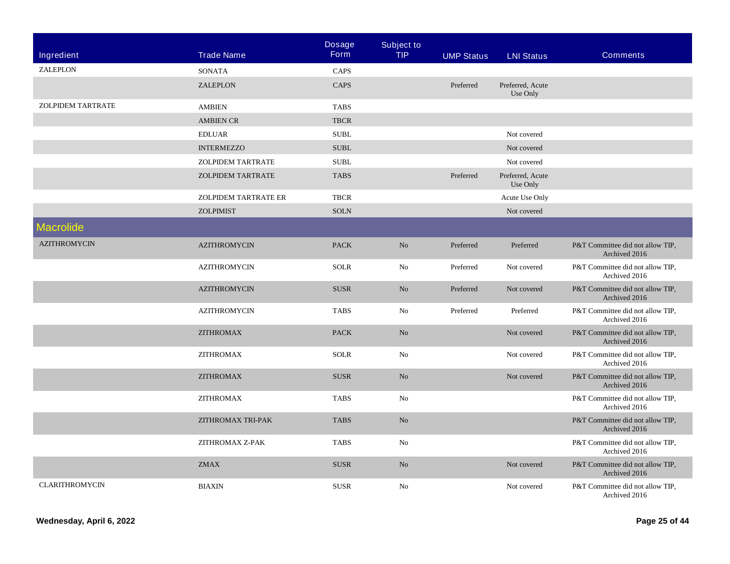|                          |                          | <b>Dosage</b><br><b>Form</b> | <b>Subject to</b><br><b>TIP</b> |                   |                              |                                                   |
|--------------------------|--------------------------|------------------------------|---------------------------------|-------------------|------------------------------|---------------------------------------------------|
| Ingredient               | <b>Trade Name</b>        |                              |                                 | <b>UMP Status</b> | <b>LNI Status</b>            | <b>Comments</b>                                   |
| ZALEPLON                 | <b>SONATA</b>            | CAPS                         |                                 |                   |                              |                                                   |
|                          | <b>ZALEPLON</b>          | CAPS                         |                                 | Preferred         | Preferred, Acute<br>Use Only |                                                   |
| <b>ZOLPIDEM TARTRATE</b> | <b>AMBIEN</b>            | <b>TABS</b>                  |                                 |                   |                              |                                                   |
|                          | <b>AMBIEN CR</b>         | <b>TBCR</b>                  |                                 |                   |                              |                                                   |
|                          | <b>EDLUAR</b>            | <b>SUBL</b>                  |                                 |                   | Not covered                  |                                                   |
|                          | <b>INTERMEZZO</b>        | <b>SUBL</b>                  |                                 |                   | Not covered                  |                                                   |
|                          | <b>ZOLPIDEM TARTRATE</b> | <b>SUBL</b>                  |                                 |                   | Not covered                  |                                                   |
|                          | <b>ZOLPIDEM TARTRATE</b> | <b>TABS</b>                  |                                 | Preferred         | Preferred, Acute<br>Use Only |                                                   |
|                          | ZOLPIDEM TARTRATE ER     | <b>TBCR</b>                  |                                 |                   | Acute Use Only               |                                                   |
|                          | <b>ZOLPIMIST</b>         | <b>SOLN</b>                  |                                 |                   | Not covered                  |                                                   |
| <b>Macrolide</b>         |                          |                              |                                 |                   |                              |                                                   |
| <b>AZITHROMYCIN</b>      | <b>AZITHROMYCIN</b>      | <b>PACK</b>                  | N <sub>o</sub>                  | Preferred         | Preferred                    | P&T Committee did not allow TIP.<br>Archived 2016 |
|                          | <b>AZITHROMYCIN</b>      | <b>SOLR</b>                  | No                              | Preferred         | Not covered                  | P&T Committee did not allow TIP,<br>Archived 2016 |
|                          | <b>AZITHROMYCIN</b>      | <b>SUSR</b>                  | No                              | Preferred         | Not covered                  | P&T Committee did not allow TIP,<br>Archived 2016 |
|                          | <b>AZITHROMYCIN</b>      | <b>TABS</b>                  | No                              | Preferred         | Preferred                    | P&T Committee did not allow TIP,<br>Archived 2016 |
|                          | <b>ZITHROMAX</b>         | <b>PACK</b>                  | N <sub>o</sub>                  |                   | Not covered                  | P&T Committee did not allow TIP,<br>Archived 2016 |
|                          | <b>ZITHROMAX</b>         | <b>SOLR</b>                  | No                              |                   | Not covered                  | P&T Committee did not allow TIP,<br>Archived 2016 |
|                          | <b>ZITHROMAX</b>         | <b>SUSR</b>                  | N <sub>o</sub>                  |                   | Not covered                  | P&T Committee did not allow TIP,<br>Archived 2016 |
|                          | <b>ZITHROMAX</b>         | <b>TABS</b>                  | No                              |                   |                              | P&T Committee did not allow TIP,<br>Archived 2016 |
|                          | ZITHROMAX TRI-PAK        | <b>TABS</b>                  | N <sub>o</sub>                  |                   |                              | P&T Committee did not allow TIP,<br>Archived 2016 |
|                          | ZITHROMAX Z-PAK          | <b>TABS</b>                  | No                              |                   |                              | P&T Committee did not allow TIP,<br>Archived 2016 |
|                          | <b>ZMAX</b>              | <b>SUSR</b>                  | N <sub>o</sub>                  |                   | Not covered                  | P&T Committee did not allow TIP,<br>Archived 2016 |
| <b>CLARITHROMYCIN</b>    | <b>BIAXIN</b>            | <b>SUSR</b>                  | No                              |                   | Not covered                  | P&T Committee did not allow TIP,<br>Archived 2016 |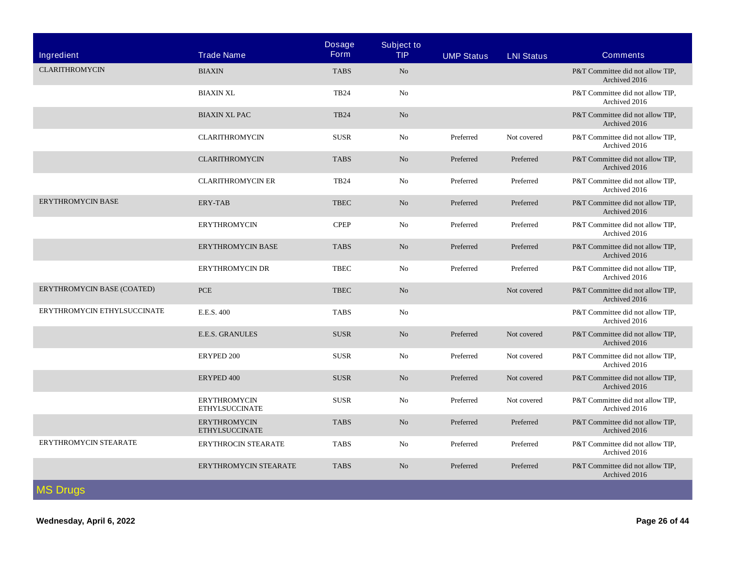| Ingredient                  | <b>Trade Name</b>                            | <b>Dosage</b><br><b>Form</b> | <b>Subject to</b><br><b>TIP</b> | <b>UMP Status</b> | <b>LNI Status</b> | <b>Comments</b>                                   |
|-----------------------------|----------------------------------------------|------------------------------|---------------------------------|-------------------|-------------------|---------------------------------------------------|
|                             |                                              |                              |                                 |                   |                   |                                                   |
| <b>CLARITHROMYCIN</b>       | <b>BIAXIN</b>                                | <b>TABS</b>                  | N <sub>o</sub>                  |                   |                   | P&T Committee did not allow TIP.<br>Archived 2016 |
|                             | <b>BIAXIN XL</b>                             | <b>TB24</b>                  | No                              |                   |                   | P&T Committee did not allow TIP,<br>Archived 2016 |
|                             | <b>BIAXIN XL PAC</b>                         | <b>TB24</b>                  | No                              |                   |                   | P&T Committee did not allow TIP.<br>Archived 2016 |
|                             | <b>CLARITHROMYCIN</b>                        | <b>SUSR</b>                  | No                              | Preferred         | Not covered       | P&T Committee did not allow TIP,<br>Archived 2016 |
|                             | <b>CLARITHROMYCIN</b>                        | <b>TABS</b>                  | No                              | Preferred         | Preferred         | P&T Committee did not allow TIP,<br>Archived 2016 |
|                             | <b>CLARITHROMYCIN ER</b>                     | <b>TB24</b>                  | N <sub>0</sub>                  | Preferred         | Preferred         | P&T Committee did not allow TIP.<br>Archived 2016 |
| <b>ERYTHROMYCIN BASE</b>    | <b>ERY-TAB</b>                               | <b>TBEC</b>                  | N <sub>o</sub>                  | Preferred         | Preferred         | P&T Committee did not allow TIP,<br>Archived 2016 |
|                             | <b>ERYTHROMYCIN</b>                          | <b>CPEP</b>                  | No                              | Preferred         | Preferred         | P&T Committee did not allow TIP,<br>Archived 2016 |
|                             | <b>ERYTHROMYCIN BASE</b>                     | <b>TABS</b>                  | No                              | Preferred         | Preferred         | P&T Committee did not allow TIP.<br>Archived 2016 |
|                             | <b>ERYTHROMYCIN DR</b>                       | <b>TBEC</b>                  | No                              | Preferred         | Preferred         | P&T Committee did not allow TIP,<br>Archived 2016 |
| ERYTHROMYCIN BASE (COATED)  | <b>PCE</b>                                   | <b>TBEC</b>                  | No                              |                   | Not covered       | P&T Committee did not allow TIP.<br>Archived 2016 |
| ERYTHROMYCIN ETHYLSUCCINATE | E.E.S. 400                                   | <b>TABS</b>                  | No                              |                   |                   | P&T Committee did not allow TIP,<br>Archived 2016 |
|                             | <b>E.E.S. GRANULES</b>                       | <b>SUSR</b>                  | N <sub>o</sub>                  | Preferred         | Not covered       | P&T Committee did not allow TIP.<br>Archived 2016 |
|                             | ERYPED 200                                   | <b>SUSR</b>                  | No                              | Preferred         | Not covered       | P&T Committee did not allow TIP,<br>Archived 2016 |
|                             | ERYPED 400                                   | <b>SUSR</b>                  | No                              | Preferred         | Not covered       | P&T Committee did not allow TIP,<br>Archived 2016 |
|                             | <b>ERYTHROMYCIN</b><br><b>ETHYLSUCCINATE</b> | <b>SUSR</b>                  | No                              | Preferred         | Not covered       | P&T Committee did not allow TIP.<br>Archived 2016 |
|                             | <b>ERYTHROMYCIN</b><br><b>ETHYLSUCCINATE</b> | <b>TABS</b>                  | No                              | Preferred         | Preferred         | P&T Committee did not allow TIP,<br>Archived 2016 |
| ERYTHROMYCIN STEARATE       | ERYTHROCIN STEARATE                          | <b>TABS</b>                  | No                              | Preferred         | Preferred         | P&T Committee did not allow TIP,<br>Archived 2016 |
|                             | ERYTHROMYCIN STEARATE                        | <b>TABS</b>                  | N <sub>o</sub>                  | Preferred         | Preferred         | P&T Committee did not allow TIP,<br>Archived 2016 |
| <b>MS Drugs</b>             |                                              |                              |                                 |                   |                   |                                                   |

**Wednesday, April 6, 2022 Page 26 of 44**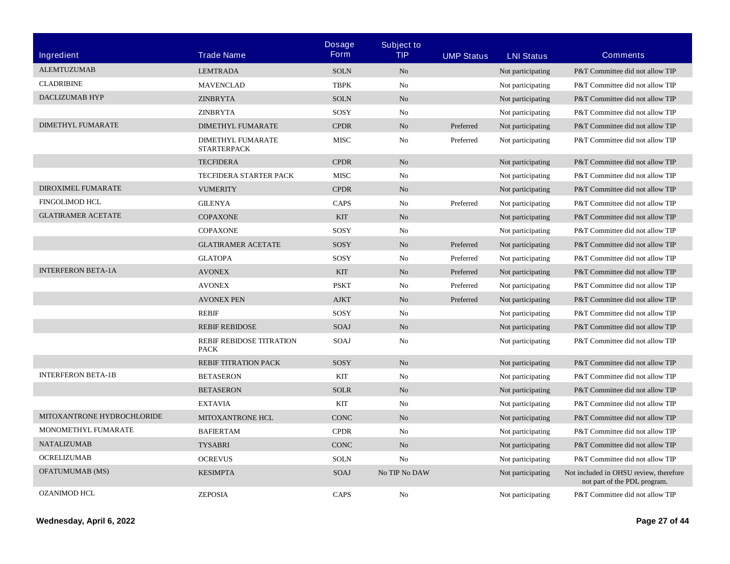| <b>Ingredient</b>          | <b>Trade Name</b>                              | <b>Dosage</b><br><b>Form</b> | <b>Subject to</b><br><b>TIP</b> | <b>UMP Status</b> | <b>LNI Status</b> | <b>Comments</b>                                                        |
|----------------------------|------------------------------------------------|------------------------------|---------------------------------|-------------------|-------------------|------------------------------------------------------------------------|
| <b>ALEMTUZUMAB</b>         | <b>LEMTRADA</b>                                | <b>SOLN</b>                  | N <sub>o</sub>                  |                   | Not participating | P&T Committee did not allow TIP                                        |
| <b>CLADRIBINE</b>          | <b>MAVENCLAD</b>                               | <b>TBPK</b>                  | No                              |                   | Not participating | P&T Committee did not allow TIP                                        |
| DACLIZUMAB HYP             | <b>ZINBRYTA</b>                                | <b>SOLN</b>                  | N <sub>o</sub>                  |                   | Not participating | P&T Committee did not allow TIP                                        |
|                            | <b>ZINBRYTA</b>                                | SOSY                         | No                              |                   | Not participating | P&T Committee did not allow TIP                                        |
| <b>DIMETHYL FUMARATE</b>   | <b>DIMETHYL FUMARATE</b>                       | <b>CPDR</b>                  | No                              | Preferred         | Not participating | P&T Committee did not allow TIP                                        |
|                            | <b>DIMETHYL FUMARATE</b><br><b>STARTERPACK</b> | <b>MISC</b>                  | No                              | Preferred         | Not participating | P&T Committee did not allow TIP                                        |
|                            | <b>TECFIDERA</b>                               | <b>CPDR</b>                  | N <sub>o</sub>                  |                   | Not participating | P&T Committee did not allow TIP                                        |
|                            | <b>TECFIDERA STARTER PACK</b>                  | <b>MISC</b>                  | No                              |                   | Not participating | P&T Committee did not allow TIP                                        |
| DIROXIMEL FUMARATE         | <b>VUMERITY</b>                                | <b>CPDR</b>                  | N <sub>o</sub>                  |                   | Not participating | P&T Committee did not allow TIP                                        |
| <b>FINGOLIMOD HCL</b>      | <b>GILENYA</b>                                 | <b>CAPS</b>                  | No                              | Preferred         | Not participating | P&T Committee did not allow TIP                                        |
| <b>GLATIRAMER ACETATE</b>  | <b>COPAXONE</b>                                | <b>KIT</b>                   | N <sub>o</sub>                  |                   | Not participating | P&T Committee did not allow TIP                                        |
|                            | <b>COPAXONE</b>                                | SOSY                         | No                              |                   | Not participating | P&T Committee did not allow TIP                                        |
|                            | <b>GLATIRAMER ACETATE</b>                      | SOSY                         | N <sub>o</sub>                  | Preferred         | Not participating | P&T Committee did not allow TIP                                        |
|                            | <b>GLATOPA</b>                                 | SOSY                         | No                              | Preferred         | Not participating | P&T Committee did not allow TIP                                        |
| <b>INTERFERON BETA-1A</b>  | <b>AVONEX</b>                                  | <b>KIT</b>                   | N <sub>o</sub>                  | Preferred         | Not participating | P&T Committee did not allow TIP                                        |
|                            | <b>AVONEX</b>                                  | <b>PSKT</b>                  | No                              | Preferred         | Not participating | P&T Committee did not allow TIP                                        |
|                            | <b>AVONEX PEN</b>                              | <b>AJKT</b>                  | N <sub>o</sub>                  | Preferred         | Not participating | P&T Committee did not allow TIP                                        |
|                            | <b>REBIF</b>                                   | SOSY                         | No                              |                   | Not participating | P&T Committee did not allow TIP                                        |
|                            | <b>REBIF REBIDOSE</b>                          | SOAJ                         | N <sub>o</sub>                  |                   | Not participating | P&T Committee did not allow TIP                                        |
|                            | REBIF REBIDOSE TITRATION<br><b>PACK</b>        | SOAJ                         | No                              |                   | Not participating | P&T Committee did not allow TIP                                        |
|                            | <b>REBIF TITRATION PACK</b>                    | SOSY                         | No                              |                   | Not participating | P&T Committee did not allow TIP                                        |
| <b>INTERFERON BETA-1B</b>  | <b>BETASERON</b>                               | <b>KIT</b>                   | No                              |                   | Not participating | P&T Committee did not allow TIP                                        |
|                            | <b>BETASERON</b>                               | <b>SOLR</b>                  | N <sub>o</sub>                  |                   | Not participating | P&T Committee did not allow TIP                                        |
|                            | <b>EXTAVIA</b>                                 | KIT                          | No                              |                   | Not participating | P&T Committee did not allow TIP                                        |
| MITOXANTRONE HYDROCHLORIDE | MITOXANTRONE HCL                               | <b>CONC</b>                  | N <sub>o</sub>                  |                   | Not participating | P&T Committee did not allow TIP                                        |
| MONOMETHYL FUMARATE        | <b>BAFIERTAM</b>                               | <b>CPDR</b>                  | N <sub>0</sub>                  |                   | Not participating | P&T Committee did not allow TIP                                        |
| <b>NATALIZUMAB</b>         | <b>TYSABRI</b>                                 | <b>CONC</b>                  | N <sub>o</sub>                  |                   | Not participating | P&T Committee did not allow TIP                                        |
| <b>OCRELIZUMAB</b>         | <b>OCREVUS</b>                                 | <b>SOLN</b>                  | No                              |                   | Not participating | P&T Committee did not allow TIP                                        |
| <b>OFATUMUMAB</b> (MS)     | <b>KESIMPTA</b>                                | SOAJ                         | No TIP No DAW                   |                   | Not participating | Not included in OHSU review, therefore<br>not part of the PDL program. |
| <b>OZANIMOD HCL</b>        | <b>ZEPOSIA</b>                                 | CAPS                         | No                              |                   | Not participating | P&T Committee did not allow TIP                                        |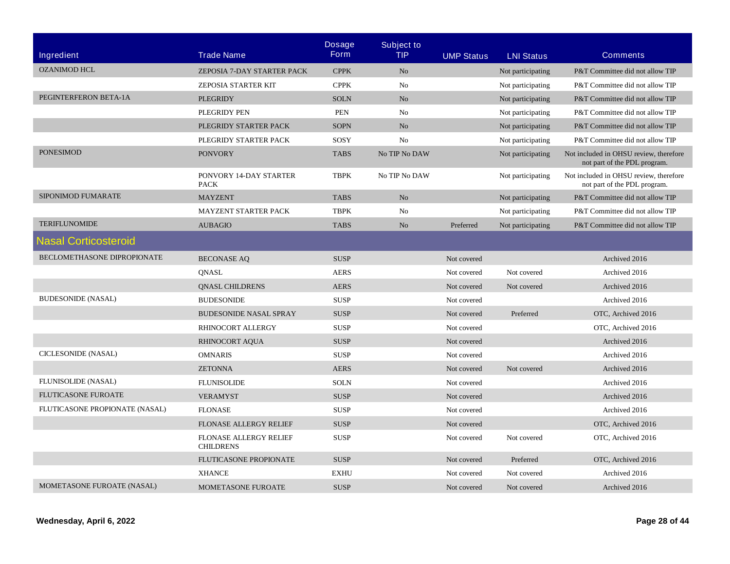| Ingredient                     | <b>Trade Name</b>                                 | <b>Dosage</b><br><b>Form</b> | <b>Subject to</b><br><b>TIP</b> | <b>UMP Status</b> | <b>LNI Status</b> | <b>Comments</b>                                                        |
|--------------------------------|---------------------------------------------------|------------------------------|---------------------------------|-------------------|-------------------|------------------------------------------------------------------------|
| <b>OZANIMOD HCL</b>            | ZEPOSIA 7-DAY STARTER PACK                        | <b>CPPK</b>                  | N <sub>o</sub>                  |                   | Not participating | P&T Committee did not allow TIP                                        |
|                                | <b>ZEPOSIA STARTER KIT</b>                        | <b>CPPK</b>                  | No                              |                   | Not participating | P&T Committee did not allow TIP                                        |
| PEGINTERFERON BETA-1A          | <b>PLEGRIDY</b>                                   | <b>SOLN</b>                  | No                              |                   | Not participating | P&T Committee did not allow TIP                                        |
|                                | PLEGRIDY PEN                                      | <b>PEN</b>                   | N <sub>0</sub>                  |                   | Not participating | P&T Committee did not allow TIP                                        |
|                                | PLEGRIDY STARTER PACK                             | <b>SOPN</b>                  | No                              |                   | Not participating | P&T Committee did not allow TIP                                        |
|                                | PLEGRIDY STARTER PACK                             | SOSY                         | N <sub>0</sub>                  |                   | Not participating | P&T Committee did not allow TIP                                        |
| <b>PONESIMOD</b>               | <b>PONVORY</b>                                    | <b>TABS</b>                  | No TIP No DAW                   |                   | Not participating | Not included in OHSU review, therefore<br>not part of the PDL program. |
|                                | PONVORY 14-DAY STARTER<br><b>PACK</b>             | <b>TBPK</b>                  | No TIP No DAW                   |                   | Not participating | Not included in OHSU review, therefore<br>not part of the PDL program. |
| SIPONIMOD FUMARATE             | <b>MAYZENT</b>                                    | <b>TABS</b>                  | No                              |                   | Not participating | P&T Committee did not allow TIP                                        |
|                                | MAYZENT STARTER PACK                              | <b>TBPK</b>                  | No                              |                   | Not participating | P&T Committee did not allow TIP                                        |
| <b>TERIFLUNOMIDE</b>           | <b>AUBAGIO</b>                                    | <b>TABS</b>                  | N <sub>o</sub>                  | Preferred         | Not participating | P&T Committee did not allow TIP                                        |
| <b>Nasal Corticosteroid</b>    |                                                   |                              |                                 |                   |                   |                                                                        |
| BECLOMETHASONE DIPROPIONATE    | <b>BECONASE AQ</b>                                | <b>SUSP</b>                  |                                 | Not covered       |                   | Archived 2016                                                          |
|                                | <b>QNASL</b>                                      | <b>AERS</b>                  |                                 | Not covered       | Not covered       | Archived 2016                                                          |
|                                | <b>QNASL CHILDRENS</b>                            | <b>AERS</b>                  |                                 | Not covered       | Not covered       | Archived 2016                                                          |
| <b>BUDESONIDE (NASAL)</b>      | <b>BUDESONIDE</b>                                 | <b>SUSP</b>                  |                                 | Not covered       |                   | Archived 2016                                                          |
|                                | <b>BUDESONIDE NASAL SPRAY</b>                     | <b>SUSP</b>                  |                                 | Not covered       | Preferred         | OTC, Archived 2016                                                     |
|                                | RHINOCORT ALLERGY                                 | <b>SUSP</b>                  |                                 | Not covered       |                   | OTC, Archived 2016                                                     |
|                                | <b>RHINOCORT AQUA</b>                             | <b>SUSP</b>                  |                                 | Not covered       |                   | Archived 2016                                                          |
| CICLESONIDE (NASAL)            | <b>OMNARIS</b>                                    | <b>SUSP</b>                  |                                 | Not covered       |                   | Archived 2016                                                          |
|                                | <b>ZETONNA</b>                                    | <b>AERS</b>                  |                                 | Not covered       | Not covered       | Archived 2016                                                          |
| FLUNISOLIDE (NASAL)            | <b>FLUNISOLIDE</b>                                | <b>SOLN</b>                  |                                 | Not covered       |                   | Archived 2016                                                          |
| <b>FLUTICASONE FUROATE</b>     | <b>VERAMYST</b>                                   | <b>SUSP</b>                  |                                 | Not covered       |                   | Archived 2016                                                          |
| FLUTICASONE PROPIONATE (NASAL) | <b>FLONASE</b>                                    | <b>SUSP</b>                  |                                 | Not covered       |                   | Archived 2016                                                          |
|                                | <b>FLONASE ALLERGY RELIEF</b>                     | <b>SUSP</b>                  |                                 | Not covered       |                   | OTC, Archived 2016                                                     |
|                                | <b>FLONASE ALLERGY RELIEF</b><br><b>CHILDRENS</b> | <b>SUSP</b>                  |                                 | Not covered       | Not covered       | OTC, Archived 2016                                                     |
|                                | <b>FLUTICASONE PROPIONATE</b>                     | <b>SUSP</b>                  |                                 | Not covered       | Preferred         | OTC, Archived 2016                                                     |
|                                | <b>XHANCE</b>                                     | <b>EXHU</b>                  |                                 | Not covered       | Not covered       | Archived 2016                                                          |
| MOMETASONE FUROATE (NASAL)     | <b>MOMETASONE FUROATE</b>                         | <b>SUSP</b>                  |                                 | Not covered       | Not covered       | Archived 2016                                                          |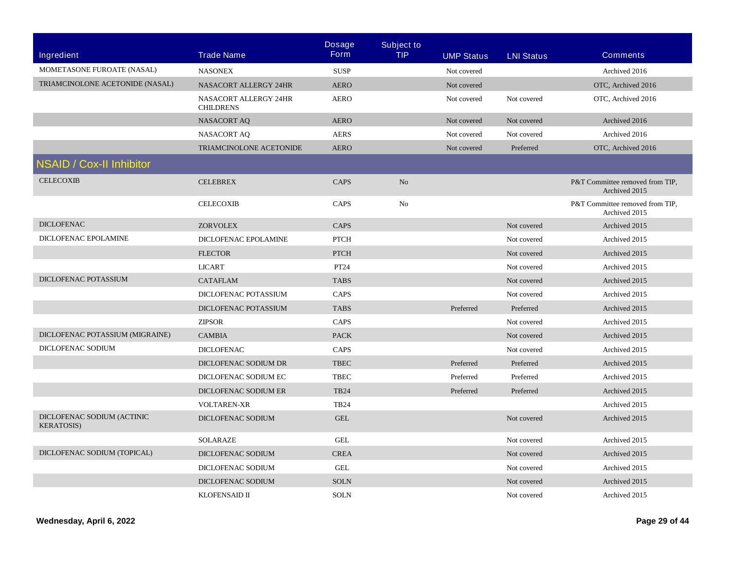|                                                  |                                           | <b>Dosage</b> | <b>Subject to</b> |                   |                   |                                                  |
|--------------------------------------------------|-------------------------------------------|---------------|-------------------|-------------------|-------------------|--------------------------------------------------|
| <b>Ingredient</b>                                | <b>Trade Name</b>                         | <b>Form</b>   | <b>TIP</b>        | <b>UMP Status</b> | <b>LNI Status</b> | <b>Comments</b>                                  |
| MOMETASONE FUROATE (NASAL)                       | <b>NASONEX</b>                            | <b>SUSP</b>   |                   | Not covered       |                   | Archived 2016                                    |
| TRIAMCINOLONE ACETONIDE (NASAL)                  | <b>NASACORT ALLERGY 24HR</b>              | <b>AERO</b>   |                   | Not covered       |                   | OTC, Archived 2016                               |
|                                                  | NASACORT ALLERGY 24HR<br><b>CHILDRENS</b> | <b>AERO</b>   |                   | Not covered       | Not covered       | OTC, Archived 2016                               |
|                                                  | <b>NASACORT AQ</b>                        | <b>AERO</b>   |                   | Not covered       | Not covered       | Archived 2016                                    |
|                                                  | <b>NASACORT AQ</b>                        | <b>AERS</b>   |                   | Not covered       | Not covered       | Archived 2016                                    |
|                                                  | TRIAMCINOLONE ACETONIDE                   | <b>AERO</b>   |                   | Not covered       | Preferred         | OTC, Archived 2016                               |
| <b>NSAID / Cox-II Inhibitor</b>                  |                                           |               |                   |                   |                   |                                                  |
| <b>CELECOXIB</b>                                 | <b>CELEBREX</b>                           | CAPS          | N <sub>o</sub>    |                   |                   | P&T Committee removed from TIP,<br>Archived 2015 |
|                                                  | <b>CELECOXIB</b>                          | CAPS          | N <sub>0</sub>    |                   |                   | P&T Committee removed from TIP,<br>Archived 2015 |
| <b>DICLOFENAC</b>                                | <b>ZORVOLEX</b>                           | <b>CAPS</b>   |                   |                   | Not covered       | Archived 2015                                    |
| DICLOFENAC EPOLAMINE                             | DICLOFENAC EPOLAMINE                      | <b>PTCH</b>   |                   |                   | Not covered       | Archived 2015                                    |
|                                                  | <b>FLECTOR</b>                            | <b>PTCH</b>   |                   |                   | Not covered       | Archived 2015                                    |
|                                                  | <b>LICART</b>                             | PT24          |                   |                   | Not covered       | Archived 2015                                    |
| DICLOFENAC POTASSIUM                             | <b>CATAFLAM</b>                           | <b>TABS</b>   |                   |                   | Not covered       | Archived 2015                                    |
|                                                  | DICLOFENAC POTASSIUM                      | <b>CAPS</b>   |                   |                   | Not covered       | Archived 2015                                    |
|                                                  | DICLOFENAC POTASSIUM                      | <b>TABS</b>   |                   | Preferred         | Preferred         | Archived 2015                                    |
|                                                  | <b>ZIPSOR</b>                             | CAPS          |                   |                   | Not covered       | Archived 2015                                    |
| DICLOFENAC POTASSIUM (MIGRAINE)                  | <b>CAMBIA</b>                             | <b>PACK</b>   |                   |                   | Not covered       | Archived 2015                                    |
| DICLOFENAC SODIUM                                | <b>DICLOFENAC</b>                         | CAPS          |                   |                   | Not covered       | Archived 2015                                    |
|                                                  | DICLOFENAC SODIUM DR                      | <b>TBEC</b>   |                   | Preferred         | Preferred         | Archived 2015                                    |
|                                                  | DICLOFENAC SODIUM EC                      | <b>TBEC</b>   |                   | Preferred         | Preferred         | Archived 2015                                    |
|                                                  | DICLOFENAC SODIUM ER                      | <b>TB24</b>   |                   | Preferred         | Preferred         | Archived 2015                                    |
|                                                  | <b>VOLTAREN-XR</b>                        | <b>TB24</b>   |                   |                   |                   | Archived 2015                                    |
| DICLOFENAC SODIUM (ACTINIC<br><b>KERATOSIS</b> ) | DICLOFENAC SODIUM                         | <b>GEL</b>    |                   |                   | Not covered       | Archived 2015                                    |
|                                                  | <b>SOLARAZE</b>                           | <b>GEL</b>    |                   |                   | Not covered       | Archived 2015                                    |
| DICLOFENAC SODIUM (TOPICAL)                      | DICLOFENAC SODIUM                         | <b>CREA</b>   |                   |                   | Not covered       | Archived 2015                                    |
|                                                  | DICLOFENAC SODIUM                         | <b>GEL</b>    |                   |                   | Not covered       | Archived 2015                                    |
|                                                  | DICLOFENAC SODIUM                         | <b>SOLN</b>   |                   |                   | Not covered       | Archived 2015                                    |
|                                                  | KLOFENSAID II                             | <b>SOLN</b>   |                   |                   | Not covered       | Archived 2015                                    |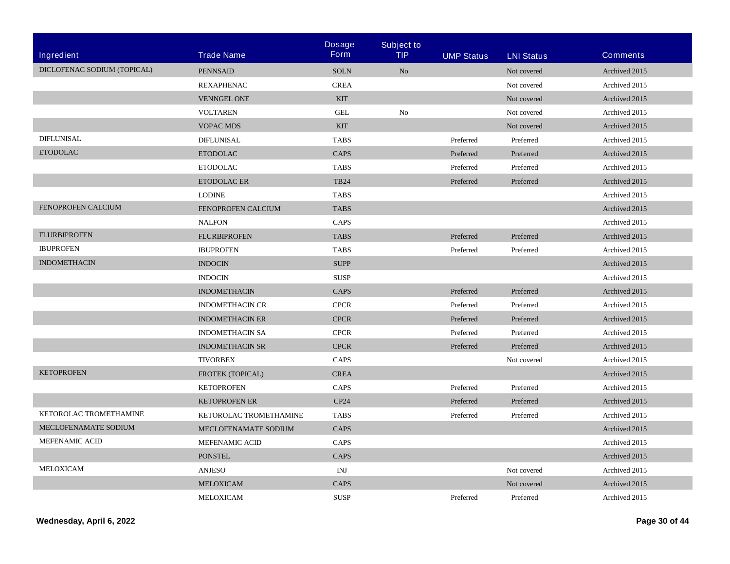|                             |                        | <b>Dosage</b> | <b>Subject to</b> |                   |                   |                 |
|-----------------------------|------------------------|---------------|-------------------|-------------------|-------------------|-----------------|
| <b>Ingredient</b>           | <b>Trade Name</b>      | Form          | <b>TIP</b>        | <b>UMP Status</b> | <b>LNI Status</b> | <b>Comments</b> |
| DICLOFENAC SODIUM (TOPICAL) | <b>PENNSAID</b>        | <b>SOLN</b>   | N <sub>o</sub>    |                   | Not covered       | Archived 2015   |
|                             | <b>REXAPHENAC</b>      | <b>CREA</b>   |                   |                   | Not covered       | Archived 2015   |
|                             | <b>VENNGEL ONE</b>     | <b>KIT</b>    |                   |                   | Not covered       | Archived 2015   |
|                             | <b>VOLTAREN</b>        | <b>GEL</b>    | N <sub>0</sub>    |                   | Not covered       | Archived 2015   |
|                             | <b>VOPAC MDS</b>       | <b>KIT</b>    |                   |                   | Not covered       | Archived 2015   |
| DIFLUNISAL                  | <b>DIFLUNISAL</b>      | <b>TABS</b>   |                   | Preferred         | Preferred         | Archived 2015   |
| <b>ETODOLAC</b>             | <b>ETODOLAC</b>        | <b>CAPS</b>   |                   | Preferred         | Preferred         | Archived 2015   |
|                             | <b>ETODOLAC</b>        | <b>TABS</b>   |                   | Preferred         | Preferred         | Archived 2015   |
|                             | ETODOLAC ER            | <b>TB24</b>   |                   | Preferred         | Preferred         | Archived 2015   |
|                             | <b>LODINE</b>          | <b>TABS</b>   |                   |                   |                   | Archived 2015   |
| FENOPROFEN CALCIUM          | FENOPROFEN CALCIUM     | <b>TABS</b>   |                   |                   |                   | Archived 2015   |
|                             | <b>NALFON</b>          | CAPS          |                   |                   |                   | Archived 2015   |
| <b>FLURBIPROFEN</b>         | <b>FLURBIPROFEN</b>    | <b>TABS</b>   |                   | Preferred         | Preferred         | Archived 2015   |
| <b>IBUPROFEN</b>            | <b>IBUPROFEN</b>       | <b>TABS</b>   |                   | Preferred         | Preferred         | Archived 2015   |
| <b>INDOMETHACIN</b>         | <b>INDOCIN</b>         | <b>SUPP</b>   |                   |                   |                   | Archived 2015   |
|                             | <b>INDOCIN</b>         | <b>SUSP</b>   |                   |                   |                   | Archived 2015   |
|                             | <b>INDOMETHACIN</b>    | CAPS          |                   | Preferred         | Preferred         | Archived 2015   |
|                             | <b>INDOMETHACIN CR</b> | <b>CPCR</b>   |                   | Preferred         | Preferred         | Archived 2015   |
|                             | <b>INDOMETHACIN ER</b> | <b>CPCR</b>   |                   | Preferred         | Preferred         | Archived 2015   |
|                             | <b>INDOMETHACIN SA</b> | <b>CPCR</b>   |                   | Preferred         | Preferred         | Archived 2015   |
|                             | <b>INDOMETHACIN SR</b> | <b>CPCR</b>   |                   | Preferred         | Preferred         | Archived 2015   |
|                             | <b>TIVORBEX</b>        | CAPS          |                   |                   | Not covered       | Archived 2015   |
| <b>KETOPROFEN</b>           | FROTEK (TOPICAL)       | <b>CREA</b>   |                   |                   |                   | Archived 2015   |
|                             | <b>KETOPROFEN</b>      | <b>CAPS</b>   |                   | Preferred         | Preferred         | Archived 2015   |
|                             | <b>KETOPROFEN ER</b>   | CP24          |                   | Preferred         | Preferred         | Archived 2015   |
| KETOROLAC TROMETHAMINE      | KETOROLAC TROMETHAMINE | <b>TABS</b>   |                   | Preferred         | Preferred         | Archived 2015   |
| <b>MECLOFENAMATE SODIUM</b> | MECLOFENAMATE SODIUM   | <b>CAPS</b>   |                   |                   |                   | Archived 2015   |
| MEFENAMIC ACID              | <b>MEFENAMIC ACID</b>  | CAPS          |                   |                   |                   | Archived 2015   |
|                             | <b>PONSTEL</b>         | CAPS          |                   |                   |                   | Archived 2015   |
| MELOXICAM                   | <b>ANJESO</b>          | INJ           |                   |                   | Not covered       | Archived 2015   |
|                             | <b>MELOXICAM</b>       | CAPS          |                   |                   | Not covered       | Archived 2015   |
|                             | MELOXICAM              | <b>SUSP</b>   |                   | Preferred         | Preferred         | Archived 2015   |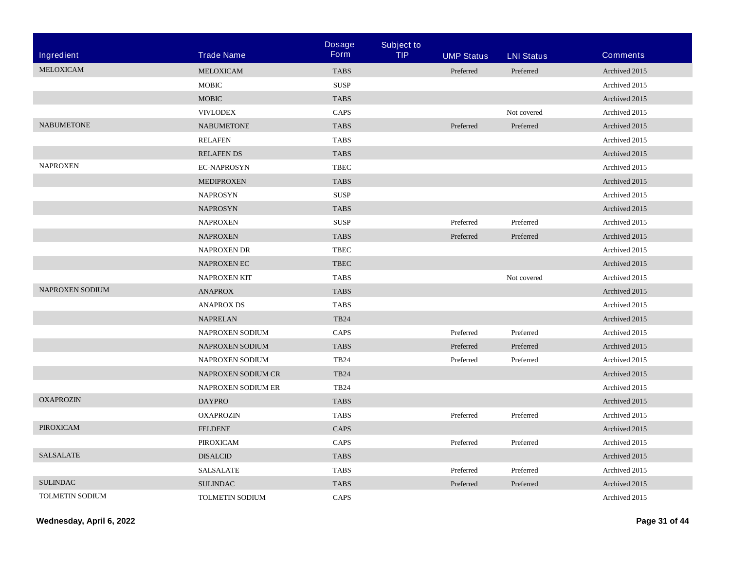|                        |                           | <b>Dosage</b> | <b>Subject to</b> |                   |                   |                 |
|------------------------|---------------------------|---------------|-------------------|-------------------|-------------------|-----------------|
| Ingredient             | <b>Trade Name</b>         | <b>Form</b>   | <b>TIP</b>        | <b>UMP Status</b> | <b>LNI Status</b> | <b>Comments</b> |
| MELOXICAM              | MELOXICAM                 | <b>TABS</b>   |                   | Preferred         | Preferred         | Archived 2015   |
|                        | <b>MOBIC</b>              | <b>SUSP</b>   |                   |                   |                   | Archived 2015   |
|                        | <b>MOBIC</b>              | <b>TABS</b>   |                   |                   |                   | Archived 2015   |
|                        | <b>VIVLODEX</b>           | CAPS          |                   |                   | Not covered       | Archived 2015   |
| <b>NABUMETONE</b>      | <b>NABUMETONE</b>         | <b>TABS</b>   |                   | Preferred         | Preferred         | Archived 2015   |
|                        | <b>RELAFEN</b>            | <b>TABS</b>   |                   |                   |                   | Archived 2015   |
|                        | <b>RELAFENDS</b>          | <b>TABS</b>   |                   |                   |                   | Archived 2015   |
| <b>NAPROXEN</b>        | <b>EC-NAPROSYN</b>        | <b>TBEC</b>   |                   |                   |                   | Archived 2015   |
|                        | <b>MEDIPROXEN</b>         | <b>TABS</b>   |                   |                   |                   | Archived 2015   |
|                        | <b>NAPROSYN</b>           | <b>SUSP</b>   |                   |                   |                   | Archived 2015   |
|                        | <b>NAPROSYN</b>           | <b>TABS</b>   |                   |                   |                   | Archived 2015   |
|                        | <b>NAPROXEN</b>           | <b>SUSP</b>   |                   | Preferred         | Preferred         | Archived 2015   |
|                        | <b>NAPROXEN</b>           | <b>TABS</b>   |                   | Preferred         | Preferred         | Archived 2015   |
|                        | <b>NAPROXEN DR</b>        | <b>TBEC</b>   |                   |                   |                   | Archived 2015   |
|                        | NAPROXEN EC               | <b>TBEC</b>   |                   |                   |                   | Archived 2015   |
|                        | <b>NAPROXEN KIT</b>       | <b>TABS</b>   |                   |                   | Not covered       | Archived 2015   |
| NAPROXEN SODIUM        | <b>ANAPROX</b>            | <b>TABS</b>   |                   |                   |                   | Archived 2015   |
|                        | <b>ANAPROX DS</b>         | <b>TABS</b>   |                   |                   |                   | Archived 2015   |
|                        | <b>NAPRELAN</b>           | <b>TB24</b>   |                   |                   |                   | Archived 2015   |
|                        | NAPROXEN SODIUM           | CAPS          |                   | Preferred         | Preferred         | Archived 2015   |
|                        | NAPROXEN SODIUM           | <b>TABS</b>   |                   | Preferred         | Preferred         | Archived 2015   |
|                        | NAPROXEN SODIUM           | <b>TB24</b>   |                   | Preferred         | Preferred         | Archived 2015   |
|                        | NAPROXEN SODIUM CR        | <b>TB24</b>   |                   |                   |                   | Archived 2015   |
|                        | <b>NAPROXEN SODIUM ER</b> | <b>TB24</b>   |                   |                   |                   | Archived 2015   |
| <b>OXAPROZIN</b>       | <b>DAYPRO</b>             | <b>TABS</b>   |                   |                   |                   | Archived 2015   |
|                        | <b>OXAPROZIN</b>          | <b>TABS</b>   |                   | Preferred         | Preferred         | Archived 2015   |
| <b>PIROXICAM</b>       | <b>FELDENE</b>            | CAPS          |                   |                   |                   | Archived 2015   |
|                        | PIROXICAM                 | CAPS          |                   | Preferred         | Preferred         | Archived 2015   |
| <b>SALSALATE</b>       | <b>DISALCID</b>           | <b>TABS</b>   |                   |                   |                   | Archived 2015   |
|                        | <b>SALSALATE</b>          | <b>TABS</b>   |                   | Preferred         | Preferred         | Archived 2015   |
| <b>SULINDAC</b>        | <b>SULINDAC</b>           | <b>TABS</b>   |                   | Preferred         | Preferred         | Archived 2015   |
| <b>TOLMETIN SODIUM</b> | <b>TOLMETIN SODIUM</b>    | CAPS          |                   |                   |                   | Archived 2015   |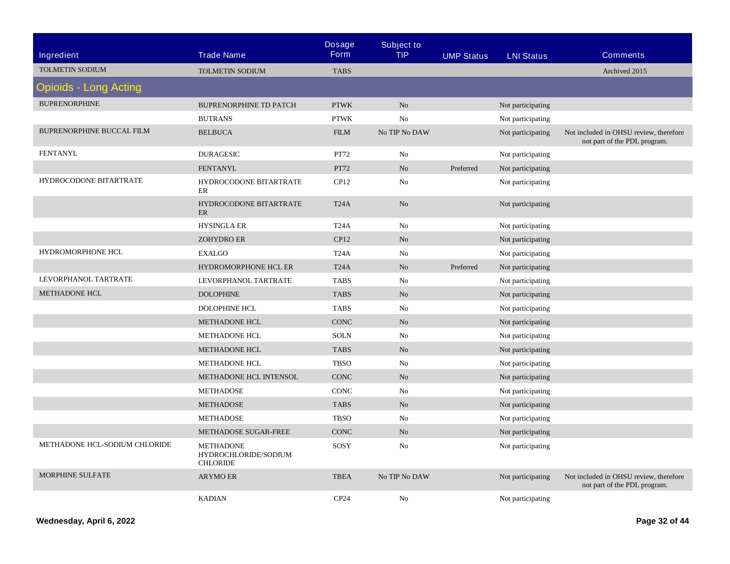|                                  |                                                             | <b>Dosage</b>     | <b>Subject to</b> |                   |                   |                                                                        |
|----------------------------------|-------------------------------------------------------------|-------------------|-------------------|-------------------|-------------------|------------------------------------------------------------------------|
| Ingredient                       | <b>Trade Name</b>                                           | <b>Form</b>       | <b>TIP</b>        | <b>UMP Status</b> | <b>LNI Status</b> | <b>Comments</b>                                                        |
| <b>TOLMETIN SODIUM</b>           | <b>TOLMETIN SODIUM</b>                                      | <b>TABS</b>       |                   |                   |                   | Archived 2015                                                          |
| <b>Opioids - Long Acting</b>     |                                                             |                   |                   |                   |                   |                                                                        |
| <b>BUPRENORPHINE</b>             | <b>BUPRENORPHINE TD PATCH</b>                               | <b>PTWK</b>       | N <sub>o</sub>    |                   | Not participating |                                                                        |
|                                  | <b>BUTRANS</b>                                              | <b>PTWK</b>       | N <sub>o</sub>    |                   | Not participating |                                                                        |
| <b>BUPRENORPHINE BUCCAL FILM</b> | <b>BELBUCA</b>                                              | <b>FILM</b>       | No TIP No DAW     |                   | Not participating | Not included in OHSU review, therefore<br>not part of the PDL program. |
| <b>FENTANYL</b>                  | <b>DURAGESIC</b>                                            | PT72              | No                |                   | Not participating |                                                                        |
|                                  | <b>FENTANYL</b>                                             | <b>PT72</b>       | No                | Preferred         | Not participating |                                                                        |
| HYDROCODONE BITARTRATE           | HYDROCODONE BITARTRATE<br>ER                                | CP12              | No                |                   | Not participating |                                                                        |
|                                  | HYDROCODONE BITARTRATE<br><b>ER</b>                         | T <sub>24</sub> A | No                |                   | Not participating |                                                                        |
|                                  | <b>HYSINGLA ER</b>                                          | T <sub>24</sub> A | No                |                   | Not participating |                                                                        |
|                                  | <b>ZOHYDRO ER</b>                                           | CP12              | No                |                   | Not participating |                                                                        |
| HYDROMORPHONE HCL                | <b>EXALGO</b>                                               | T <sub>24</sub> A | No                |                   | Not participating |                                                                        |
|                                  | HYDROMORPHONE HCL ER                                        | T <sub>24</sub> A | N <sub>o</sub>    | Preferred         | Not participating |                                                                        |
| LEVORPHANOL TARTRATE             | LEVORPHANOL TARTRATE                                        | <b>TABS</b>       | No                |                   | Not participating |                                                                        |
| <b>METHADONE HCL</b>             | <b>DOLOPHINE</b>                                            | <b>TABS</b>       | N <sub>o</sub>    |                   | Not participating |                                                                        |
|                                  | <b>DOLOPHINE HCL</b>                                        | <b>TABS</b>       | No                |                   | Not participating |                                                                        |
|                                  | <b>METHADONE HCL</b>                                        | <b>CONC</b>       | No                |                   | Not participating |                                                                        |
|                                  | <b>METHADONE HCL</b>                                        | <b>SOLN</b>       | No                |                   | Not participating |                                                                        |
|                                  | METHADONE HCL                                               | <b>TABS</b>       | N <sub>o</sub>    |                   | Not participating |                                                                        |
|                                  | <b>METHADONE HCL</b>                                        | <b>TBSO</b>       | No                |                   | Not participating |                                                                        |
|                                  | METHADONE HCL INTENSOL                                      | <b>CONC</b>       | N <sub>o</sub>    |                   | Not participating |                                                                        |
|                                  | <b>METHADOSE</b>                                            | CONC              | No                |                   | Not participating |                                                                        |
|                                  | <b>METHADOSE</b>                                            | <b>TABS</b>       | No                |                   | Not participating |                                                                        |
|                                  | <b>METHADOSE</b>                                            | <b>TBSO</b>       | No                |                   | Not participating |                                                                        |
|                                  | METHADOSE SUGAR-FREE                                        | <b>CONC</b>       | No                |                   | Not participating |                                                                        |
| METHADONE HCL-SODIUM CHLORIDE    | <b>METHADONE</b><br>HYDROCHLORIDE/SODIUM<br><b>CHLORIDE</b> | SOSY              | No                |                   | Not participating |                                                                        |
| <b>MORPHINE SULFATE</b>          | <b>ARYMO ER</b>                                             | <b>TBEA</b>       | No TIP No DAW     |                   | Not participating | Not included in OHSU review, therefore<br>not part of the PDL program. |
|                                  | <b>KADIAN</b>                                               | CP <sub>24</sub>  | No                |                   | Not participating |                                                                        |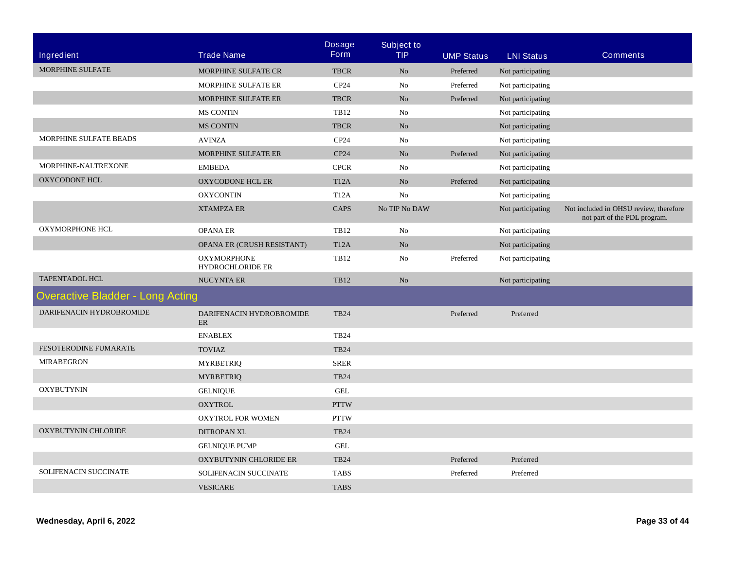|                                         |                                               | <b>Dosage</b>     | <b>Subject to</b> |                   |                   |                                                                        |
|-----------------------------------------|-----------------------------------------------|-------------------|-------------------|-------------------|-------------------|------------------------------------------------------------------------|
| <b>Ingredient</b>                       | <b>Trade Name</b>                             | <b>Form</b>       | <b>TIP</b>        | <b>UMP Status</b> | <b>LNI Status</b> | <b>Comments</b>                                                        |
| MORPHINE SULFATE                        | <b>MORPHINE SULFATE CR</b>                    | <b>TBCR</b>       | N <sub>o</sub>    | Preferred         | Not participating |                                                                        |
|                                         | MORPHINE SULFATE ER                           | CP <sub>24</sub>  | No                | Preferred         | Not participating |                                                                        |
|                                         | MORPHINE SULFATE ER                           | <b>TBCR</b>       | N <sub>o</sub>    | Preferred         | Not participating |                                                                        |
|                                         | <b>MS CONTIN</b>                              | <b>TB12</b>       | No                |                   | Not participating |                                                                        |
|                                         | <b>MS CONTIN</b>                              | <b>TBCR</b>       | N <sub>o</sub>    |                   | Not participating |                                                                        |
| MORPHINE SULFATE BEADS                  | <b>AVINZA</b>                                 | CP24              | No                |                   | Not participating |                                                                        |
|                                         | MORPHINE SULFATE ER                           | CP24              | N <sub>o</sub>    | Preferred         | Not participating |                                                                        |
| MORPHINE-NALTREXONE                     | <b>EMBEDA</b>                                 | <b>CPCR</b>       | No                |                   | Not participating |                                                                        |
| <b>OXYCODONE HCL</b>                    | OXYCODONE HCL ER                              | T <sub>12</sub> A | N <sub>o</sub>    | Preferred         | Not participating |                                                                        |
|                                         | <b>OXYCONTIN</b>                              | <b>T12A</b>       | No                |                   | Not participating |                                                                        |
|                                         | <b>XTAMPZA ER</b>                             | <b>CAPS</b>       | No TIP No DAW     |                   | Not participating | Not included in OHSU review, therefore<br>not part of the PDL program. |
| OXYMORPHONE HCL                         | <b>OPANA ER</b>                               | <b>TB12</b>       | No                |                   | Not participating |                                                                        |
|                                         | OPANA ER (CRUSH RESISTANT)                    | <b>T12A</b>       | No                |                   | Not participating |                                                                        |
|                                         | <b>OXYMORPHONE</b><br><b>HYDROCHLORIDE ER</b> | <b>TB12</b>       | No                | Preferred         | Not participating |                                                                        |
| <b>TAPENTADOL HCL</b>                   | <b>NUCYNTA ER</b>                             | <b>TB12</b>       | No                |                   | Not participating |                                                                        |
| <b>Overactive Bladder - Long Acting</b> |                                               |                   |                   |                   |                   |                                                                        |
| DARIFENACIN HYDROBROMIDE                | DARIFENACIN HYDROBROMIDE<br>ER                | <b>TB24</b>       |                   | Preferred         | Preferred         |                                                                        |
|                                         | <b>ENABLEX</b>                                | <b>TB24</b>       |                   |                   |                   |                                                                        |
| FESOTERODINE FUMARATE                   | <b>TOVIAZ</b>                                 | <b>TB24</b>       |                   |                   |                   |                                                                        |
| <b>MIRABEGRON</b>                       | <b>MYRBETRIQ</b>                              | <b>SRER</b>       |                   |                   |                   |                                                                        |
|                                         | <b>MYRBETRIQ</b>                              | <b>TB24</b>       |                   |                   |                   |                                                                        |
| <b>OXYBUTYNIN</b>                       | <b>GELNIQUE</b>                               | <b>GEL</b>        |                   |                   |                   |                                                                        |
|                                         | <b>OXYTROL</b>                                | <b>PTTW</b>       |                   |                   |                   |                                                                        |
|                                         | <b>OXYTROL FOR WOMEN</b>                      | <b>PTTW</b>       |                   |                   |                   |                                                                        |
| OXYBUTYNIN CHLORIDE                     | <b>DITROPAN XL</b>                            | <b>TB24</b>       |                   |                   |                   |                                                                        |
|                                         | <b>GELNIQUE PUMP</b>                          | <b>GEL</b>        |                   |                   |                   |                                                                        |
|                                         | OXYBUTYNIN CHLORIDE ER                        | <b>TB24</b>       |                   | Preferred         | Preferred         |                                                                        |
| SOLIFENACIN SUCCINATE                   | SOLIFENACIN SUCCINATE                         | <b>TABS</b>       |                   | Preferred         | Preferred         |                                                                        |
|                                         | <b>VESICARE</b>                               | <b>TABS</b>       |                   |                   |                   |                                                                        |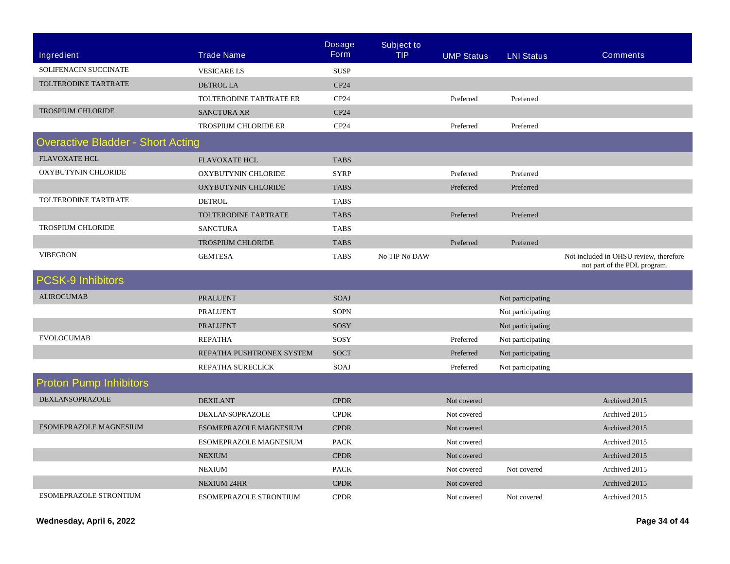|                                          |                             | <b>Dosage</b><br><b>Form</b> | <b>Subject to</b> |                   |                   |                                                                        |
|------------------------------------------|-----------------------------|------------------------------|-------------------|-------------------|-------------------|------------------------------------------------------------------------|
| <b>Ingredient</b>                        | <b>Trade Name</b>           |                              | <b>TIP</b>        | <b>UMP Status</b> | <b>LNI Status</b> | <b>Comments</b>                                                        |
| SOLIFENACIN SUCCINATE                    | <b>VESICARE LS</b>          | <b>SUSP</b>                  |                   |                   |                   |                                                                        |
| TOLTERODINE TARTRATE                     | <b>DETROL LA</b>            | CP24                         |                   |                   |                   |                                                                        |
|                                          | TOLTERODINE TARTRATE ER     | CP <sub>24</sub>             |                   | Preferred         | Preferred         |                                                                        |
| <b>TROSPIUM CHLORIDE</b>                 | <b>SANCTURA XR</b>          | CP24                         |                   |                   |                   |                                                                        |
|                                          | <b>TROSPIUM CHLORIDE ER</b> | CP <sub>24</sub>             |                   | Preferred         | Preferred         |                                                                        |
| <b>Overactive Bladder - Short Acting</b> |                             |                              |                   |                   |                   |                                                                        |
| <b>FLAVOXATE HCL</b>                     | <b>FLAVOXATE HCL</b>        | <b>TABS</b>                  |                   |                   |                   |                                                                        |
| OXYBUTYNIN CHLORIDE                      | OXYBUTYNIN CHLORIDE         | <b>SYRP</b>                  |                   | Preferred         | Preferred         |                                                                        |
|                                          | OXYBUTYNIN CHLORIDE         | <b>TABS</b>                  |                   | Preferred         | Preferred         |                                                                        |
| TOLTERODINE TARTRATE                     | <b>DETROL</b>               | <b>TABS</b>                  |                   |                   |                   |                                                                        |
|                                          | TOLTERODINE TARTRATE        | <b>TABS</b>                  |                   | Preferred         | Preferred         |                                                                        |
| <b>TROSPIUM CHLORIDE</b>                 | <b>SANCTURA</b>             | <b>TABS</b>                  |                   |                   |                   |                                                                        |
|                                          | <b>TROSPIUM CHLORIDE</b>    | <b>TABS</b>                  |                   | Preferred         | Preferred         |                                                                        |
| <b>VIBEGRON</b>                          | <b>GEMTESA</b>              | <b>TABS</b>                  | No TIP No DAW     |                   |                   | Not included in OHSU review, therefore<br>not part of the PDL program. |
| <b>PCSK-9 Inhibitors</b>                 |                             |                              |                   |                   |                   |                                                                        |
| <b>ALIROCUMAB</b>                        | <b>PRALUENT</b>             | SOAJ                         |                   |                   | Not participating |                                                                        |
|                                          | <b>PRALUENT</b>             | <b>SOPN</b>                  |                   |                   | Not participating |                                                                        |
|                                          | <b>PRALUENT</b>             | SOSY                         |                   |                   | Not participating |                                                                        |
| <b>EVOLOCUMAB</b>                        | <b>REPATHA</b>              | SOSY                         |                   | Preferred         | Not participating |                                                                        |
|                                          | REPATHA PUSHTRONEX SYSTEM   | <b>SOCT</b>                  |                   | Preferred         | Not participating |                                                                        |
|                                          | REPATHA SURECLICK           | SOAJ                         |                   | Preferred         | Not participating |                                                                        |
| <b>Proton Pump Inhibitors</b>            |                             |                              |                   |                   |                   |                                                                        |
| DEXLANSOPRAZOLE                          | <b>DEXILANT</b>             | <b>CPDR</b>                  |                   | Not covered       |                   | Archived 2015                                                          |
|                                          | DEXLANSOPRAZOLE             | <b>CPDR</b>                  |                   | Not covered       |                   | Archived 2015                                                          |
| ESOMEPRAZOLE MAGNESIUM                   | ESOMEPRAZOLE MAGNESIUM      | <b>CPDR</b>                  |                   | Not covered       |                   | Archived 2015                                                          |
|                                          | ESOMEPRAZOLE MAGNESIUM      | <b>PACK</b>                  |                   | Not covered       |                   | Archived 2015                                                          |
|                                          | <b>NEXIUM</b>               | <b>CPDR</b>                  |                   | Not covered       |                   | Archived 2015                                                          |
|                                          | <b>NEXIUM</b>               | <b>PACK</b>                  |                   | Not covered       | Not covered       | Archived 2015                                                          |
|                                          | <b>NEXIUM 24HR</b>          | <b>CPDR</b>                  |                   | Not covered       |                   | Archived 2015                                                          |
| <b>ESOMEPRAZOLE STRONTIUM</b>            | ESOMEPRAZOLE STRONTIUM      | <b>CPDR</b>                  |                   | Not covered       | Not covered       | Archived 2015                                                          |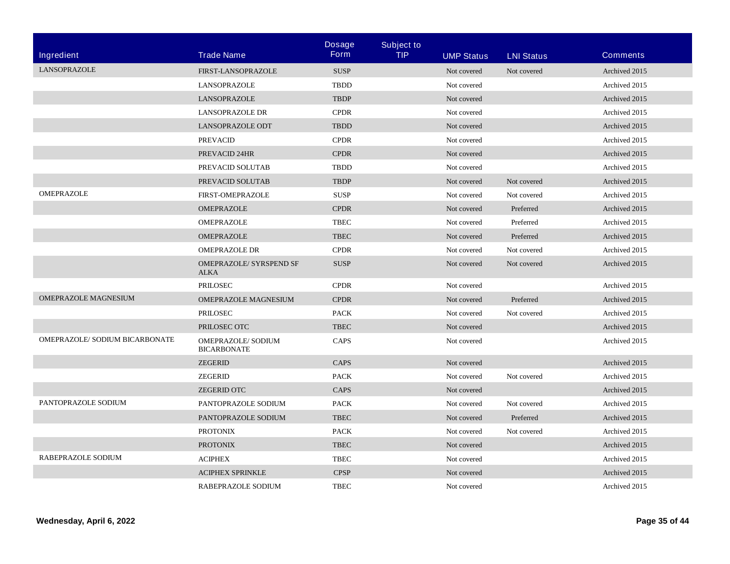|                                |                                               | <b>Dosage</b> | <b>Subject to</b> |                   |                   |                 |
|--------------------------------|-----------------------------------------------|---------------|-------------------|-------------------|-------------------|-----------------|
| <b>Ingredient</b>              | <b>Trade Name</b>                             | <b>Form</b>   | <b>TIP</b>        | <b>UMP Status</b> | <b>LNI Status</b> | <b>Comments</b> |
| <b>LANSOPRAZOLE</b>            | FIRST-LANSOPRAZOLE                            | <b>SUSP</b>   |                   | Not covered       | Not covered       | Archived 2015   |
|                                | <b>LANSOPRAZOLE</b>                           | <b>TBDD</b>   |                   | Not covered       |                   | Archived 2015   |
|                                | <b>LANSOPRAZOLE</b>                           | <b>TBDP</b>   |                   | Not covered       |                   | Archived 2015   |
|                                | <b>LANSOPRAZOLE DR</b>                        | <b>CPDR</b>   |                   | Not covered       |                   | Archived 2015   |
|                                | <b>LANSOPRAZOLE ODT</b>                       | <b>TBDD</b>   |                   | Not covered       |                   | Archived 2015   |
|                                | <b>PREVACID</b>                               | <b>CPDR</b>   |                   | Not covered       |                   | Archived 2015   |
|                                | PREVACID 24HR                                 | <b>CPDR</b>   |                   | Not covered       |                   | Archived 2015   |
|                                | PREVACID SOLUTAB                              | <b>TBDD</b>   |                   | Not covered       |                   | Archived 2015   |
|                                | PREVACID SOLUTAB                              | <b>TBDP</b>   |                   | Not covered       | Not covered       | Archived 2015   |
| OMEPRAZOLE                     | <b>FIRST-OMEPRAZOLE</b>                       | <b>SUSP</b>   |                   | Not covered       | Not covered       | Archived 2015   |
|                                | OMEPRAZOLE                                    | <b>CPDR</b>   |                   | Not covered       | Preferred         | Archived 2015   |
|                                | OMEPRAZOLE                                    | <b>TBEC</b>   |                   | Not covered       | Preferred         | Archived 2015   |
|                                | OMEPRAZOLE                                    | <b>TBEC</b>   |                   | Not covered       | Preferred         | Archived 2015   |
|                                | <b>OMEPRAZOLE DR</b>                          | <b>CPDR</b>   |                   | Not covered       | Not covered       | Archived 2015   |
|                                | <b>OMEPRAZOLE/ SYRSPEND SF</b><br><b>ALKA</b> | <b>SUSP</b>   |                   | Not covered       | Not covered       | Archived 2015   |
|                                | <b>PRILOSEC</b>                               | <b>CPDR</b>   |                   | Not covered       |                   | Archived 2015   |
| OMEPRAZOLE MAGNESIUM           | OMEPRAZOLE MAGNESIUM                          | <b>CPDR</b>   |                   | Not covered       | Preferred         | Archived 2015   |
|                                | PRILOSEC                                      | <b>PACK</b>   |                   | Not covered       | Not covered       | Archived 2015   |
|                                | PRILOSEC OTC                                  | <b>TBEC</b>   |                   | Not covered       |                   | Archived 2015   |
| OMEPRAZOLE/ SODIUM BICARBONATE | OMEPRAZOLE/ SODIUM<br><b>BICARBONATE</b>      | <b>CAPS</b>   |                   | Not covered       |                   | Archived 2015   |
|                                | <b>ZEGERID</b>                                | <b>CAPS</b>   |                   | Not covered       |                   | Archived 2015   |
|                                | <b>ZEGERID</b>                                | <b>PACK</b>   |                   | Not covered       | Not covered       | Archived 2015   |
|                                | <b>ZEGERID OTC</b>                            | <b>CAPS</b>   |                   | Not covered       |                   | Archived 2015   |
| PANTOPRAZOLE SODIUM            | PANTOPRAZOLE SODIUM                           | <b>PACK</b>   |                   | Not covered       | Not covered       | Archived 2015   |
|                                | PANTOPRAZOLE SODIUM                           | <b>TBEC</b>   |                   | Not covered       | Preferred         | Archived 2015   |
|                                | <b>PROTONIX</b>                               | <b>PACK</b>   |                   | Not covered       | Not covered       | Archived 2015   |
|                                | <b>PROTONIX</b>                               | <b>TBEC</b>   |                   | Not covered       |                   | Archived 2015   |
| RABEPRAZOLE SODIUM             | <b>ACIPHEX</b>                                | <b>TBEC</b>   |                   | Not covered       |                   | Archived 2015   |
|                                | <b>ACIPHEX SPRINKLE</b>                       | <b>CPSP</b>   |                   | Not covered       |                   | Archived 2015   |
|                                | RABEPRAZOLE SODIUM                            | <b>TBEC</b>   |                   | Not covered       |                   | Archived 2015   |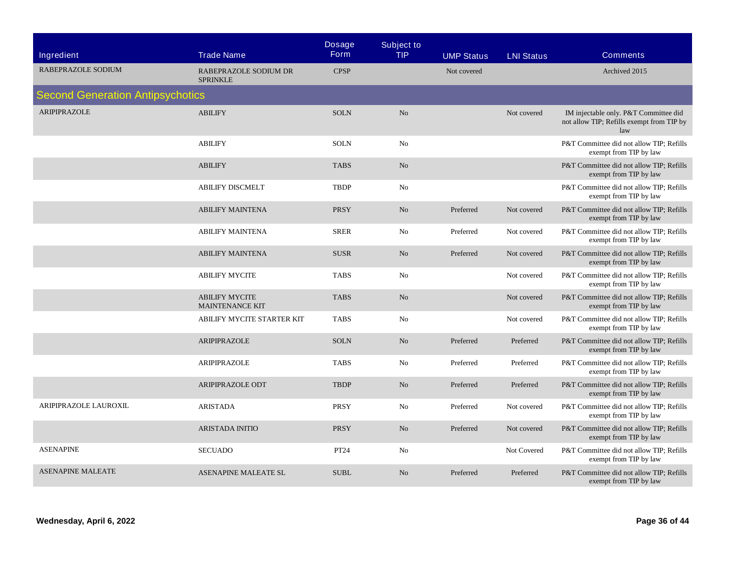| Ingredient                              | <b>Trade Name</b>                               | <b>Dosage</b><br><b>Form</b> | <b>Subject to</b><br><b>TIP</b> | <b>UMP Status</b> | <b>LNI Status</b> | <b>Comments</b>                                                                           |
|-----------------------------------------|-------------------------------------------------|------------------------------|---------------------------------|-------------------|-------------------|-------------------------------------------------------------------------------------------|
| RABEPRAZOLE SODIUM                      | RABEPRAZOLE SODIUM DR<br><b>SPRINKLE</b>        | <b>CPSP</b>                  |                                 | Not covered       |                   | Archived 2015                                                                             |
| <b>Second Generation Antipsychotics</b> |                                                 |                              |                                 |                   |                   |                                                                                           |
| <b>ARIPIPRAZOLE</b>                     | <b>ABILIFY</b>                                  | <b>SOLN</b>                  | No                              |                   | Not covered       | IM injectable only. P&T Committee did<br>not allow TIP; Refills exempt from TIP by<br>law |
|                                         | <b>ABILIFY</b>                                  | <b>SOLN</b>                  | No                              |                   |                   | P&T Committee did not allow TIP; Refills<br>exempt from TIP by law                        |
|                                         | <b>ABILIFY</b>                                  | <b>TABS</b>                  | N <sub>o</sub>                  |                   |                   | P&T Committee did not allow TIP; Refills<br>exempt from TIP by law                        |
|                                         | <b>ABILIFY DISCMELT</b>                         | <b>TBDP</b>                  | No                              |                   |                   | P&T Committee did not allow TIP; Refills<br>exempt from TIP by law                        |
|                                         | <b>ABILIFY MAINTENA</b>                         | PRSY                         | No                              | Preferred         | Not covered       | P&T Committee did not allow TIP; Refills<br>exempt from TIP by law                        |
|                                         | <b>ABILIFY MAINTENA</b>                         | <b>SRER</b>                  | No                              | Preferred         | Not covered       | P&T Committee did not allow TIP; Refills<br>exempt from TIP by law                        |
|                                         | <b>ABILIFY MAINTENA</b>                         | <b>SUSR</b>                  | N <sub>o</sub>                  | Preferred         | Not covered       | P&T Committee did not allow TIP; Refills<br>exempt from TIP by law                        |
|                                         | <b>ABILIFY MYCITE</b>                           | <b>TABS</b>                  | No                              |                   | Not covered       | P&T Committee did not allow TIP; Refills<br>exempt from TIP by law                        |
|                                         | <b>ABILIFY MYCITE</b><br><b>MAINTENANCE KIT</b> | <b>TABS</b>                  | No                              |                   | Not covered       | P&T Committee did not allow TIP; Refills<br>exempt from TIP by law                        |
|                                         | ABILIFY MYCITE STARTER KIT                      | <b>TABS</b>                  | No                              |                   | Not covered       | P&T Committee did not allow TIP; Refills<br>exempt from TIP by law                        |
|                                         | ARIPIPRAZOLE                                    | <b>SOLN</b>                  | $\rm No$                        | Preferred         | Preferred         | P&T Committee did not allow TIP; Refills<br>exempt from TIP by law                        |
|                                         | ARIPIPRAZOLE                                    | <b>TABS</b>                  | No                              | Preferred         | Preferred         | P&T Committee did not allow TIP; Refills<br>exempt from TIP by law                        |
|                                         | ARIPIPRAZOLE ODT                                | <b>TBDP</b>                  | No                              | Preferred         | Preferred         | P&T Committee did not allow TIP; Refills<br>exempt from TIP by law                        |
| ARIPIPRAZOLE LAUROXIL                   | <b>ARISTADA</b>                                 | PRSY                         | No                              | Preferred         | Not covered       | P&T Committee did not allow TIP; Refills<br>exempt from TIP by law                        |
|                                         | <b>ARISTADA INITIO</b>                          | <b>PRSY</b>                  | N <sub>o</sub>                  | Preferred         | Not covered       | P&T Committee did not allow TIP; Refills<br>exempt from TIP by law                        |
| <b>ASENAPINE</b>                        | <b>SECUADO</b>                                  | PT24                         | No                              |                   | Not Covered       | P&T Committee did not allow TIP; Refills<br>exempt from TIP by law                        |
| <b>ASENAPINE MALEATE</b>                | <b>ASENAPINE MALEATE SL</b>                     | <b>SUBL</b>                  | N <sub>o</sub>                  | Preferred         | Preferred         | P&T Committee did not allow TIP; Refills<br>exempt from TIP by law                        |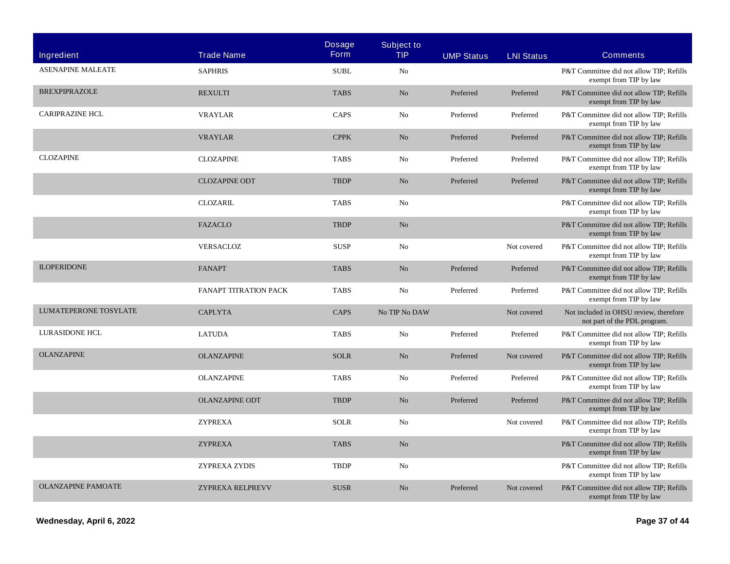| Ingredient                | <b>Trade Name</b>            | <b>Dosage</b><br><b>Form</b> | <b>Subject to</b><br><b>TIP</b> | <b>UMP Status</b> | <b>LNI Status</b> | <b>Comments</b>                                                        |
|---------------------------|------------------------------|------------------------------|---------------------------------|-------------------|-------------------|------------------------------------------------------------------------|
| <b>ASENAPINE MALEATE</b>  | <b>SAPHRIS</b>               | <b>SUBL</b>                  | N <sub>0</sub>                  |                   |                   | P&T Committee did not allow TIP: Refills<br>exempt from TIP by law     |
| <b>BREXPIPRAZOLE</b>      | <b>REXULTI</b>               | <b>TABS</b>                  | N <sub>o</sub>                  | Preferred         | Preferred         | P&T Committee did not allow TIP; Refills<br>exempt from TIP by law     |
| <b>CARIPRAZINE HCL</b>    | <b>VRAYLAR</b>               | CAPS                         | No                              | Preferred         | Preferred         | P&T Committee did not allow TIP; Refills<br>exempt from TIP by law     |
|                           | <b>VRAYLAR</b>               | <b>CPPK</b>                  | No                              | Preferred         | Preferred         | P&T Committee did not allow TIP; Refills<br>exempt from TIP by law     |
| <b>CLOZAPINE</b>          | <b>CLOZAPINE</b>             | <b>TABS</b>                  | No                              | Preferred         | Preferred         | P&T Committee did not allow TIP; Refills<br>exempt from TIP by law     |
|                           | <b>CLOZAPINE ODT</b>         | <b>TBDP</b>                  | N <sub>o</sub>                  | Preferred         | Preferred         | P&T Committee did not allow TIP; Refills<br>exempt from TIP by law     |
|                           | <b>CLOZARIL</b>              | <b>TABS</b>                  | N <sub>0</sub>                  |                   |                   | P&T Committee did not allow TIP; Refills<br>exempt from TIP by law     |
|                           | <b>FAZACLO</b>               | <b>TBDP</b>                  | N <sub>o</sub>                  |                   |                   | P&T Committee did not allow TIP; Refills<br>exempt from TIP by law     |
|                           | <b>VERSACLOZ</b>             | <b>SUSP</b>                  | No                              |                   | Not covered       | P&T Committee did not allow TIP; Refills<br>exempt from TIP by law     |
| <b>ILOPERIDONE</b>        | <b>FANAPT</b>                | <b>TABS</b>                  | $\rm No$                        | Preferred         | Preferred         | P&T Committee did not allow TIP; Refills<br>exempt from TIP by law     |
|                           | <b>FANAPT TITRATION PACK</b> | <b>TABS</b>                  | No                              | Preferred         | Preferred         | P&T Committee did not allow TIP; Refills<br>exempt from TIP by law     |
| LUMATEPERONE TOSYLATE     | <b>CAPLYTA</b>               | <b>CAPS</b>                  | No TIP No DAW                   |                   | Not covered       | Not included in OHSU review, therefore<br>not part of the PDL program. |
| LURASIDONE HCL            | <b>LATUDA</b>                | <b>TABS</b>                  | No                              | Preferred         | Preferred         | P&T Committee did not allow TIP; Refills<br>exempt from TIP by law     |
| <b>OLANZAPINE</b>         | <b>OLANZAPINE</b>            | <b>SOLR</b>                  | N <sub>o</sub>                  | Preferred         | Not covered       | P&T Committee did not allow TIP; Refills<br>exempt from TIP by law     |
|                           | <b>OLANZAPINE</b>            | <b>TABS</b>                  | No                              | Preferred         | Preferred         | P&T Committee did not allow TIP; Refills<br>exempt from TIP by law     |
|                           | <b>OLANZAPINE ODT</b>        | <b>TBDP</b>                  | N <sub>o</sub>                  | Preferred         | Preferred         | P&T Committee did not allow TIP; Refills<br>exempt from TIP by law     |
|                           | <b>ZYPREXA</b>               | <b>SOLR</b>                  | No                              |                   | Not covered       | P&T Committee did not allow TIP; Refills<br>exempt from TIP by law     |
|                           | <b>ZYPREXA</b>               | <b>TABS</b>                  | N <sub>o</sub>                  |                   |                   | P&T Committee did not allow TIP; Refills<br>exempt from TIP by law     |
|                           | ZYPREXA ZYDIS                | <b>TBDP</b>                  | No                              |                   |                   | P&T Committee did not allow TIP; Refills<br>exempt from TIP by law     |
| <b>OLANZAPINE PAMOATE</b> | ZYPREXA RELPREVV             | <b>SUSR</b>                  | N <sub>o</sub>                  | Preferred         | Not covered       | P&T Committee did not allow TIP; Refills<br>exempt from TIP by law     |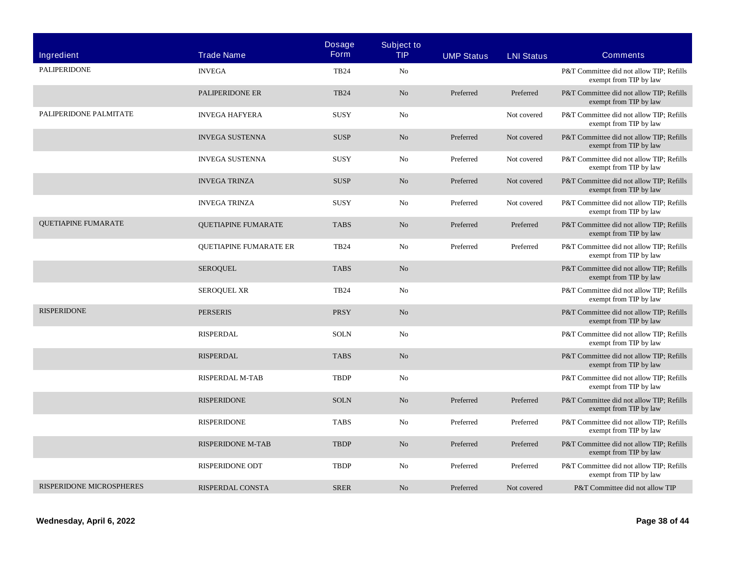| <b>Ingredient</b>          | <b>Trade Name</b>             | <b>Dosage</b><br><b>Form</b> | <b>Subject to</b><br><b>TIP</b> | <b>UMP Status</b> | <b>LNI Status</b> | <b>Comments</b>                                                    |
|----------------------------|-------------------------------|------------------------------|---------------------------------|-------------------|-------------------|--------------------------------------------------------------------|
| <b>PALIPERIDONE</b>        | <b>INVEGA</b>                 | <b>TB24</b>                  | No                              |                   |                   | P&T Committee did not allow TIP; Refills<br>exempt from TIP by law |
|                            | PALIPERIDONE ER               | <b>TB24</b>                  | No                              | Preferred         | Preferred         | P&T Committee did not allow TIP; Refills<br>exempt from TIP by law |
| PALIPERIDONE PALMITATE     | <b>INVEGA HAFYERA</b>         | <b>SUSY</b>                  | No                              |                   | Not covered       | P&T Committee did not allow TIP; Refills<br>exempt from TIP by law |
|                            | <b>INVEGA SUSTENNA</b>        | <b>SUSP</b>                  | N <sub>o</sub>                  | Preferred         | Not covered       | P&T Committee did not allow TIP; Refills<br>exempt from TIP by law |
|                            | <b>INVEGA SUSTENNA</b>        | <b>SUSY</b>                  | No                              | Preferred         | Not covered       | P&T Committee did not allow TIP; Refills<br>exempt from TIP by law |
|                            | <b>INVEGA TRINZA</b>          | <b>SUSP</b>                  | N <sub>0</sub>                  | Preferred         | Not covered       | P&T Committee did not allow TIP; Refills<br>exempt from TIP by law |
|                            | <b>INVEGA TRINZA</b>          | <b>SUSY</b>                  | No                              | Preferred         | Not covered       | P&T Committee did not allow TIP; Refills<br>exempt from TIP by law |
| <b>QUETIAPINE FUMARATE</b> | <b>QUETIAPINE FUMARATE</b>    | <b>TABS</b>                  | N <sub>o</sub>                  | Preferred         | Preferred         | P&T Committee did not allow TIP; Refills<br>exempt from TIP by law |
|                            | <b>QUETIAPINE FUMARATE ER</b> | <b>TB24</b>                  | No                              | Preferred         | Preferred         | P&T Committee did not allow TIP; Refills<br>exempt from TIP by law |
|                            | <b>SEROQUEL</b>               | <b>TABS</b>                  | N <sub>0</sub>                  |                   |                   | P&T Committee did not allow TIP; Refills<br>exempt from TIP by law |
|                            | <b>SEROQUEL XR</b>            | <b>TB24</b>                  | No                              |                   |                   | P&T Committee did not allow TIP; Refills<br>exempt from TIP by law |
| <b>RISPERIDONE</b>         | <b>PERSERIS</b>               | <b>PRSY</b>                  | N <sub>o</sub>                  |                   |                   | P&T Committee did not allow TIP; Refills<br>exempt from TIP by law |
|                            | <b>RISPERDAL</b>              | <b>SOLN</b>                  | N <sub>0</sub>                  |                   |                   | P&T Committee did not allow TIP; Refills<br>exempt from TIP by law |
|                            | <b>RISPERDAL</b>              | <b>TABS</b>                  | N <sub>o</sub>                  |                   |                   | P&T Committee did not allow TIP; Refills<br>exempt from TIP by law |
|                            | <b>RISPERDAL M-TAB</b>        | <b>TBDP</b>                  | No                              |                   |                   | P&T Committee did not allow TIP; Refills<br>exempt from TIP by law |
|                            | <b>RISPERIDONE</b>            | <b>SOLN</b>                  | No                              | Preferred         | Preferred         | P&T Committee did not allow TIP; Refills<br>exempt from TIP by law |
|                            | <b>RISPERIDONE</b>            | <b>TABS</b>                  | No                              | Preferred         | Preferred         | P&T Committee did not allow TIP; Refills<br>exempt from TIP by law |
|                            | <b>RISPERIDONE M-TAB</b>      | <b>TBDP</b>                  | N <sub>o</sub>                  | Preferred         | Preferred         | P&T Committee did not allow TIP; Refills<br>exempt from TIP by law |
|                            | RISPERIDONE ODT               | <b>TBDP</b>                  | No                              | Preferred         | Preferred         | P&T Committee did not allow TIP: Refills<br>exempt from TIP by law |
| RISPERIDONE MICROSPHERES   | RISPERDAL CONSTA              | <b>SRER</b>                  | N <sub>o</sub>                  | Preferred         | Not covered       | P&T Committee did not allow TIP                                    |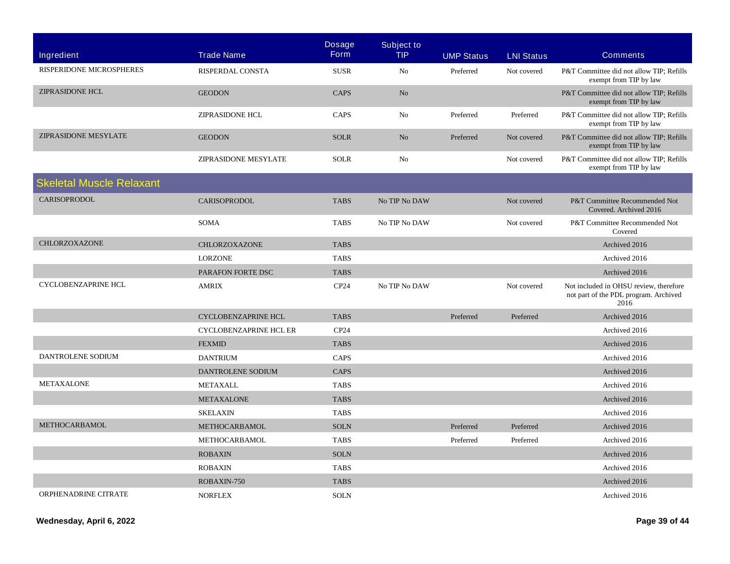| Ingredient                      | <b>Trade Name</b>             | <b>Dosage</b><br><b>Form</b> | <b>Subject to</b><br><b>TIP</b> | <b>UMP Status</b> | <b>LNI Status</b> | <b>Comments</b>                                                                         |
|---------------------------------|-------------------------------|------------------------------|---------------------------------|-------------------|-------------------|-----------------------------------------------------------------------------------------|
| RISPERIDONE MICROSPHERES        | <b>RISPERDAL CONSTA</b>       | <b>SUSR</b>                  | N <sub>0</sub>                  | Preferred         | Not covered       | P&T Committee did not allow TIP; Refills<br>exempt from TIP by law                      |
| <b>ZIPRASIDONE HCL</b>          | <b>GEODON</b>                 | <b>CAPS</b>                  | N <sub>o</sub>                  |                   |                   | P&T Committee did not allow TIP; Refills<br>exempt from TIP by law                      |
|                                 | <b>ZIPRASIDONE HCL</b>        | <b>CAPS</b>                  | No                              | Preferred         | Preferred         | P&T Committee did not allow TIP; Refills<br>exempt from TIP by law                      |
| <b>ZIPRASIDONE MESYLATE</b>     | <b>GEODON</b>                 | <b>SOLR</b>                  | No                              | Preferred         | Not covered       | P&T Committee did not allow TIP; Refills<br>exempt from TIP by law                      |
|                                 | ZIPRASIDONE MESYLATE          | <b>SOLR</b>                  | No                              |                   | Not covered       | P&T Committee did not allow TIP; Refills<br>exempt from TIP by law                      |
| <b>Skeletal Muscle Relaxant</b> |                               |                              |                                 |                   |                   |                                                                                         |
| <b>CARISOPRODOL</b>             | <b>CARISOPRODOL</b>           | <b>TABS</b>                  | No TIP No DAW                   |                   | Not covered       | P&T Committee Recommended Not<br>Covered. Archived 2016                                 |
|                                 | <b>SOMA</b>                   | <b>TABS</b>                  | No TIP No DAW                   |                   | Not covered       | P&T Committee Recommended Not<br>Covered                                                |
| <b>CHLORZOXAZONE</b>            | CHLORZOXAZONE                 | <b>TABS</b>                  |                                 |                   |                   | Archived 2016                                                                           |
|                                 | <b>LORZONE</b>                | <b>TABS</b>                  |                                 |                   |                   | Archived 2016                                                                           |
|                                 | PARAFON FORTE DSC             | <b>TABS</b>                  |                                 |                   |                   | Archived 2016                                                                           |
| <b>CYCLOBENZAPRINE HCL</b>      | <b>AMRIX</b>                  | CP24                         | No TIP No DAW                   |                   | Not covered       | Not included in OHSU review, therefore<br>not part of the PDL program. Archived<br>2016 |
|                                 | <b>CYCLOBENZAPRINE HCL</b>    | <b>TABS</b>                  |                                 | Preferred         | Preferred         | Archived 2016                                                                           |
|                                 | <b>CYCLOBENZAPRINE HCL ER</b> | CP24                         |                                 |                   |                   | Archived 2016                                                                           |
|                                 | <b>FEXMID</b>                 | <b>TABS</b>                  |                                 |                   |                   | Archived 2016                                                                           |
| DANTROLENE SODIUM               | <b>DANTRIUM</b>               | <b>CAPS</b>                  |                                 |                   |                   | Archived 2016                                                                           |
|                                 | DANTROLENE SODIUM             | <b>CAPS</b>                  |                                 |                   |                   | Archived 2016                                                                           |
| <b>METAXALONE</b>               | <b>METAXALL</b>               | <b>TABS</b>                  |                                 |                   |                   | Archived 2016                                                                           |
|                                 | <b>METAXALONE</b>             | <b>TABS</b>                  |                                 |                   |                   | Archived 2016                                                                           |
|                                 | <b>SKELAXIN</b>               | <b>TABS</b>                  |                                 |                   |                   | Archived 2016                                                                           |
| <b>METHOCARBAMOL</b>            | METHOCARBAMOL                 | <b>SOLN</b>                  |                                 | Preferred         | Preferred         | Archived 2016                                                                           |
|                                 | METHOCARBAMOL                 | <b>TABS</b>                  |                                 | Preferred         | Preferred         | Archived 2016                                                                           |
|                                 | <b>ROBAXIN</b>                | <b>SOLN</b>                  |                                 |                   |                   | Archived 2016                                                                           |
|                                 | <b>ROBAXIN</b>                | <b>TABS</b>                  |                                 |                   |                   | Archived 2016                                                                           |
|                                 | ROBAXIN-750                   | <b>TABS</b>                  |                                 |                   |                   | Archived 2016                                                                           |
| ORPHENADRINE CITRATE            | <b>NORFLEX</b>                | <b>SOLN</b>                  |                                 |                   |                   | Archived 2016                                                                           |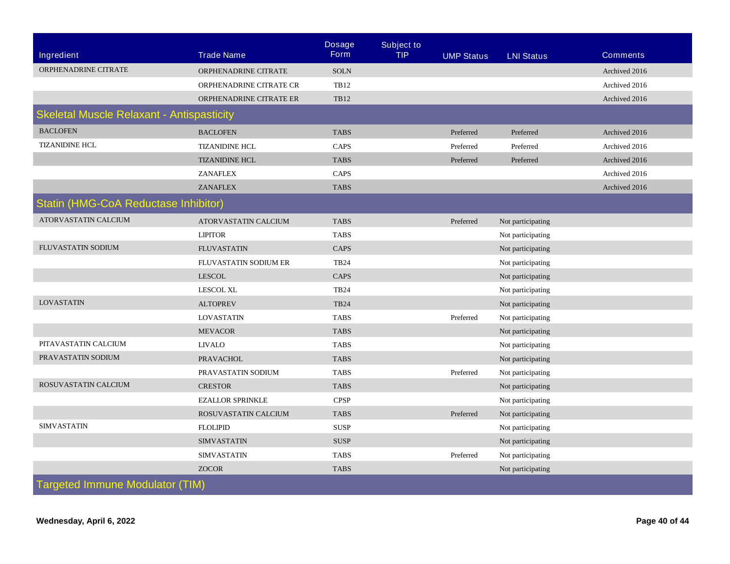|                                                  |                         | <b>Dosage</b> | <b>Subject to</b> |                   |                   |                 |  |
|--------------------------------------------------|-------------------------|---------------|-------------------|-------------------|-------------------|-----------------|--|
| <b>Ingredient</b>                                | <b>Trade Name</b>       | <b>Form</b>   | <b>TIP</b>        | <b>UMP Status</b> | <b>LNI Status</b> | <b>Comments</b> |  |
| ORPHENADRINE CITRATE                             | ORPHENADRINE CITRATE    | <b>SOLN</b>   |                   |                   |                   | Archived 2016   |  |
|                                                  | ORPHENADRINE CITRATE CR | <b>TB12</b>   |                   |                   |                   | Archived 2016   |  |
|                                                  | ORPHENADRINE CITRATE ER | <b>TB12</b>   |                   |                   |                   | Archived 2016   |  |
| <b>Skeletal Muscle Relaxant - Antispasticity</b> |                         |               |                   |                   |                   |                 |  |
| <b>BACLOFEN</b>                                  | <b>BACLOFEN</b>         | <b>TABS</b>   |                   | Preferred         | Preferred         | Archived 2016   |  |
| <b>TIZANIDINE HCL</b>                            | <b>TIZANIDINE HCL</b>   | CAPS          |                   | Preferred         | Preferred         | Archived 2016   |  |
|                                                  | <b>TIZANIDINE HCL</b>   | <b>TABS</b>   |                   | Preferred         | Preferred         | Archived 2016   |  |
|                                                  | <b>ZANAFLEX</b>         | CAPS          |                   |                   |                   | Archived 2016   |  |
|                                                  | <b>ZANAFLEX</b>         | <b>TABS</b>   |                   |                   |                   | Archived 2016   |  |
| Statin (HMG-CoA Reductase Inhibitor)             |                         |               |                   |                   |                   |                 |  |
| ATORVASTATIN CALCIUM                             | ATORVASTATIN CALCIUM    | <b>TABS</b>   |                   | Preferred         | Not participating |                 |  |
|                                                  | <b>LIPITOR</b>          | <b>TABS</b>   |                   |                   | Not participating |                 |  |
| FLUVASTATIN SODIUM                               | <b>FLUVASTATIN</b>      | CAPS          |                   |                   | Not participating |                 |  |
|                                                  | FLUVASTATIN SODIUM ER   | <b>TB24</b>   |                   |                   | Not participating |                 |  |
|                                                  | <b>LESCOL</b>           | CAPS          |                   |                   | Not participating |                 |  |
|                                                  | <b>LESCOL XL</b>        | <b>TB24</b>   |                   |                   | Not participating |                 |  |
| <b>LOVASTATIN</b>                                | <b>ALTOPREV</b>         | <b>TB24</b>   |                   |                   | Not participating |                 |  |
|                                                  | <b>LOVASTATIN</b>       | <b>TABS</b>   |                   | Preferred         | Not participating |                 |  |
|                                                  | <b>MEVACOR</b>          | <b>TABS</b>   |                   |                   | Not participating |                 |  |
| PITAVASTATIN CALCIUM                             | <b>LIVALO</b>           | <b>TABS</b>   |                   |                   | Not participating |                 |  |
| PRAVASTATIN SODIUM                               | <b>PRAVACHOL</b>        | <b>TABS</b>   |                   |                   | Not participating |                 |  |
|                                                  | PRAVASTATIN SODIUM      | <b>TABS</b>   |                   | Preferred         | Not participating |                 |  |
| ROSUVASTATIN CALCIUM                             | <b>CRESTOR</b>          | <b>TABS</b>   |                   |                   | Not participating |                 |  |
|                                                  | <b>EZALLOR SPRINKLE</b> | <b>CPSP</b>   |                   |                   | Not participating |                 |  |
|                                                  | ROSUVASTATIN CALCIUM    | <b>TABS</b>   |                   | Preferred         | Not participating |                 |  |
| <b>SIMVASTATIN</b>                               | <b>FLOLIPID</b>         | <b>SUSP</b>   |                   |                   | Not participating |                 |  |
|                                                  | <b>SIMVASTATIN</b>      | <b>SUSP</b>   |                   |                   | Not participating |                 |  |
|                                                  | <b>SIMVASTATIN</b>      | <b>TABS</b>   |                   | Preferred         | Not participating |                 |  |
|                                                  | <b>ZOCOR</b>            | <b>TABS</b>   |                   |                   | Not participating |                 |  |
| <b>Targeted Immune Modulator (TIM)</b>           |                         |               |                   |                   |                   |                 |  |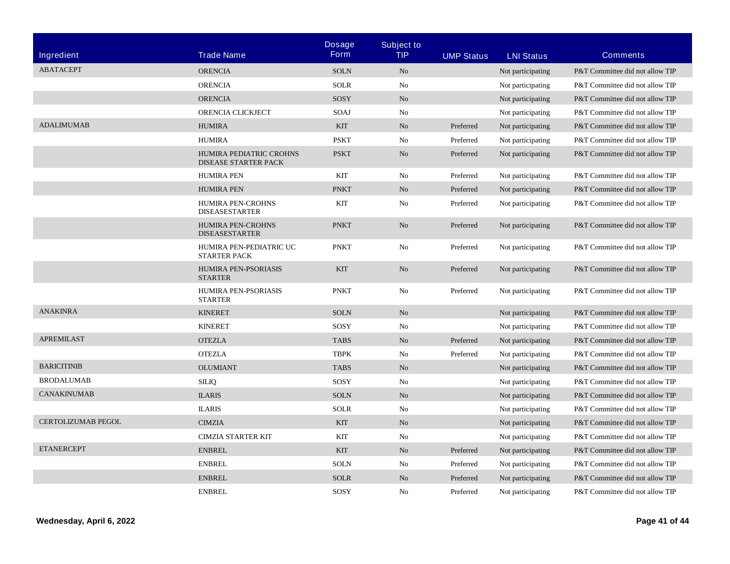|                    | <b>Trade Name</b>                                      | <b>Dosage</b><br><b>Form</b> | <b>Subject to</b><br><b>TIP</b> |                   |                   |                                 |
|--------------------|--------------------------------------------------------|------------------------------|---------------------------------|-------------------|-------------------|---------------------------------|
| Ingredient         |                                                        |                              |                                 | <b>UMP Status</b> | <b>LNI Status</b> | <b>Comments</b>                 |
| <b>ABATACEPT</b>   | <b>ORENCIA</b>                                         | <b>SOLN</b>                  | N <sub>o</sub>                  |                   | Not participating | P&T Committee did not allow TIP |
|                    | <b>ORENCIA</b>                                         | <b>SOLR</b>                  | No                              |                   | Not participating | P&T Committee did not allow TIP |
|                    | <b>ORENCIA</b>                                         | SOSY                         | N <sub>o</sub>                  |                   | Not participating | P&T Committee did not allow TIP |
|                    | ORENCIA CLICKJECT                                      | SOAJ                         | No                              |                   | Not participating | P&T Committee did not allow TIP |
| <b>ADALIMUMAB</b>  | <b>HUMIRA</b>                                          | <b>KIT</b>                   | N <sub>o</sub>                  | Preferred         | Not participating | P&T Committee did not allow TIP |
|                    | <b>HUMIRA</b>                                          | <b>PSKT</b>                  | No                              | Preferred         | Not participating | P&T Committee did not allow TIP |
|                    | HUMIRA PEDIATRIC CROHNS<br><b>DISEASE STARTER PACK</b> | <b>PSKT</b>                  | N <sub>o</sub>                  | Preferred         | Not participating | P&T Committee did not allow TIP |
|                    | <b>HUMIRA PEN</b>                                      | KIT                          | No                              | Preferred         | Not participating | P&T Committee did not allow TIP |
|                    | <b>HUMIRA PEN</b>                                      | <b>PNKT</b>                  | N <sub>o</sub>                  | Preferred         | Not participating | P&T Committee did not allow TIP |
|                    | HUMIRA PEN-CROHNS<br><b>DISEASESTARTER</b>             | KIT                          | No                              | Preferred         | Not participating | P&T Committee did not allow TIP |
|                    | <b>HUMIRA PEN-CROHNS</b><br><b>DISEASESTARTER</b>      | <b>PNKT</b>                  | N <sub>o</sub>                  | Preferred         | Not participating | P&T Committee did not allow TIP |
|                    | HUMIRA PEN-PEDIATRIC UC<br><b>STARTER PACK</b>         | <b>PNKT</b>                  | No                              | Preferred         | Not participating | P&T Committee did not allow TIP |
|                    | HUMIRA PEN-PSORIASIS<br><b>STARTER</b>                 | <b>KIT</b>                   | N <sub>o</sub>                  | Preferred         | Not participating | P&T Committee did not allow TIP |
|                    | HUMIRA PEN-PSORIASIS<br><b>STARTER</b>                 | <b>PNKT</b>                  | No                              | Preferred         | Not participating | P&T Committee did not allow TIP |
| <b>ANAKINRA</b>    | <b>KINERET</b>                                         | <b>SOLN</b>                  | N <sub>o</sub>                  |                   | Not participating | P&T Committee did not allow TIP |
|                    | <b>KINERET</b>                                         | SOSY                         | No                              |                   | Not participating | P&T Committee did not allow TIP |
| <b>APREMILAST</b>  | <b>OTEZLA</b>                                          | <b>TABS</b>                  | N <sub>o</sub>                  | Preferred         | Not participating | P&T Committee did not allow TIP |
|                    | <b>OTEZLA</b>                                          | <b>TBPK</b>                  | No                              | Preferred         | Not participating | P&T Committee did not allow TIP |
| <b>BARICITINIB</b> | <b>OLUMIANT</b>                                        | <b>TABS</b>                  | N <sub>o</sub>                  |                   | Not participating | P&T Committee did not allow TIP |
| <b>BRODALUMAB</b>  | <b>SILIQ</b>                                           | SOSY                         | No                              |                   | Not participating | P&T Committee did not allow TIP |
| CANAKINUMAB        | <b>ILARIS</b>                                          | <b>SOLN</b>                  | N <sub>o</sub>                  |                   | Not participating | P&T Committee did not allow TIP |
|                    | <b>ILARIS</b>                                          | <b>SOLR</b>                  | No                              |                   | Not participating | P&T Committee did not allow TIP |
| CERTOLIZUMAB PEGOL | <b>CIMZIA</b>                                          | <b>KIT</b>                   | N <sub>o</sub>                  |                   | Not participating | P&T Committee did not allow TIP |
|                    | <b>CIMZIA STARTER KIT</b>                              | KIT                          | No                              |                   | Not participating | P&T Committee did not allow TIP |
| <b>ETANERCEPT</b>  | <b>ENBREL</b>                                          | <b>KIT</b>                   | N <sub>o</sub>                  | Preferred         | Not participating | P&T Committee did not allow TIP |
|                    | <b>ENBREL</b>                                          | <b>SOLN</b>                  | No                              | Preferred         | Not participating | P&T Committee did not allow TIP |
|                    | <b>ENBREL</b>                                          | <b>SOLR</b>                  | N <sub>o</sub>                  | Preferred         | Not participating | P&T Committee did not allow TIP |
|                    | <b>ENBREL</b>                                          | SOSY                         | No                              | Preferred         | Not participating | P&T Committee did not allow TIP |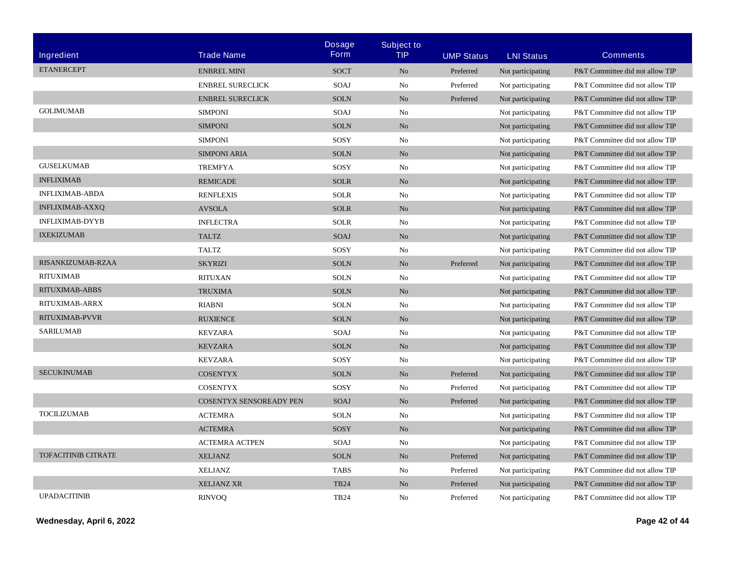|                            |                         | <b>Dosage</b><br><b>Form</b> | <b>Subject to</b> |                   |                   |                                 |
|----------------------------|-------------------------|------------------------------|-------------------|-------------------|-------------------|---------------------------------|
| Ingredient                 | <b>Trade Name</b>       |                              | TIP               | <b>UMP Status</b> | <b>LNI Status</b> | <b>Comments</b>                 |
| <b>ETANERCEPT</b>          | <b>ENBREL MINI</b>      | <b>SOCT</b>                  | N <sub>o</sub>    | Preferred         | Not participating | P&T Committee did not allow TIP |
|                            | <b>ENBREL SURECLICK</b> | SOAJ                         | No                | Preferred         | Not participating | P&T Committee did not allow TIP |
|                            | <b>ENBREL SURECLICK</b> | <b>SOLN</b>                  | $\rm No$          | Preferred         | Not participating | P&T Committee did not allow TIP |
| <b>GOLIMUMAB</b>           | <b>SIMPONI</b>          | SOAJ                         | No                |                   | Not participating | P&T Committee did not allow TIP |
|                            | <b>SIMPONI</b>          | <b>SOLN</b>                  | N <sub>o</sub>    |                   | Not participating | P&T Committee did not allow TIP |
|                            | <b>SIMPONI</b>          | SOSY                         | No                |                   | Not participating | P&T Committee did not allow TIP |
|                            | <b>SIMPONI ARIA</b>     | <b>SOLN</b>                  | N <sub>o</sub>    |                   | Not participating | P&T Committee did not allow TIP |
| <b>GUSELKUMAB</b>          | <b>TREMFYA</b>          | SOSY                         | No                |                   | Not participating | P&T Committee did not allow TIP |
| <b>INFLIXIMAB</b>          | <b>REMICADE</b>         | <b>SOLR</b>                  | N <sub>o</sub>    |                   | Not participating | P&T Committee did not allow TIP |
| <b>INFLIXIMAB-ABDA</b>     | <b>RENFLEXIS</b>        | <b>SOLR</b>                  | No                |                   | Not participating | P&T Committee did not allow TIP |
| <b>INFLIXIMAB-AXXQ</b>     | <b>AVSOLA</b>           | <b>SOLR</b>                  | No                |                   | Not participating | P&T Committee did not allow TIP |
| <b>INFLIXIMAB-DYYB</b>     | <b>INFLECTRA</b>        | <b>SOLR</b>                  | No                |                   | Not participating | P&T Committee did not allow TIP |
| <b>IXEKIZUMAB</b>          | <b>TALTZ</b>            | SOAJ                         | N <sub>o</sub>    |                   | Not participating | P&T Committee did not allow TIP |
|                            | <b>TALTZ</b>            | SOSY                         | No                |                   | Not participating | P&T Committee did not allow TIP |
| RISANKIZUMAB-RZAA          | <b>SKYRIZI</b>          | <b>SOLN</b>                  | No                | Preferred         | Not participating | P&T Committee did not allow TIP |
| <b>RITUXIMAB</b>           | <b>RITUXAN</b>          | <b>SOLN</b>                  | No                |                   | Not participating | P&T Committee did not allow TIP |
| RITUXIMAB-ABBS             | <b>TRUXIMA</b>          | <b>SOLN</b>                  | No                |                   | Not participating | P&T Committee did not allow TIP |
| RITUXIMAB-ARRX             | <b>RIABNI</b>           | <b>SOLN</b>                  | N <sub>o</sub>    |                   | Not participating | P&T Committee did not allow TIP |
| RITUXIMAB-PVVR             | <b>RUXIENCE</b>         | <b>SOLN</b>                  | No                |                   | Not participating | P&T Committee did not allow TIP |
| <b>SARILUMAB</b>           | <b>KEVZARA</b>          | SOAJ                         | No                |                   | Not participating | P&T Committee did not allow TIP |
|                            | <b>KEVZARA</b>          | <b>SOLN</b>                  | No                |                   | Not participating | P&T Committee did not allow TIP |
|                            | <b>KEVZARA</b>          | SOSY                         | No                |                   | Not participating | P&T Committee did not allow TIP |
| <b>SECUKINUMAB</b>         | <b>COSENTYX</b>         | <b>SOLN</b>                  | N <sub>o</sub>    | Preferred         | Not participating | P&T Committee did not allow TIP |
|                            | <b>COSENTYX</b>         | SOSY                         | No                | Preferred         | Not participating | P&T Committee did not allow TIP |
|                            | COSENTYX SENSOREADY PEN | SOAJ                         | No                | Preferred         | Not participating | P&T Committee did not allow TIP |
| <b>TOCILIZUMAB</b>         | <b>ACTEMRA</b>          | <b>SOLN</b>                  | No                |                   | Not participating | P&T Committee did not allow TIP |
|                            | <b>ACTEMRA</b>          | SOSY                         | No                |                   | Not participating | P&T Committee did not allow TIP |
|                            | <b>ACTEMRA ACTPEN</b>   | SOAJ                         | No                |                   | Not participating | P&T Committee did not allow TIP |
| <b>TOFACITINIB CITRATE</b> | <b>XELJANZ</b>          | <b>SOLN</b>                  | N <sub>o</sub>    | Preferred         | Not participating | P&T Committee did not allow TIP |
|                            | <b>XELJANZ</b>          | <b>TABS</b>                  | No                | Preferred         | Not participating | P&T Committee did not allow TIP |
|                            | <b>XELJANZ XR</b>       | <b>TB24</b>                  | N <sub>o</sub>    | Preferred         | Not participating | P&T Committee did not allow TIP |
| <b>UPADACITINIB</b>        | <b>RINVOO</b>           | <b>TB24</b>                  | No                | Preferred         | Not participating | P&T Committee did not allow TIP |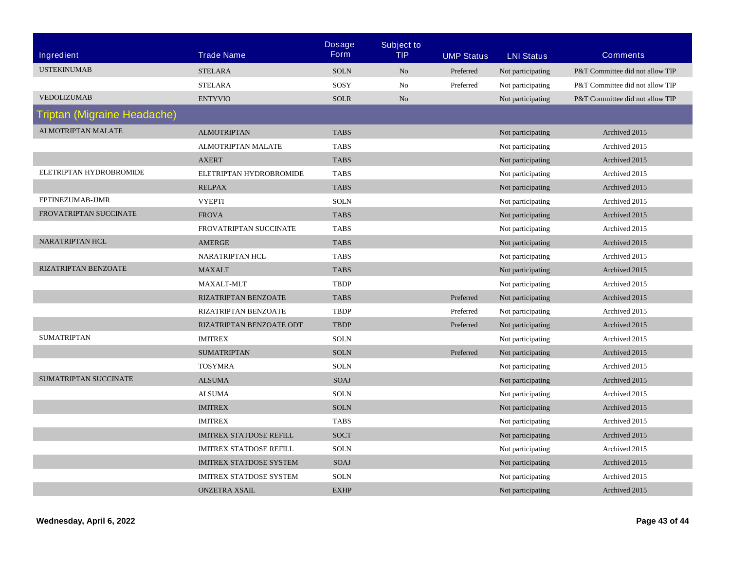| <b>Ingredient</b>           | <b>Trade Name</b>              | <b>Dosage</b><br><b>Form</b> | <b>Subject to</b><br><b>TIP</b> | <b>UMP Status</b> | <b>LNI Status</b> | <b>Comments</b>                 |
|-----------------------------|--------------------------------|------------------------------|---------------------------------|-------------------|-------------------|---------------------------------|
| <b>USTEKINUMAB</b>          | <b>STELARA</b>                 | <b>SOLN</b>                  | N <sub>0</sub>                  | Preferred         | Not participating | P&T Committee did not allow TIP |
|                             | <b>STELARA</b>                 | SOSY                         | No                              | Preferred         | Not participating | P&T Committee did not allow TIP |
| <b>VEDOLIZUMAB</b>          | <b>ENTYVIO</b>                 | <b>SOLR</b>                  | No                              |                   | Not participating | P&T Committee did not allow TIP |
| Triptan (Migraine Headache) |                                |                              |                                 |                   |                   |                                 |
| <b>ALMOTRIPTAN MALATE</b>   | <b>ALMOTRIPTAN</b>             | <b>TABS</b>                  |                                 |                   | Not participating | Archived 2015                   |
|                             | <b>ALMOTRIPTAN MALATE</b>      | <b>TABS</b>                  |                                 |                   | Not participating | Archived 2015                   |
|                             | <b>AXERT</b>                   | <b>TABS</b>                  |                                 |                   | Not participating | Archived 2015                   |
| ELETRIPTAN HYDROBROMIDE     | ELETRIPTAN HYDROBROMIDE        | <b>TABS</b>                  |                                 |                   | Not participating | Archived 2015                   |
|                             | <b>RELPAX</b>                  | <b>TABS</b>                  |                                 |                   | Not participating | Archived 2015                   |
| EPTINEZUMAB-JJMR            | <b>VYEPTI</b>                  | <b>SOLN</b>                  |                                 |                   | Not participating | Archived 2015                   |
| FROVATRIPTAN SUCCINATE      | <b>FROVA</b>                   | <b>TABS</b>                  |                                 |                   | Not participating | Archived 2015                   |
|                             | FROVATRIPTAN SUCCINATE         | <b>TABS</b>                  |                                 |                   | Not participating | Archived 2015                   |
| <b>NARATRIPTAN HCL</b>      | AMERGE                         | <b>TABS</b>                  |                                 |                   | Not participating | Archived 2015                   |
|                             | <b>NARATRIPTAN HCL</b>         | <b>TABS</b>                  |                                 |                   | Not participating | Archived 2015                   |
| RIZATRIPTAN BENZOATE        | <b>MAXALT</b>                  | <b>TABS</b>                  |                                 |                   | Not participating | Archived 2015                   |
|                             | MAXALT-MLT                     | <b>TBDP</b>                  |                                 |                   | Not participating | Archived 2015                   |
|                             | RIZATRIPTAN BENZOATE           | <b>TABS</b>                  |                                 | Preferred         | Not participating | Archived 2015                   |
|                             | RIZATRIPTAN BENZOATE           | <b>TBDP</b>                  |                                 | Preferred         | Not participating | Archived 2015                   |
|                             | RIZATRIPTAN BENZOATE ODT       | <b>TBDP</b>                  |                                 | Preferred         | Not participating | Archived 2015                   |
| <b>SUMATRIPTAN</b>          | <b>IMITREX</b>                 | <b>SOLN</b>                  |                                 |                   | Not participating | Archived 2015                   |
|                             | <b>SUMATRIPTAN</b>             | <b>SOLN</b>                  |                                 | Preferred         | Not participating | Archived 2015                   |
|                             | <b>TOSYMRA</b>                 | <b>SOLN</b>                  |                                 |                   | Not participating | Archived 2015                   |
| SUMATRIPTAN SUCCINATE       | <b>ALSUMA</b>                  | SOAJ                         |                                 |                   | Not participating | Archived 2015                   |
|                             | <b>ALSUMA</b>                  | <b>SOLN</b>                  |                                 |                   | Not participating | Archived 2015                   |
|                             | <b>IMITREX</b>                 | <b>SOLN</b>                  |                                 |                   | Not participating | Archived 2015                   |
|                             | <b>IMITREX</b>                 | <b>TABS</b>                  |                                 |                   | Not participating | Archived 2015                   |
|                             | <b>IMITREX STATDOSE REFILL</b> | <b>SOCT</b>                  |                                 |                   | Not participating | Archived 2015                   |
|                             | <b>IMITREX STATDOSE REFILL</b> | <b>SOLN</b>                  |                                 |                   | Not participating | Archived 2015                   |
|                             | <b>IMITREX STATDOSE SYSTEM</b> | SOAJ                         |                                 |                   | Not participating | Archived 2015                   |
|                             | <b>IMITREX STATDOSE SYSTEM</b> | <b>SOLN</b>                  |                                 |                   | Not participating | Archived 2015                   |
|                             | <b>ONZETRA XSAIL</b>           | <b>EXHP</b>                  |                                 |                   | Not participating | Archived 2015                   |